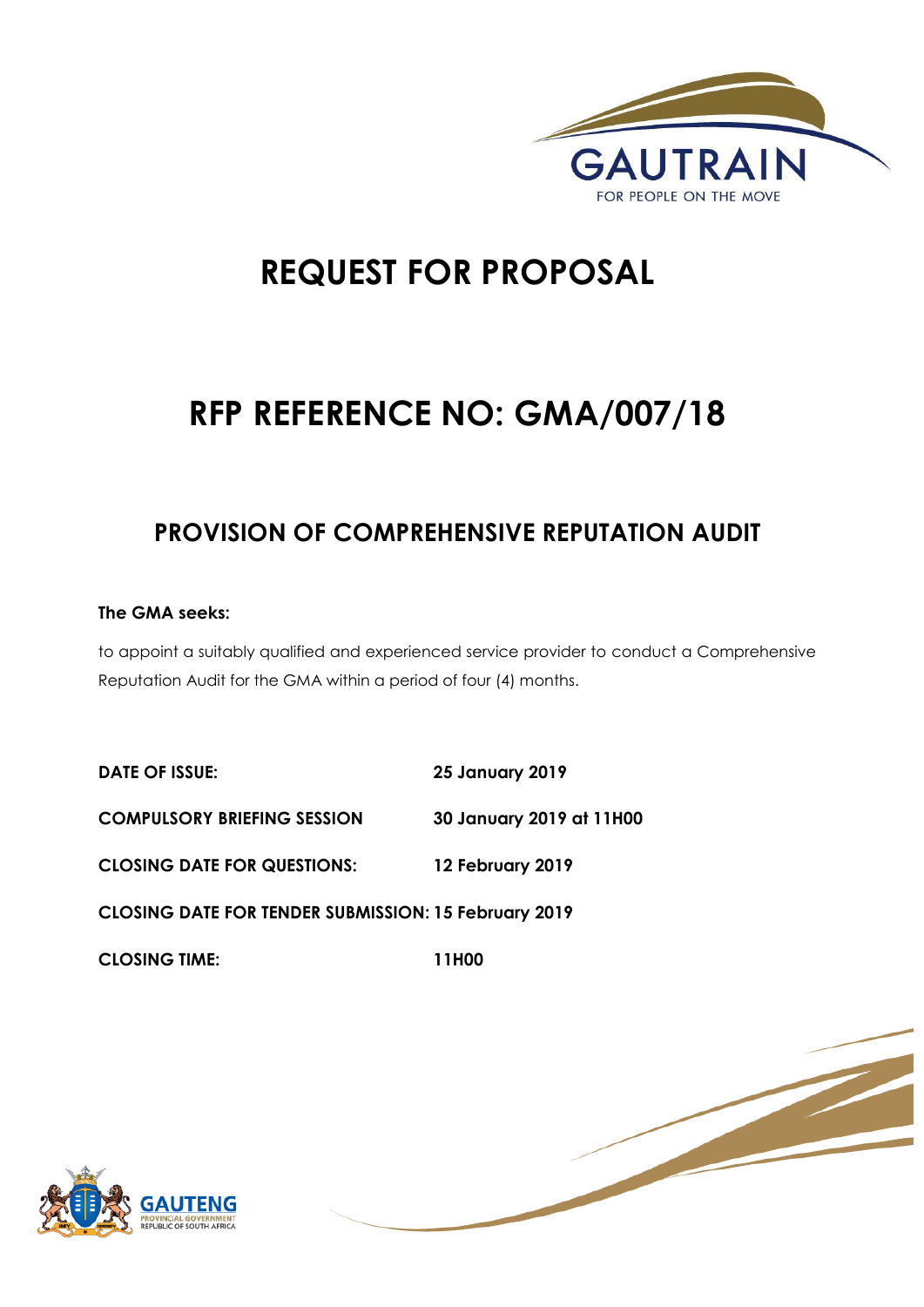

# **REQUEST FOR PROPOSAL**

# **RFP REFERENCE NO: GMA/007/18**

# **PROVISION OF COMPREHENSIVE REPUTATION AUDIT**

## **The GMA seeks:**

to appoint a suitably qualified and experienced service provider to conduct a Comprehensive Reputation Audit for the GMA within a period of four (4) months.

| <b>DATE OF ISSUE:</b>                                       | <b>25 January 2019</b>   |
|-------------------------------------------------------------|--------------------------|
| <b>COMPULSORY BRIEFING SESSION</b>                          | 30 January 2019 at 11H00 |
| <b>CLOSING DATE FOR QUESTIONS:</b>                          | 12 February 2019         |
| <b>CLOSING DATE FOR TENDER SUBMISSION: 15 February 2019</b> |                          |
| <b>CLOSING TIME:</b>                                        | 11H00                    |



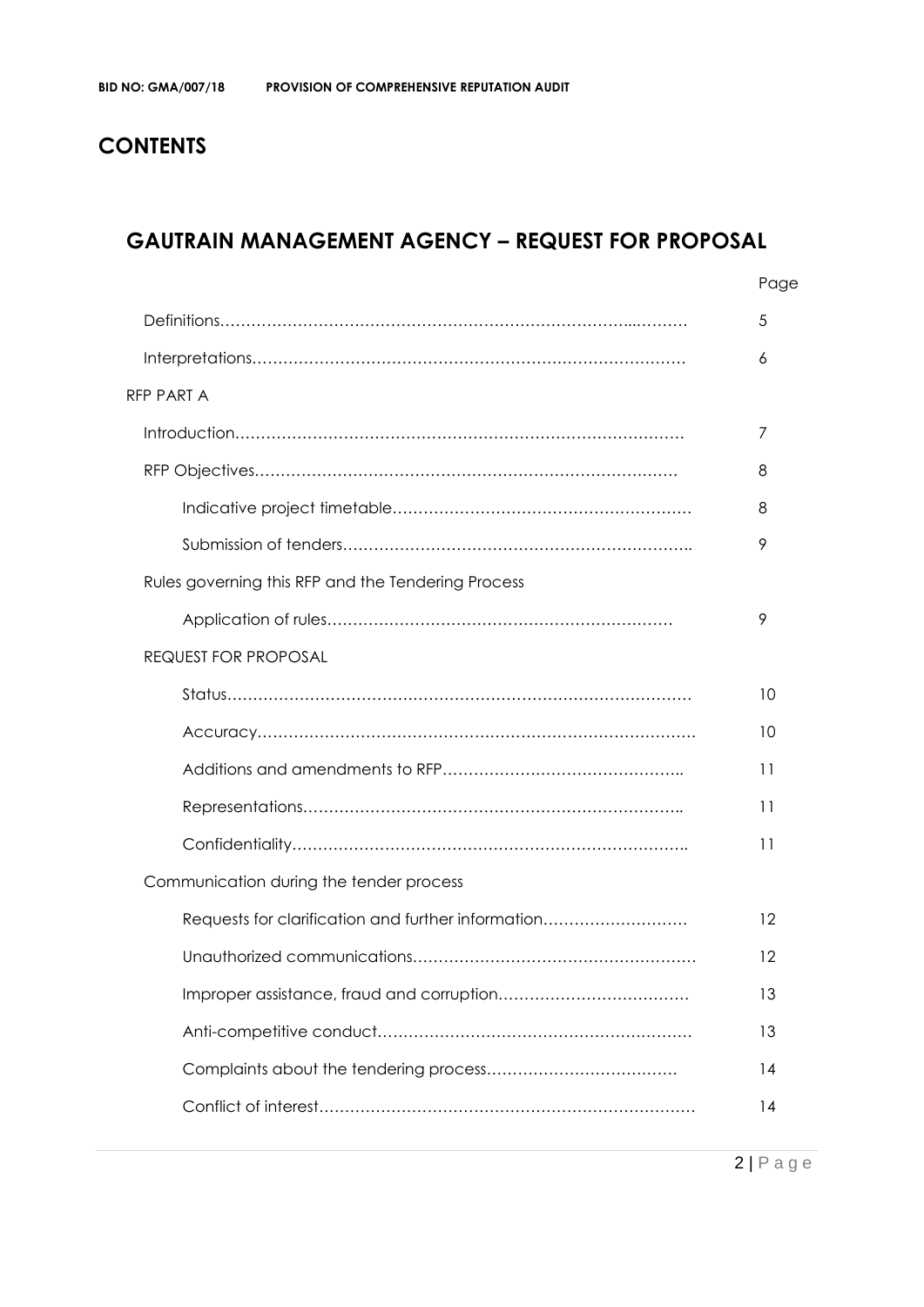# **CONTENTS**

# **GAUTRAIN MANAGEMENT AGENCY – REQUEST FOR PROPOSAL**

|                                                    | Page |
|----------------------------------------------------|------|
|                                                    | 5    |
|                                                    | 6    |
| <b>RFP PART A</b>                                  |      |
|                                                    | 7    |
|                                                    | 8    |
|                                                    | 8    |
|                                                    | 9    |
| Rules governing this RFP and the Tendering Process |      |
|                                                    | 9    |
| <b>REQUEST FOR PROPOSAL</b>                        |      |
|                                                    | 10   |
|                                                    | 10   |
|                                                    | 11   |
|                                                    | 11   |
|                                                    | 11   |
| Communication during the tender process            |      |
| Requests for clarification and further information | 12   |
|                                                    | 12   |
|                                                    | 13   |
|                                                    | 13   |
|                                                    | 14   |
|                                                    | 14   |
|                                                    |      |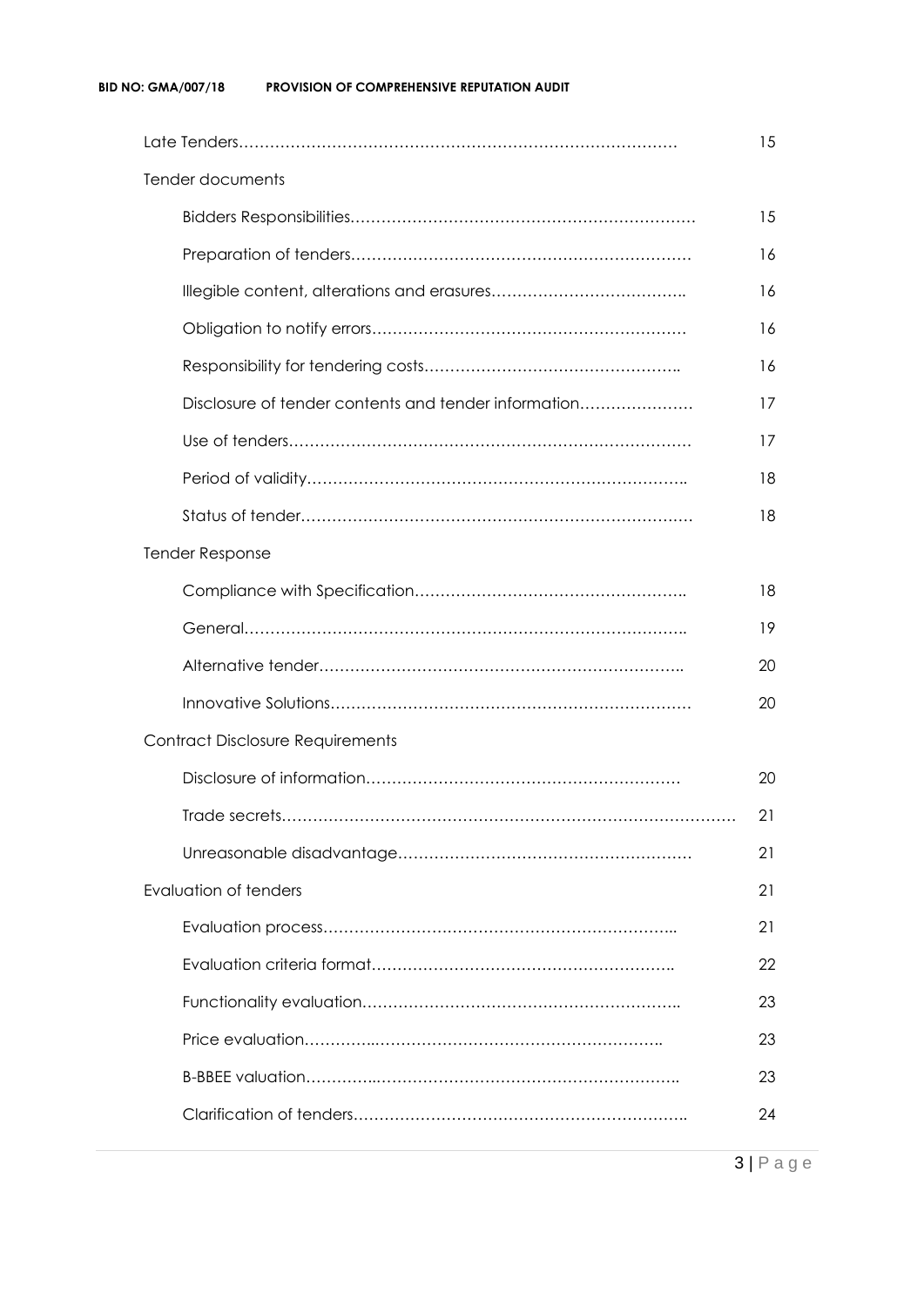|                                                      | 15 |  |  |  |
|------------------------------------------------------|----|--|--|--|
| Tender documents                                     |    |  |  |  |
|                                                      | 15 |  |  |  |
|                                                      | 16 |  |  |  |
|                                                      | 16 |  |  |  |
|                                                      | 16 |  |  |  |
|                                                      | 16 |  |  |  |
| Disclosure of tender contents and tender information | 17 |  |  |  |
|                                                      | 17 |  |  |  |
|                                                      | 18 |  |  |  |
|                                                      | 18 |  |  |  |
| <b>Tender Response</b>                               |    |  |  |  |
|                                                      | 18 |  |  |  |
|                                                      | 19 |  |  |  |
|                                                      | 20 |  |  |  |
|                                                      | 20 |  |  |  |
| <b>Contract Disclosure Requirements</b>              |    |  |  |  |
|                                                      | 20 |  |  |  |
|                                                      | 21 |  |  |  |
|                                                      | 21 |  |  |  |
| <b>Evaluation of tenders</b>                         | 21 |  |  |  |
|                                                      | 21 |  |  |  |
|                                                      | 22 |  |  |  |
|                                                      | 23 |  |  |  |
|                                                      | 23 |  |  |  |
|                                                      | 23 |  |  |  |
|                                                      | 24 |  |  |  |
|                                                      |    |  |  |  |

3 | P a g e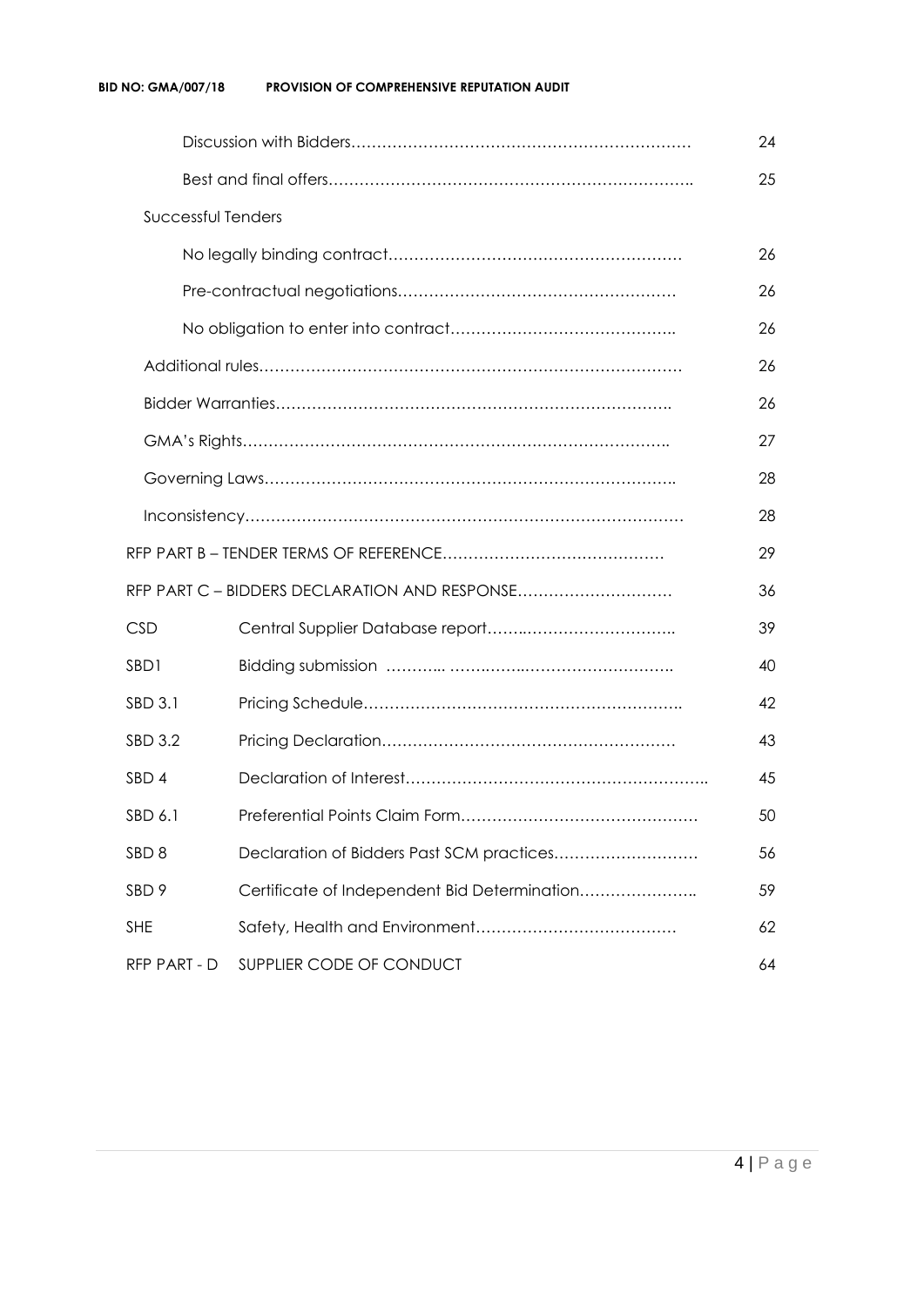|                    |                                               | 24 |  |  |  |
|--------------------|-----------------------------------------------|----|--|--|--|
|                    |                                               |    |  |  |  |
| Successful Tenders |                                               |    |  |  |  |
|                    |                                               |    |  |  |  |
|                    |                                               |    |  |  |  |
|                    |                                               | 26 |  |  |  |
|                    |                                               | 26 |  |  |  |
|                    |                                               | 26 |  |  |  |
|                    |                                               | 27 |  |  |  |
|                    |                                               | 28 |  |  |  |
|                    |                                               | 28 |  |  |  |
|                    |                                               | 29 |  |  |  |
|                    | RFP PART C - BIDDERS DECLARATION AND RESPONSE | 36 |  |  |  |
| <b>CSD</b>         |                                               | 39 |  |  |  |
| SBD1               |                                               | 40 |  |  |  |
| SBD 3.1            |                                               | 42 |  |  |  |
| SBD 3.2            |                                               | 43 |  |  |  |
| SBD <sub>4</sub>   |                                               | 45 |  |  |  |
| SBD 6.1<br>50      |                                               |    |  |  |  |
| SBD <sub>8</sub>   | Declaration of Bidders Past SCM practices     | 56 |  |  |  |
| SBD <sub>9</sub>   | Certificate of Independent Bid Determination  | 59 |  |  |  |
| <b>SHE</b>         | 62                                            |    |  |  |  |
| RFP PART - D       | SUPPLIER CODE OF CONDUCT                      | 64 |  |  |  |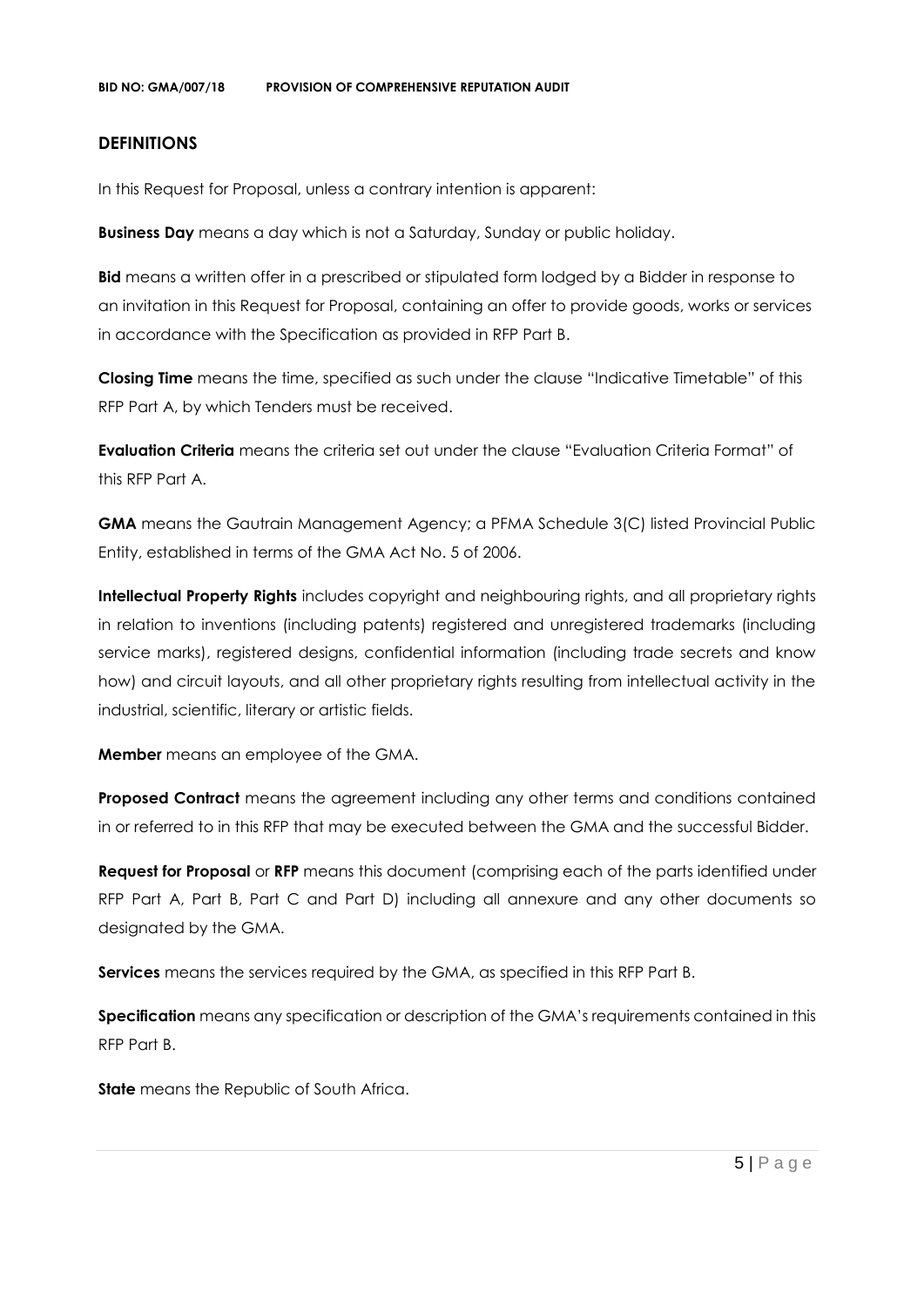#### **DEFINITIONS**

In this Request for Proposal, unless a contrary intention is apparent:

**Business Day** means a day which is not a Saturday, Sunday or public holiday.

**Bid** means a written offer in a prescribed or stipulated form lodged by a Bidder in response to an invitation in this Request for Proposal, containing an offer to provide goods, works or services in accordance with the Specification as provided in RFP Part B.

**Closing Time** means the time, specified as such under the clause "Indicative Timetable" of this RFP Part A, by which Tenders must be received.

**Evaluation Criteria** means the criteria set out under the clause "Evaluation Criteria Format" of this RFP Part A.

**GMA** means the Gautrain Management Agency; a PFMA Schedule 3(C) listed Provincial Public Entity, established in terms of the GMA Act No. 5 of 2006.

**Intellectual Property Rights** includes copyright and neighbouring rights, and all proprietary rights in relation to inventions (including patents) registered and unregistered trademarks (including service marks), registered designs, confidential information (including trade secrets and know how) and circuit layouts, and all other proprietary rights resulting from intellectual activity in the industrial, scientific, literary or artistic fields.

**Member** means an employee of the GMA.

**Proposed Contract** means the agreement including any other terms and conditions contained in or referred to in this RFP that may be executed between the GMA and the successful Bidder.

**Request for Proposal** or **RFP** means this document (comprising each of the parts identified under RFP Part A, Part B, Part C and Part D) including all annexure and any other documents so designated by the GMA.

**Services** means the services required by the GMA, as specified in this RFP Part B.

**Specification** means any specification or description of the GMA's requirements contained in this RFP Part B.

**State** means the Republic of South Africa.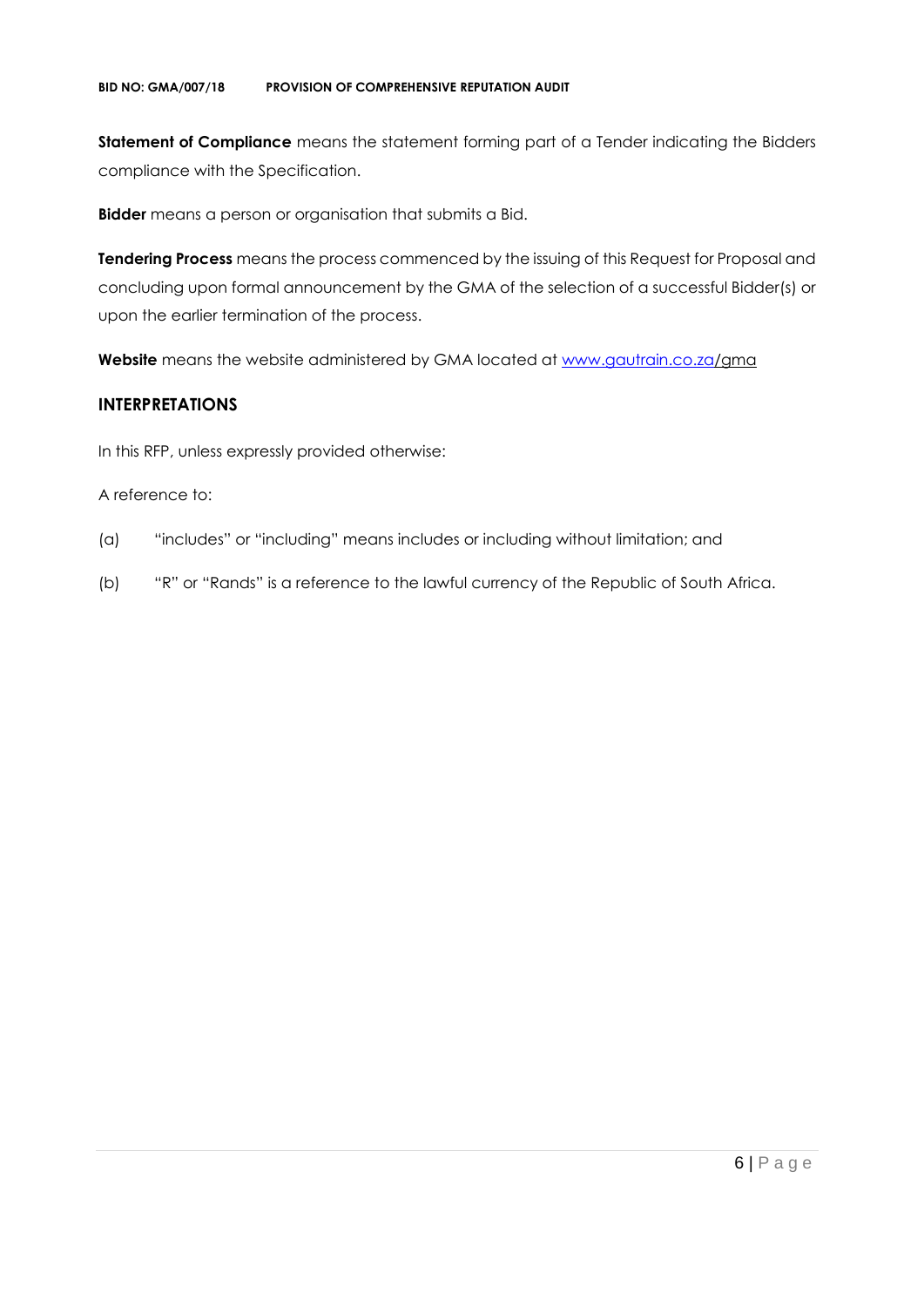**Statement of Compliance** means the statement forming part of a Tender indicating the Bidders compliance with the Specification.

**Bidder** means a person or organisation that submits a Bid.

**Tendering Process** means the process commenced by the issuing of this Request for Proposal and concluding upon formal announcement by the GMA of the selection of a successful Bidder(s) or upon the earlier termination of the process.

**Website** means the website administered by GMA located at [www.gautrain.co.za/](http://www.gautrain.co.za/)gma

### **INTERPRETATIONS**

In this RFP, unless expressly provided otherwise:

#### A reference to:

- (a) "includes" or "including" means includes or including without limitation; and
- (b) "R" or "Rands" is a reference to the lawful currency of the Republic of South Africa.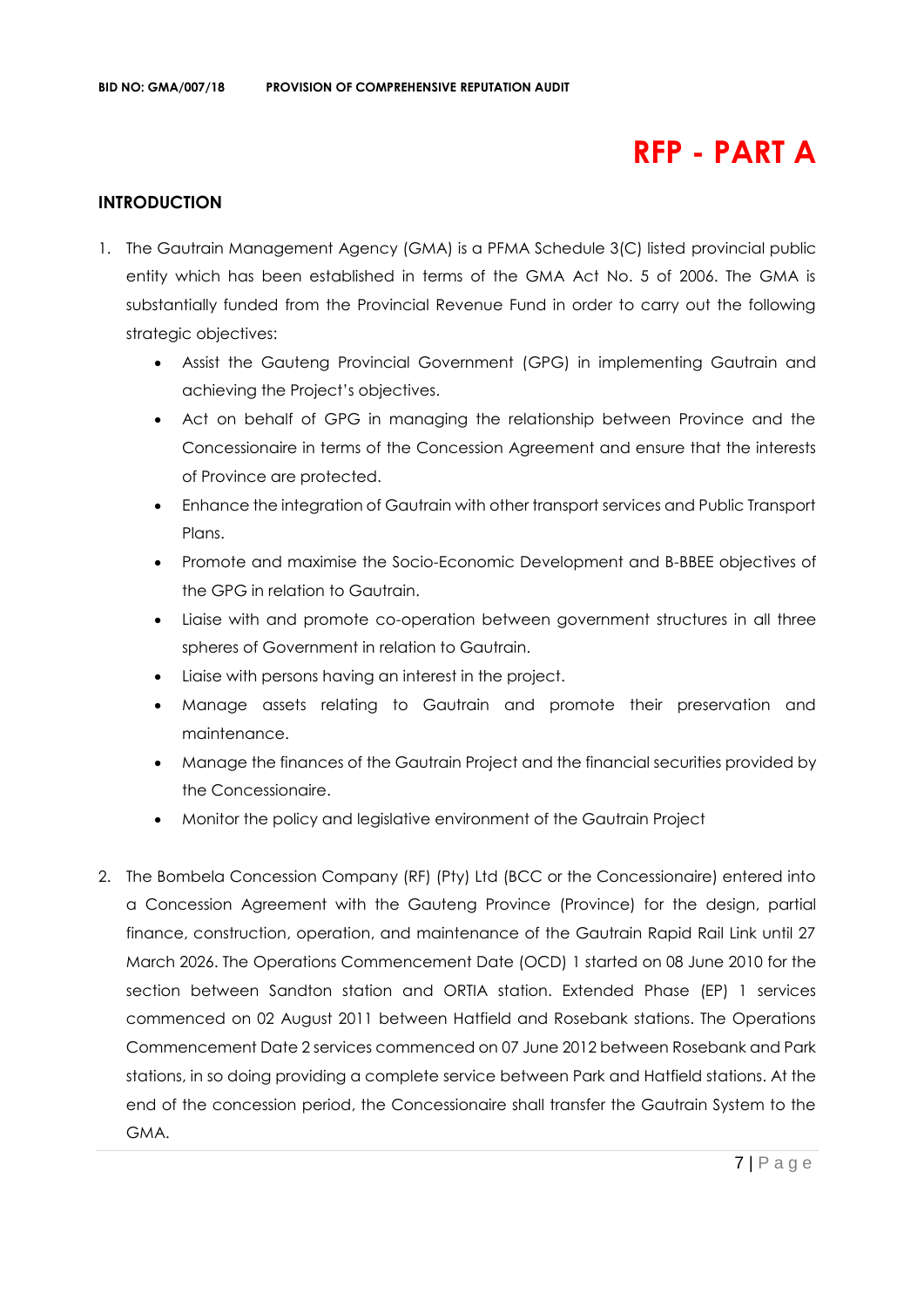# **RFP - PART A**

#### **INTRODUCTION**

- 1. The Gautrain Management Agency (GMA) is a PFMA Schedule 3(C) listed provincial public entity which has been established in terms of the GMA Act No. 5 of 2006. The GMA is substantially funded from the Provincial Revenue Fund in order to carry out the following strategic objectives:
	- Assist the Gauteng Provincial Government (GPG) in implementing Gautrain and achieving the Project's objectives.
	- Act on behalf of GPG in managing the relationship between Province and the Concessionaire in terms of the Concession Agreement and ensure that the interests of Province are protected.
	- Enhance the integration of Gautrain with other transport services and Public Transport Plans.
	- Promote and maximise the Socio-Economic Development and B-BBEE objectives of the GPG in relation to Gautrain.
	- Liaise with and promote co-operation between government structures in all three spheres of Government in relation to Gautrain.
	- Liaise with persons having an interest in the project.
	- Manage assets relating to Gautrain and promote their preservation and maintenance.
	- Manage the finances of the Gautrain Project and the financial securities provided by the Concessionaire.
	- Monitor the policy and legislative environment of the Gautrain Project
- 2. The Bombela Concession Company (RF) (Pty) Ltd (BCC or the Concessionaire) entered into a Concession Agreement with the Gauteng Province (Province) for the design, partial finance, construction, operation, and maintenance of the Gautrain Rapid Rail Link until 27 March 2026. The Operations Commencement Date (OCD) 1 started on 08 June 2010 for the section between Sandton station and ORTIA station. Extended Phase (EP) 1 services commenced on 02 August 2011 between Hatfield and Rosebank stations. The Operations Commencement Date 2 services commenced on 07 June 2012 between Rosebank and Park stations, in so doing providing a complete service between Park and Hatfield stations. At the end of the concession period, the Concessionaire shall transfer the Gautrain System to the GMA.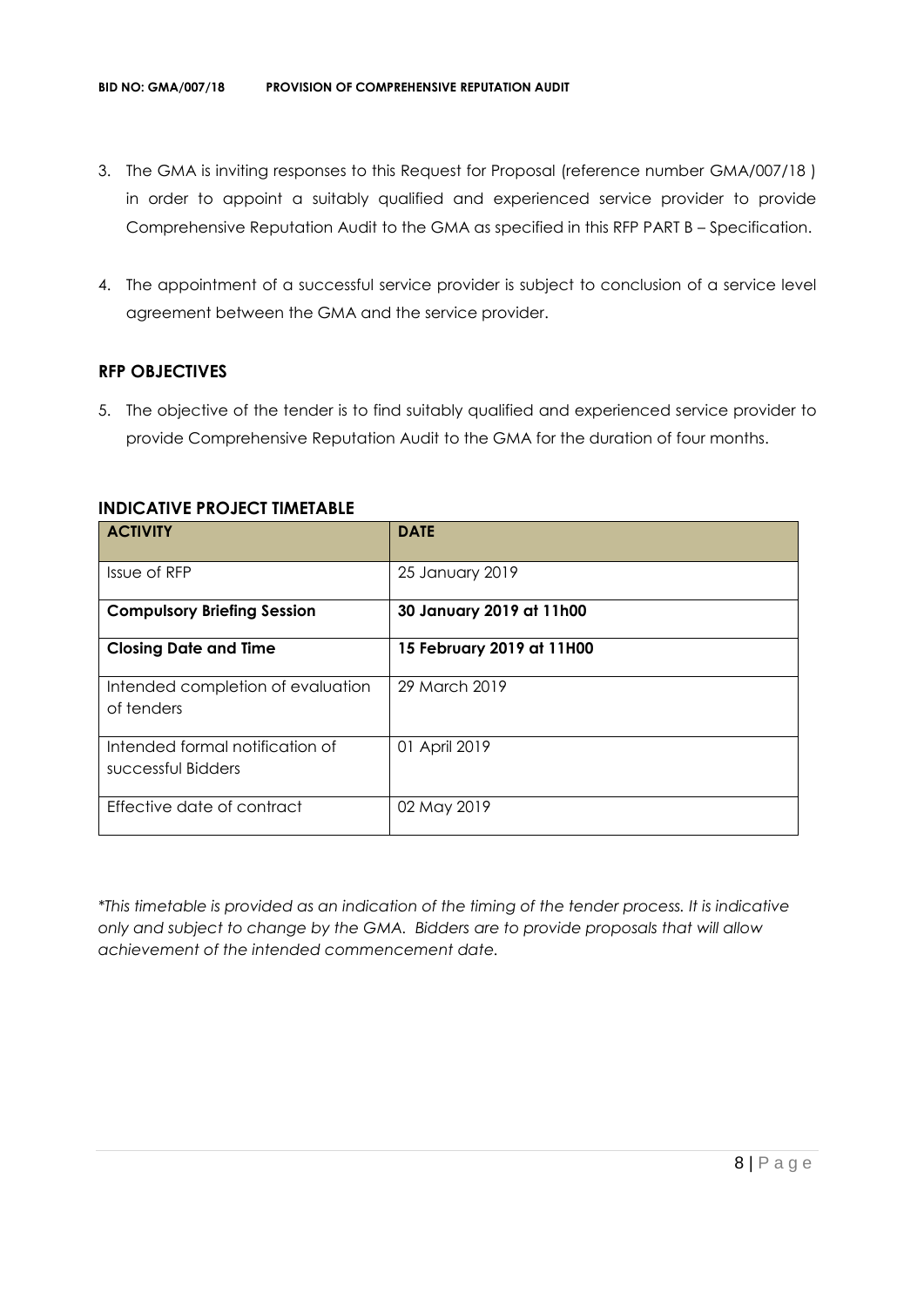- 3. The GMA is inviting responses to this Request for Proposal (reference number GMA/007/18 ) in order to appoint a suitably qualified and experienced service provider to provide Comprehensive Reputation Audit to the GMA as specified in this RFP PART B – Specification.
- 4. The appointment of a successful service provider is subject to conclusion of a service level agreement between the GMA and the service provider.

#### **RFP OBJECTIVES**

5. The objective of the tender is to find suitably qualified and experienced service provider to provide Comprehensive Reputation Audit to the GMA for the duration of four months.

| <b>ACTIVITY</b>                                       | <b>DATE</b>               |
|-------------------------------------------------------|---------------------------|
| Issue of RFP                                          | 25 January 2019           |
| <b>Compulsory Briefing Session</b>                    | 30 January 2019 at 11h00  |
| <b>Closing Date and Time</b>                          | 15 February 2019 at 11H00 |
| Intended completion of evaluation<br>of tenders       | 29 March 2019             |
| Intended formal notification of<br>successful Bidders | 01 April 2019             |
| Effective date of contract                            | 02 May 2019               |

#### **INDICATIVE PROJECT TIMETABLE**

*\*This timetable is provided as an indication of the timing of the tender process. It is indicative only and subject to change by the GMA. Bidders are to provide proposals that will allow achievement of the intended commencement date.*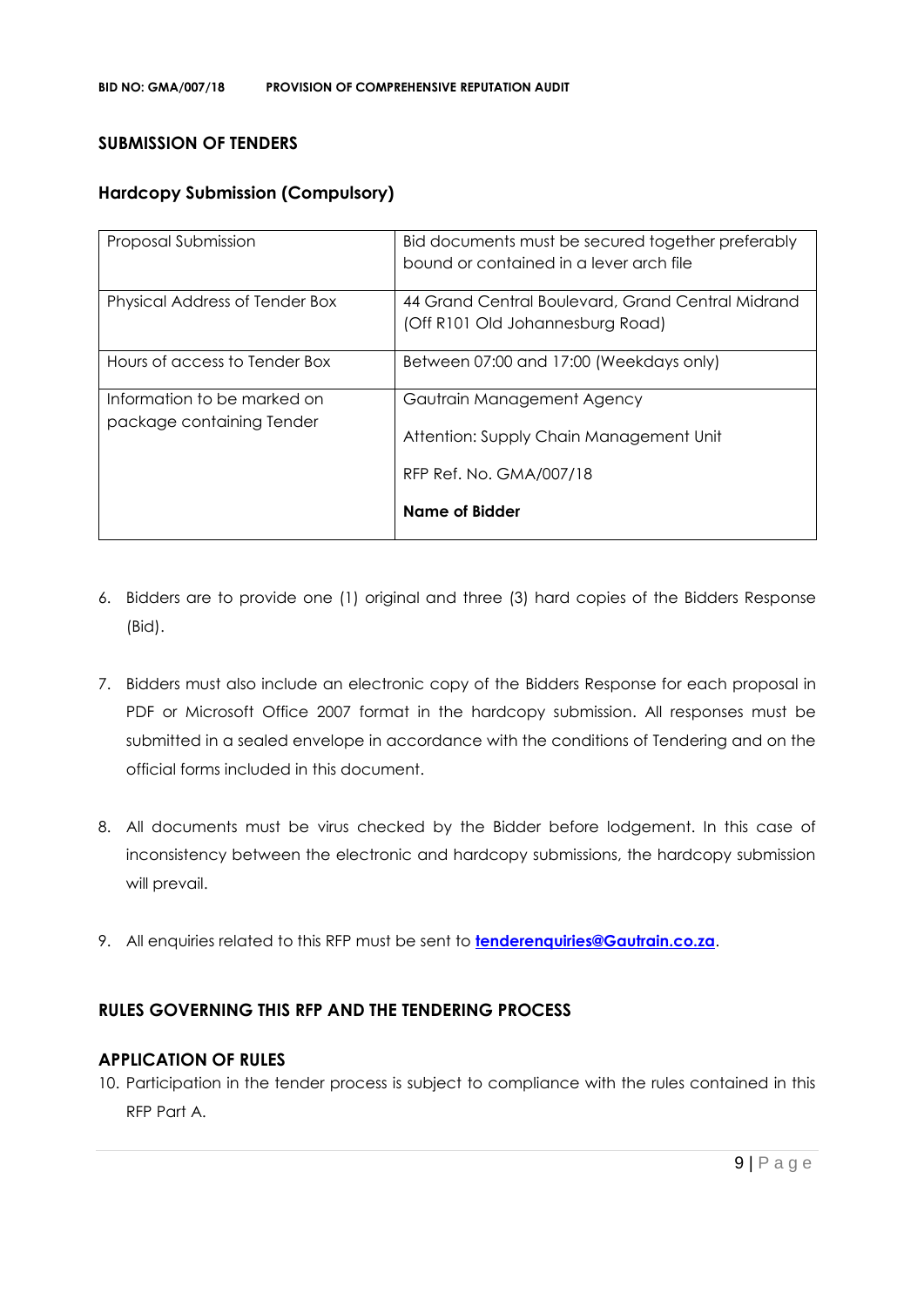#### **SUBMISSION OF TENDERS**

#### **Hardcopy Submission (Compulsory)**

| Proposal Submission                                      | Bid documents must be secured together preferably<br>bound or contained in a lever arch file |
|----------------------------------------------------------|----------------------------------------------------------------------------------------------|
| Physical Address of Tender Box                           | 44 Grand Central Boulevard, Grand Central Midrand<br>(Off R101 Old Johannesburg Road)        |
| Hours of access to Tender Box                            | Between 07:00 and 17:00 (Weekdays only)                                                      |
| Information to be marked on<br>package containing Tender | Gautrain Management Agency<br>Attention: Supply Chain Management Unit                        |
|                                                          | RFP Ref. No. GMA/007/18<br><b>Name of Bidder</b>                                             |

- 6. Bidders are to provide one (1) original and three (3) hard copies of the Bidders Response (Bid).
- 7. Bidders must also include an electronic copy of the Bidders Response for each proposal in PDF or Microsoft Office 2007 format in the hardcopy submission. All responses must be submitted in a sealed envelope in accordance with the conditions of Tendering and on the official forms included in this document.
- 8. All documents must be virus checked by the Bidder before lodgement. In this case of inconsistency between the electronic and hardcopy submissions, the hardcopy submission will prevail.
- 9. All enquiries related to this RFP must be sent to **[tenderenquiries@Gautrain.co.za](mailto:tenderenquiries@Gautrain.co.za)**.

#### **RULES GOVERNING THIS RFP AND THE TENDERING PROCESS**

#### **APPLICATION OF RULES**

10. Participation in the tender process is subject to compliance with the rules contained in this RFP Part A.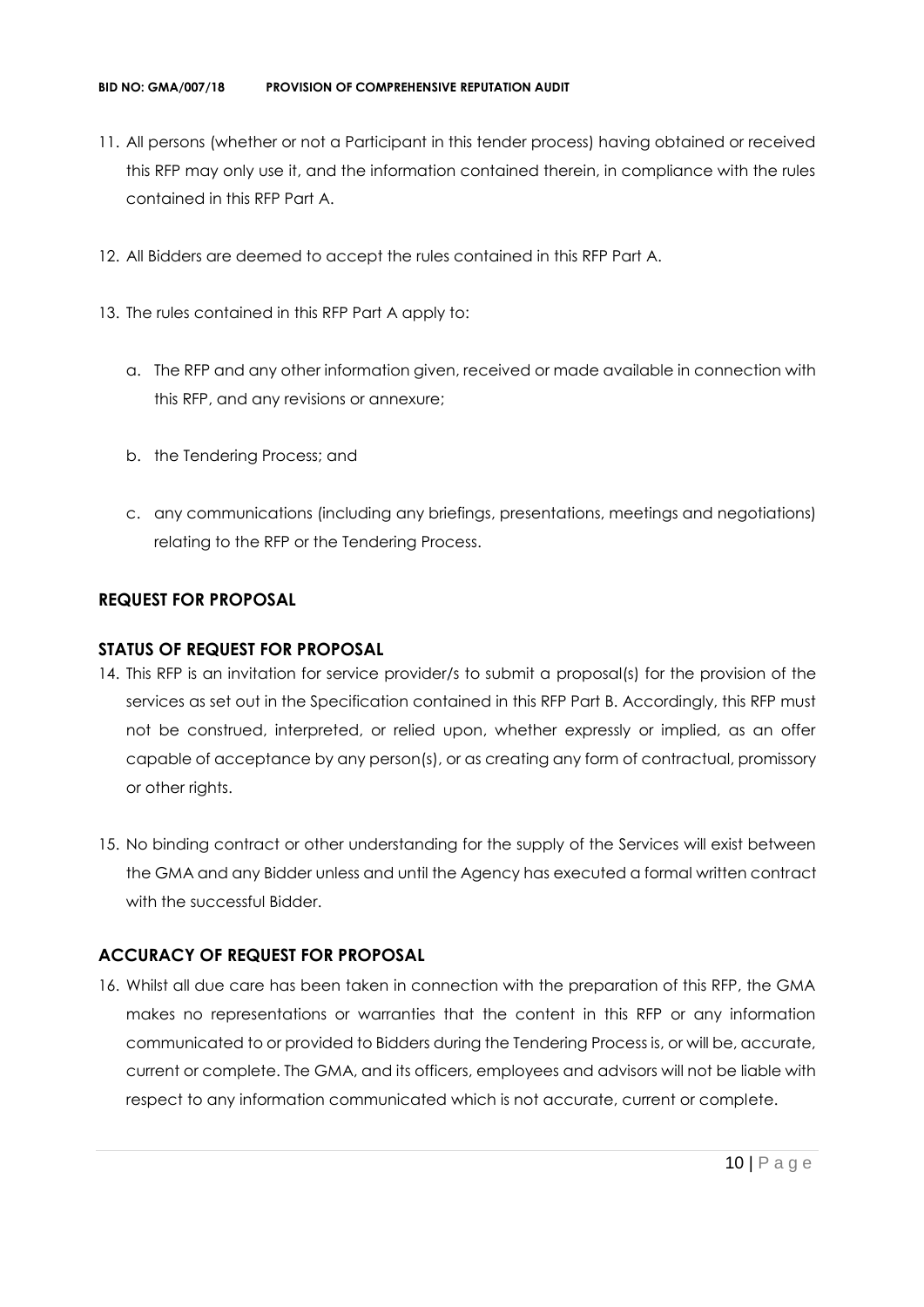- 11. All persons (whether or not a Participant in this tender process) having obtained or received this RFP may only use it, and the information contained therein, in compliance with the rules contained in this RFP Part A.
- 12. All Bidders are deemed to accept the rules contained in this RFP Part A.
- 13. The rules contained in this RFP Part A apply to:
	- a. The RFP and any other information given, received or made available in connection with this RFP, and any revisions or annexure;
	- b. the Tendering Process; and
	- c. any communications (including any briefings, presentations, meetings and negotiations) relating to the RFP or the Tendering Process.

## **REQUEST FOR PROPOSAL**

#### **STATUS OF REQUEST FOR PROPOSAL**

- 14. This RFP is an invitation for service provider/s to submit a proposal(s) for the provision of the services as set out in the Specification contained in this RFP Part B. Accordingly, this RFP must not be construed, interpreted, or relied upon, whether expressly or implied, as an offer capable of acceptance by any person(s), or as creating any form of contractual, promissory or other rights.
- 15. No binding contract or other understanding for the supply of the Services will exist between the GMA and any Bidder unless and until the Agency has executed a formal written contract with the successful Bidder.

# **ACCURACY OF REQUEST FOR PROPOSAL**

16. Whilst all due care has been taken in connection with the preparation of this RFP, the GMA makes no representations or warranties that the content in this RFP or any information communicated to or provided to Bidders during the Tendering Process is, or will be, accurate, current or complete. The GMA, and its officers, employees and advisors will not be liable with respect to any information communicated which is not accurate, current or complete.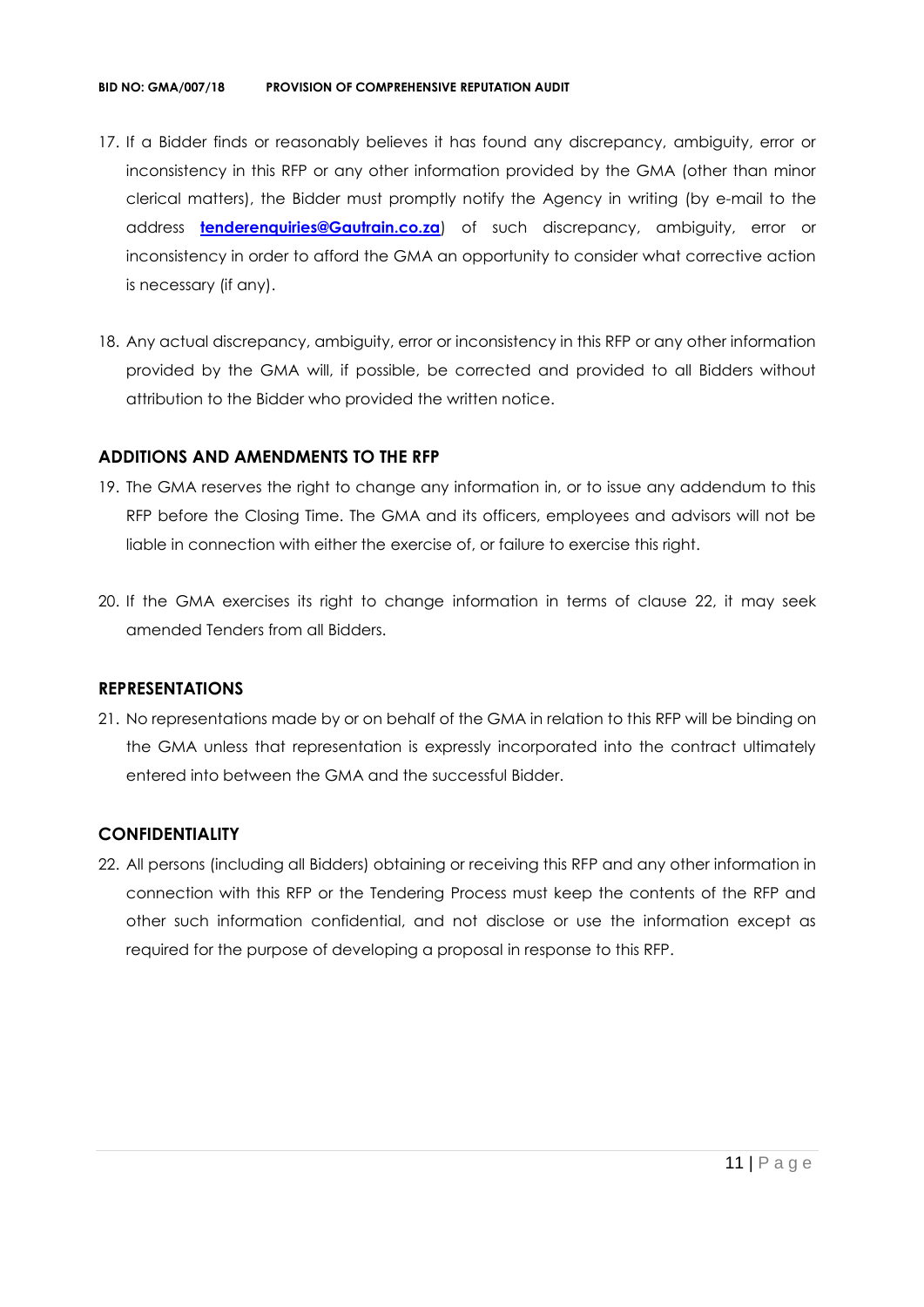- 17. If a Bidder finds or reasonably believes it has found any discrepancy, ambiguity, error or inconsistency in this RFP or any other information provided by the GMA (other than minor clerical matters), the Bidder must promptly notify the Agency in writing (by e-mail to the address **[tenderenquiries@Gautrain.co.za](mailto:tenderenquiries@gautrainpo.co.za)**) of such discrepancy, ambiguity, error or inconsistency in order to afford the GMA an opportunity to consider what corrective action is necessary (if any).
- 18. Any actual discrepancy, ambiguity, error or inconsistency in this RFP or any other information provided by the GMA will, if possible, be corrected and provided to all Bidders without attribution to the Bidder who provided the written notice.

#### **ADDITIONS AND AMENDMENTS TO THE RFP**

- 19. The GMA reserves the right to change any information in, or to issue any addendum to this RFP before the Closing Time. The GMA and its officers, employees and advisors will not be liable in connection with either the exercise of, or failure to exercise this right.
- 20. If the GMA exercises its right to change information in terms of clause 22, it may seek amended Tenders from all Bidders.

#### **REPRESENTATIONS**

21. No representations made by or on behalf of the GMA in relation to this RFP will be binding on the GMA unless that representation is expressly incorporated into the contract ultimately entered into between the GMA and the successful Bidder.

#### **CONFIDENTIALITY**

22. All persons (including all Bidders) obtaining or receiving this RFP and any other information in connection with this RFP or the Tendering Process must keep the contents of the RFP and other such information confidential, and not disclose or use the information except as required for the purpose of developing a proposal in response to this RFP.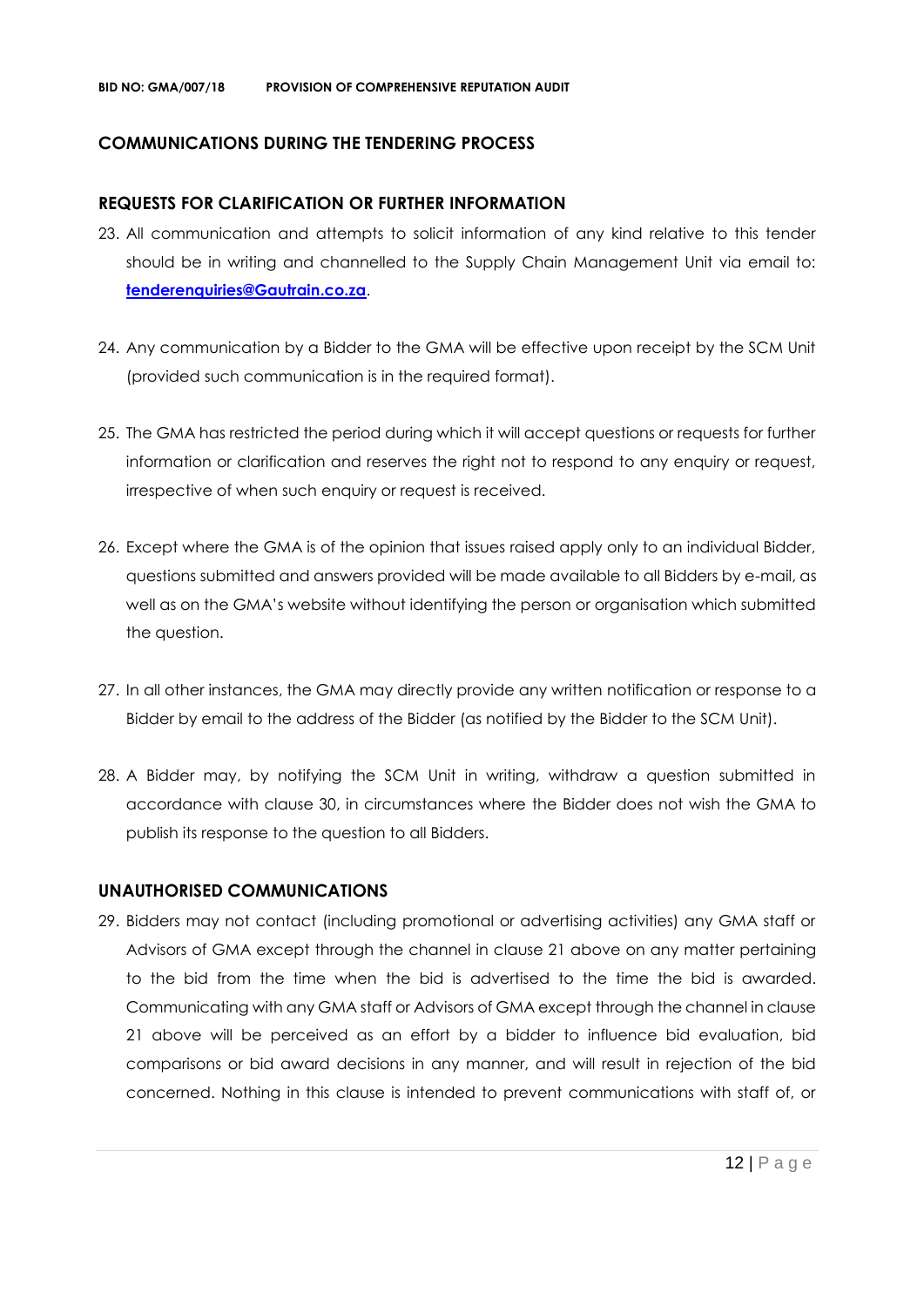#### **COMMUNICATIONS DURING THE TENDERING PROCESS**

#### **REQUESTS FOR CLARIFICATION OR FURTHER INFORMATION**

- 23. All communication and attempts to solicit information of any kind relative to this tender should be in writing and channelled to the Supply Chain Management Unit via email to: **[tenderenquiries@Gautrain.co.za](mailto:tenderenquiries@gautrainpo.co.za)**.
- 24. Any communication by a Bidder to the GMA will be effective upon receipt by the SCM Unit (provided such communication is in the required format).
- 25. The GMA has restricted the period during which it will accept questions or requests for further information or clarification and reserves the right not to respond to any enquiry or request, irrespective of when such enquiry or request is received.
- 26. Except where the GMA is of the opinion that issues raised apply only to an individual Bidder, questions submitted and answers provided will be made available to all Bidders by e-mail, as well as on the GMA's website without identifying the person or organisation which submitted the question.
- 27. In all other instances, the GMA may directly provide any written notification or response to a Bidder by email to the address of the Bidder (as notified by the Bidder to the SCM Unit).
- 28. A Bidder may, by notifying the SCM Unit in writing, withdraw a question submitted in accordance with clause 30, in circumstances where the Bidder does not wish the GMA to publish its response to the question to all Bidders.

#### **UNAUTHORISED COMMUNICATIONS**

29. Bidders may not contact (including promotional or advertising activities) any GMA staff or Advisors of GMA except through the channel in clause 21 above on any matter pertaining to the bid from the time when the bid is advertised to the time the bid is awarded. Communicating with any GMA staff or Advisors of GMA except through the channel in clause 21 above will be perceived as an effort by a bidder to influence bid evaluation, bid comparisons or bid award decisions in any manner, and will result in rejection of the bid concerned. Nothing in this clause is intended to prevent communications with staff of, or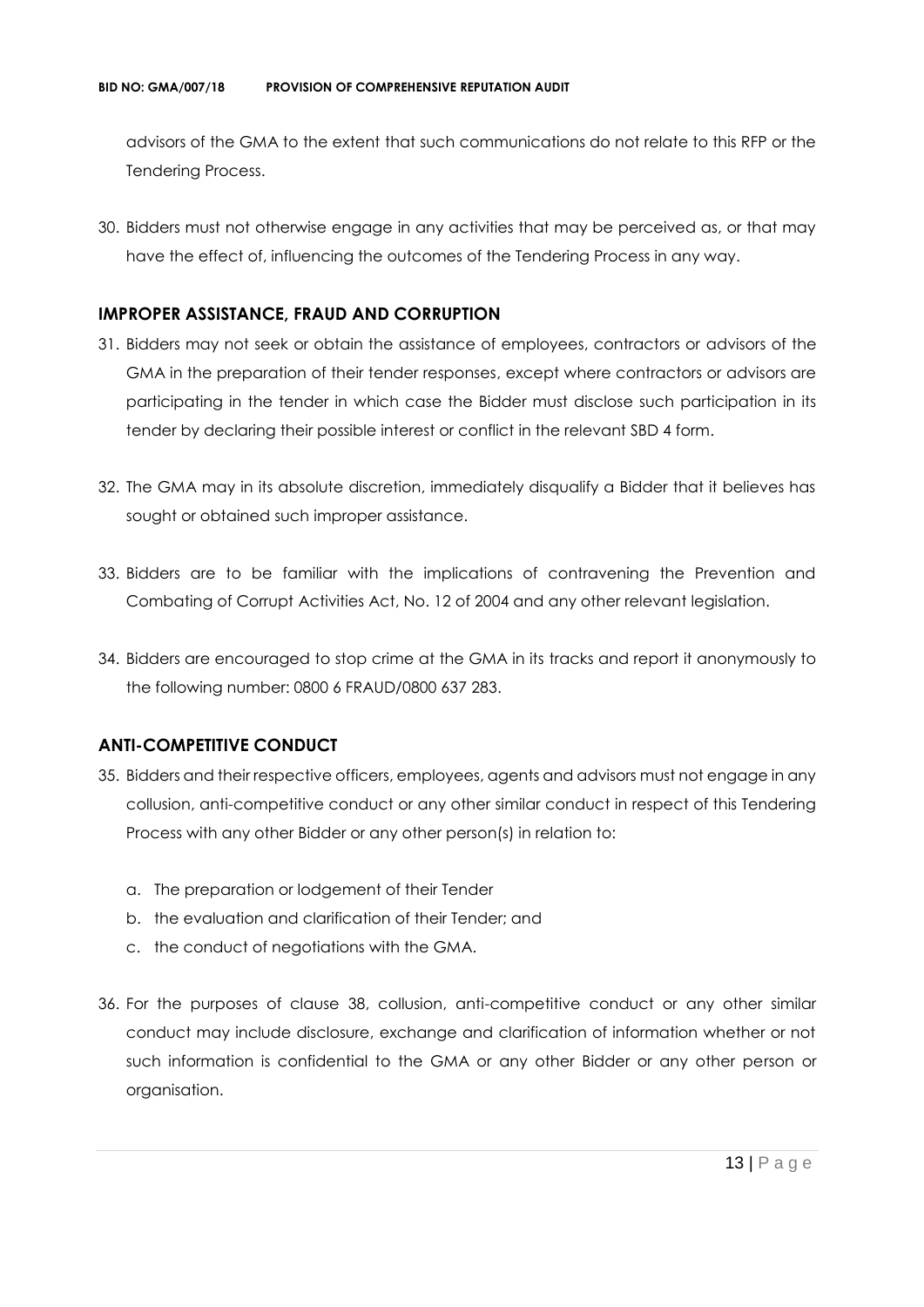advisors of the GMA to the extent that such communications do not relate to this RFP or the Tendering Process.

30. Bidders must not otherwise engage in any activities that may be perceived as, or that may have the effect of, influencing the outcomes of the Tendering Process in any way.

#### **IMPROPER ASSISTANCE, FRAUD AND CORRUPTION**

- 31. Bidders may not seek or obtain the assistance of employees, contractors or advisors of the GMA in the preparation of their tender responses, except where contractors or advisors are participating in the tender in which case the Bidder must disclose such participation in its tender by declaring their possible interest or conflict in the relevant SBD 4 form.
- 32. The GMA may in its absolute discretion, immediately disqualify a Bidder that it believes has sought or obtained such improper assistance.
- 33. Bidders are to be familiar with the implications of contravening the Prevention and Combating of Corrupt Activities Act, No. 12 of 2004 and any other relevant legislation.
- 34. Bidders are encouraged to stop crime at the GMA in its tracks and report it anonymously to the following number: 0800 6 FRAUD/0800 637 283.

## **ANTI-COMPETITIVE CONDUCT**

- 35. Bidders and their respective officers, employees, agents and advisors must not engage in any collusion, anti-competitive conduct or any other similar conduct in respect of this Tendering Process with any other Bidder or any other person(s) in relation to:
	- a. The preparation or lodgement of their Tender
	- b. the evaluation and clarification of their Tender; and
	- c. the conduct of negotiations with the GMA.
- 36. For the purposes of clause 38, collusion, anti-competitive conduct or any other similar conduct may include disclosure, exchange and clarification of information whether or not such information is confidential to the GMA or any other Bidder or any other person or organisation.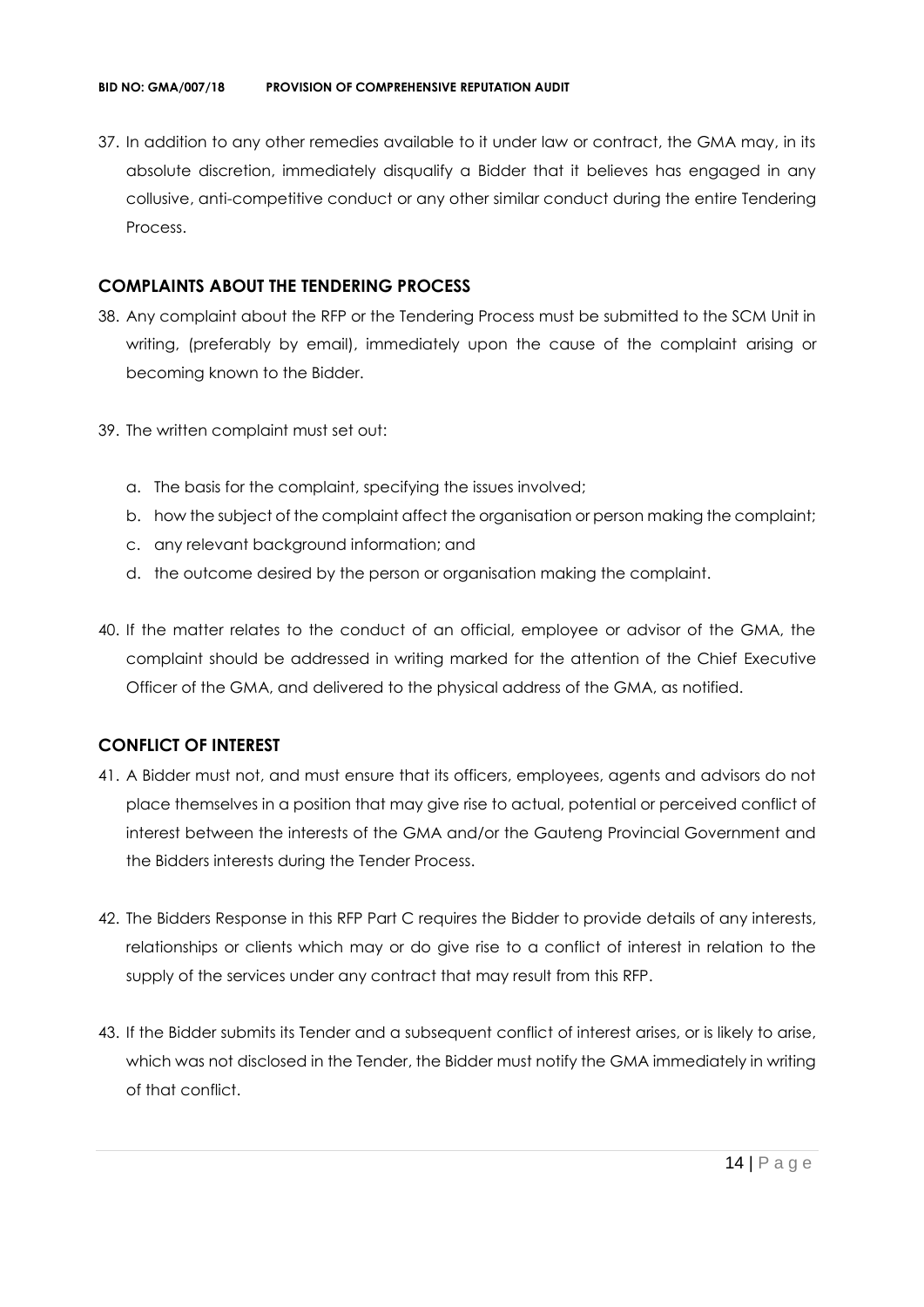37. In addition to any other remedies available to it under law or contract, the GMA may, in its absolute discretion, immediately disqualify a Bidder that it believes has engaged in any collusive, anti-competitive conduct or any other similar conduct during the entire Tendering Process.

#### **COMPLAINTS ABOUT THE TENDERING PROCESS**

- 38. Any complaint about the RFP or the Tendering Process must be submitted to the SCM Unit in writing, (preferably by email), immediately upon the cause of the complaint arising or becoming known to the Bidder.
- 39. The written complaint must set out:
	- a. The basis for the complaint, specifying the issues involved;
	- b. how the subject of the complaint affect the organisation or person making the complaint;
	- c. any relevant background information; and
	- d. the outcome desired by the person or organisation making the complaint.
- 40. If the matter relates to the conduct of an official, employee or advisor of the GMA, the complaint should be addressed in writing marked for the attention of the Chief Executive Officer of the GMA, and delivered to the physical address of the GMA, as notified.

#### **CONFLICT OF INTEREST**

- 41. A Bidder must not, and must ensure that its officers, employees, agents and advisors do not place themselves in a position that may give rise to actual, potential or perceived conflict of interest between the interests of the GMA and/or the Gauteng Provincial Government and the Bidders interests during the Tender Process.
- 42. The Bidders Response in this RFP Part C requires the Bidder to provide details of any interests, relationships or clients which may or do give rise to a conflict of interest in relation to the supply of the services under any contract that may result from this RFP.
- 43. If the Bidder submits its Tender and a subsequent conflict of interest arises, or is likely to arise, which was not disclosed in the Tender, the Bidder must notify the GMA immediately in writing of that conflict.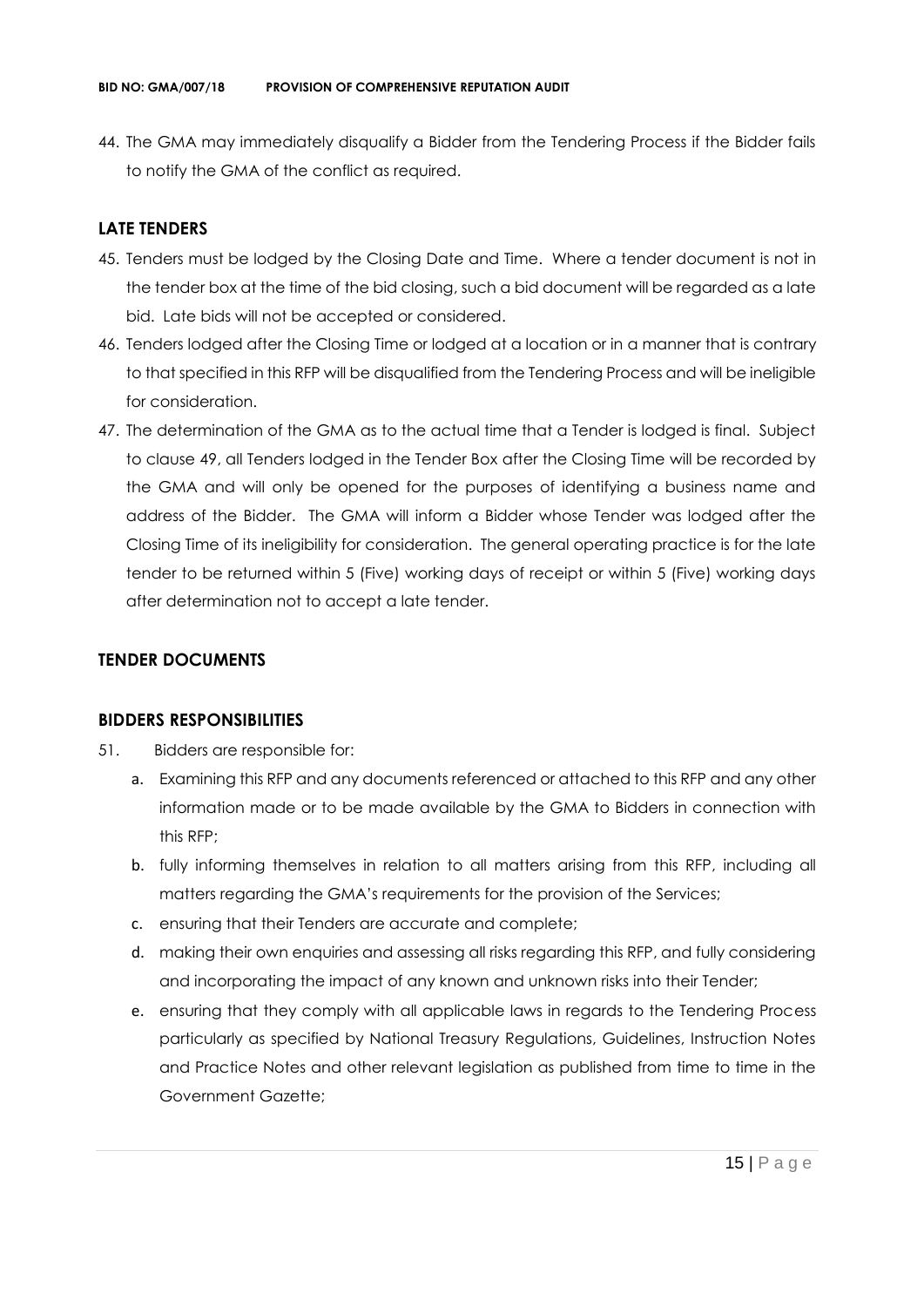44. The GMA may immediately disqualify a Bidder from the Tendering Process if the Bidder fails to notify the GMA of the conflict as required.

#### **LATE TENDERS**

- 45. Tenders must be lodged by the Closing Date and Time. Where a tender document is not in the tender box at the time of the bid closing, such a bid document will be regarded as a late bid. Late bids will not be accepted or considered.
- 46. Tenders lodged after the Closing Time or lodged at a location or in a manner that is contrary to that specified in this RFP will be disqualified from the Tendering Process and will be ineligible for consideration.
- 47. The determination of the GMA as to the actual time that a Tender is lodged is final. Subject to clause 49, all Tenders lodged in the Tender Box after the Closing Time will be recorded by the GMA and will only be opened for the purposes of identifying a business name and address of the Bidder. The GMA will inform a Bidder whose Tender was lodged after the Closing Time of its ineligibility for consideration. The general operating practice is for the late tender to be returned within 5 (Five) working days of receipt or within 5 (Five) working days after determination not to accept a late tender.

#### **TENDER DOCUMENTS**

#### **BIDDERS RESPONSIBILITIES**

- 51. Bidders are responsible for:
	- a. Examining this RFP and any documents referenced or attached to this RFP and any other information made or to be made available by the GMA to Bidders in connection with this RFP;
	- b. fully informing themselves in relation to all matters arising from this RFP, including all matters regarding the GMA's requirements for the provision of the Services;
	- c. ensuring that their Tenders are accurate and complete;
	- d. making their own enquiries and assessing all risks regarding this RFP, and fully considering and incorporating the impact of any known and unknown risks into their Tender;
	- e. ensuring that they comply with all applicable laws in regards to the Tendering Process particularly as specified by National Treasury Regulations, Guidelines, Instruction Notes and Practice Notes and other relevant legislation as published from time to time in the Government Gazette;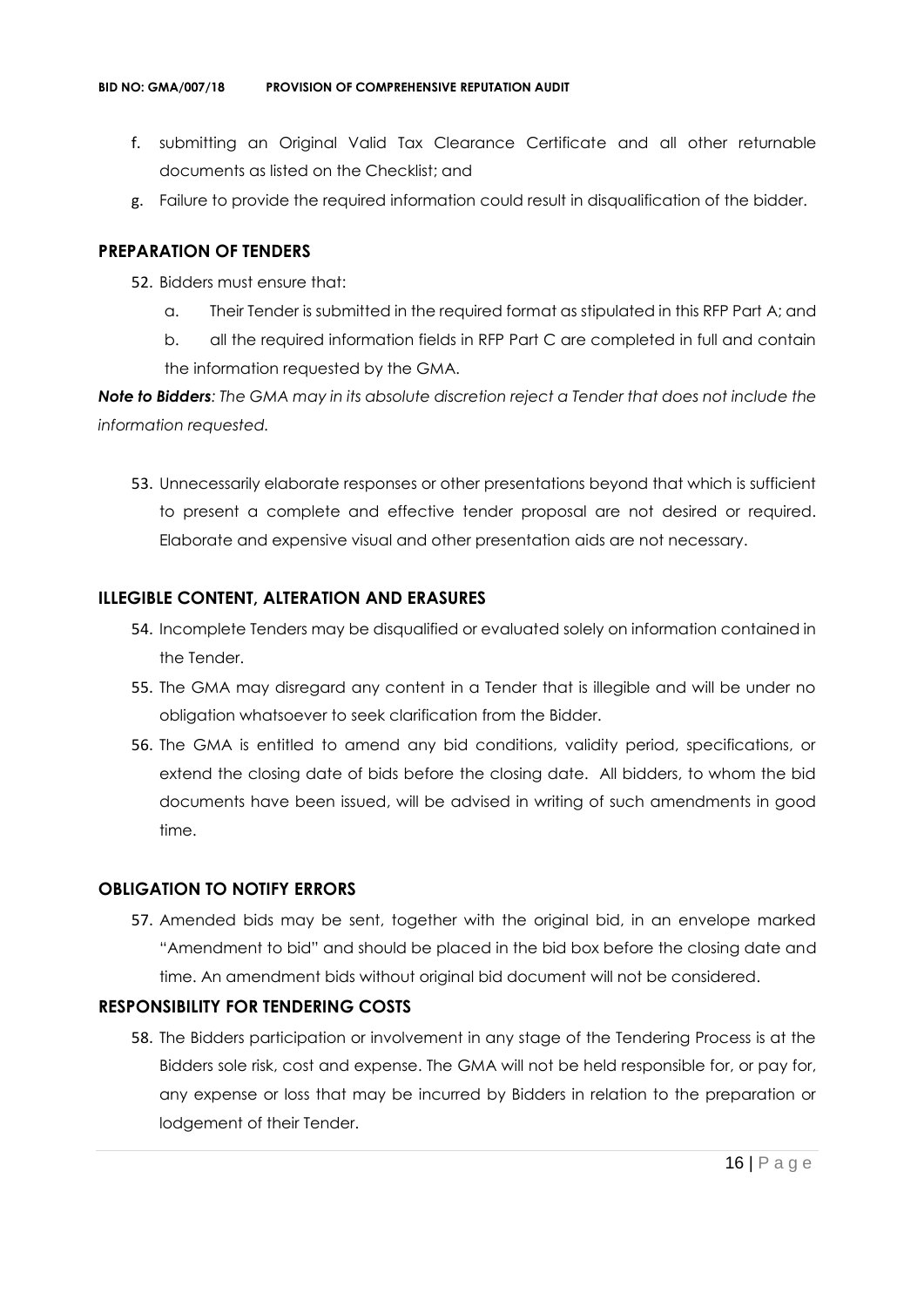- f. submitting an Original Valid Tax Clearance Certificate and all other returnable documents as listed on the Checklist; and
- g. Failure to provide the required information could result in disqualification of the bidder.

#### **PREPARATION OF TENDERS**

- 52. Bidders must ensure that:
	- a. Their Tender is submitted in the required format as stipulated in this RFP Part A; and
	- b. all the required information fields in RFP Part C are completed in full and contain the information requested by the GMA.

*Note to Bidders: The GMA may in its absolute discretion reject a Tender that does not include the information requested.*

53. Unnecessarily elaborate responses or other presentations beyond that which is sufficient to present a complete and effective tender proposal are not desired or required. Elaborate and expensive visual and other presentation aids are not necessary.

#### **ILLEGIBLE CONTENT, ALTERATION AND ERASURES**

- 54. Incomplete Tenders may be disqualified or evaluated solely on information contained in the Tender.
- 55. The GMA may disregard any content in a Tender that is illegible and will be under no obligation whatsoever to seek clarification from the Bidder.
- 56. The GMA is entitled to amend any bid conditions, validity period, specifications, or extend the closing date of bids before the closing date. All bidders, to whom the bid documents have been issued, will be advised in writing of such amendments in good time.

#### **OBLIGATION TO NOTIFY ERRORS**

57. Amended bids may be sent, together with the original bid, in an envelope marked "Amendment to bid" and should be placed in the bid box before the closing date and time. An amendment bids without original bid document will not be considered.

#### **RESPONSIBILITY FOR TENDERING COSTS**

58. The Bidders participation or involvement in any stage of the Tendering Process is at the Bidders sole risk, cost and expense. The GMA will not be held responsible for, or pay for, any expense or loss that may be incurred by Bidders in relation to the preparation or lodgement of their Tender.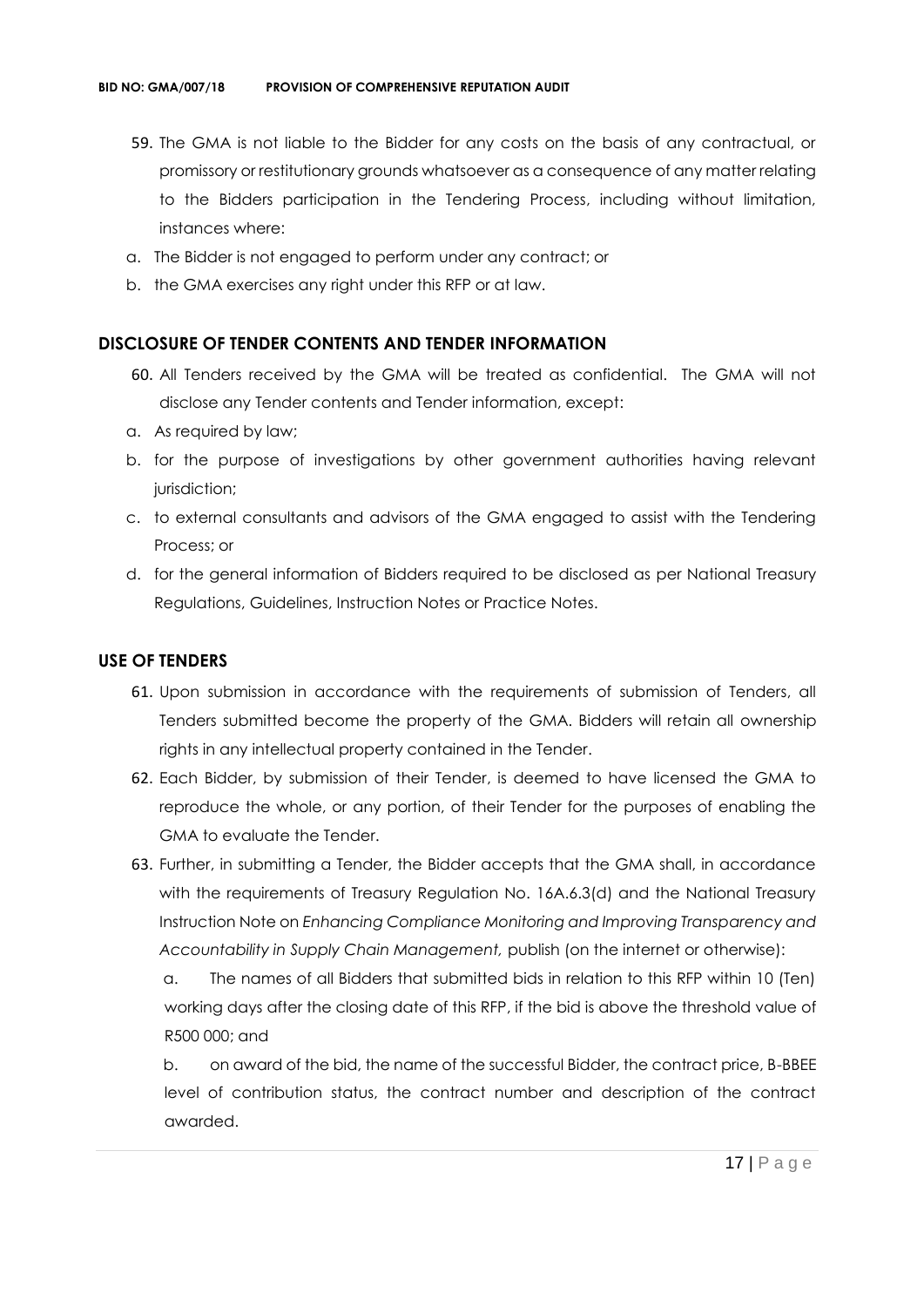- 59. The GMA is not liable to the Bidder for any costs on the basis of any contractual, or promissory or restitutionary grounds whatsoever as a consequence of any matter relating to the Bidders participation in the Tendering Process, including without limitation, instances where:
- a. The Bidder is not engaged to perform under any contract; or
- b. the GMA exercises any right under this RFP or at law.

#### **DISCLOSURE OF TENDER CONTENTS AND TENDER INFORMATION**

- 60. All Tenders received by the GMA will be treated as confidential. The GMA will not disclose any Tender contents and Tender information, except:
- a. As required by law;
- b. for the purpose of investigations by other government authorities having relevant jurisdiction;
- c. to external consultants and advisors of the GMA engaged to assist with the Tendering Process; or
- d. for the general information of Bidders required to be disclosed as per National Treasury Regulations, Guidelines, Instruction Notes or Practice Notes.

#### **USE OF TENDERS**

- 61. Upon submission in accordance with the requirements of submission of Tenders, all Tenders submitted become the property of the GMA. Bidders will retain all ownership rights in any intellectual property contained in the Tender.
- 62. Each Bidder, by submission of their Tender, is deemed to have licensed the GMA to reproduce the whole, or any portion, of their Tender for the purposes of enabling the GMA to evaluate the Tender.
- 63. Further, in submitting a Tender, the Bidder accepts that the GMA shall, in accordance with the requirements of Treasury Regulation No. 16A.6.3(d) and the National Treasury Instruction Note on *Enhancing Compliance Monitoring and Improving Transparency and Accountability in Supply Chain Management,* publish (on the internet or otherwise):

a. The names of all Bidders that submitted bids in relation to this RFP within 10 (Ten) working days after the closing date of this RFP, if the bid is above the threshold value of R500 000; and

b. on award of the bid, the name of the successful Bidder, the contract price, B-BBEE level of contribution status, the contract number and description of the contract awarded.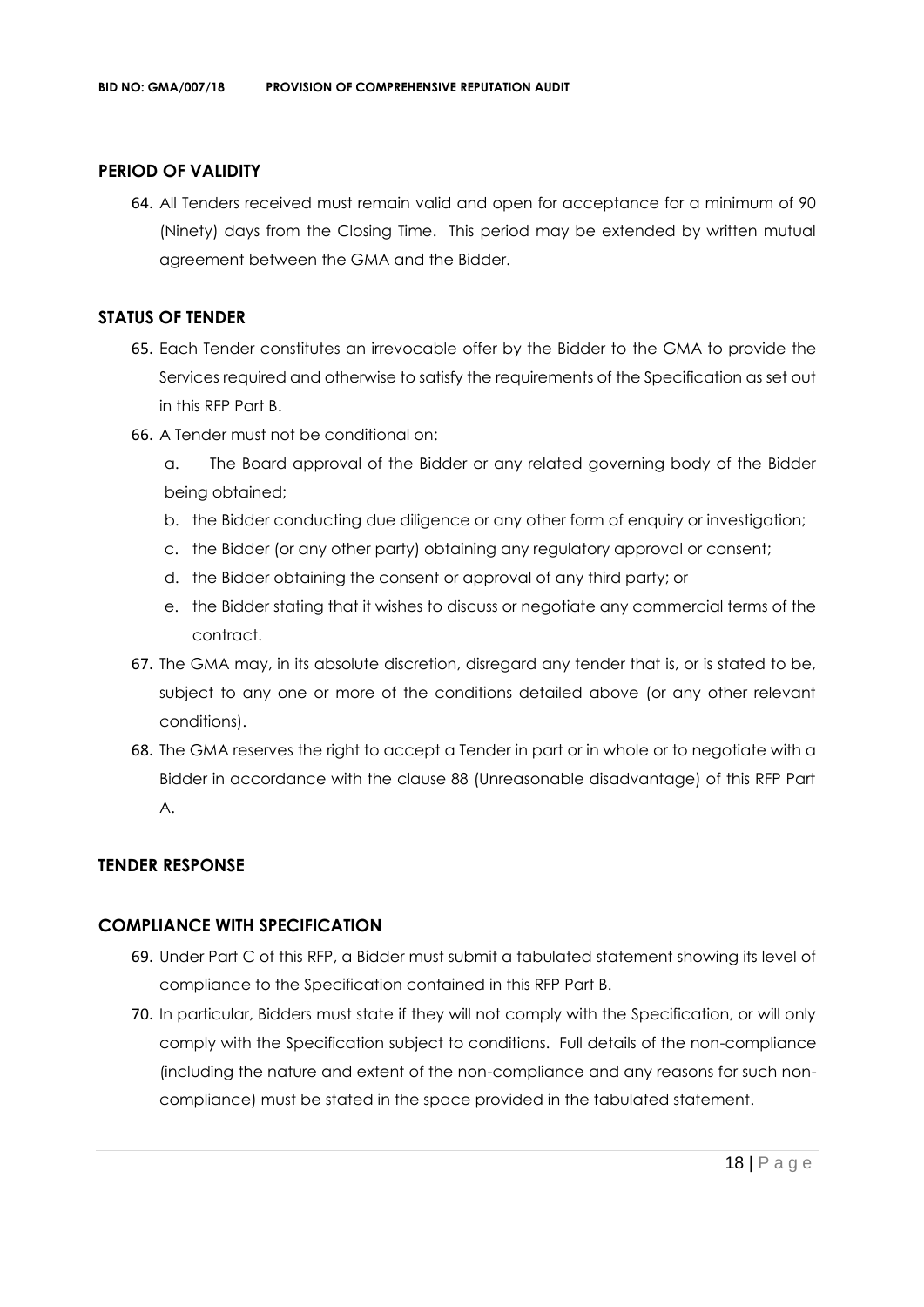#### **PERIOD OF VALIDITY**

64. All Tenders received must remain valid and open for acceptance for a minimum of 90 (Ninety) days from the Closing Time. This period may be extended by written mutual agreement between the GMA and the Bidder.

#### **STATUS OF TENDER**

- 65. Each Tender constitutes an irrevocable offer by the Bidder to the GMA to provide the Services required and otherwise to satisfy the requirements of the Specification as set out in this RFP Part B.
- 66. A Tender must not be conditional on:
	- a. The Board approval of the Bidder or any related governing body of the Bidder being obtained;
	- b. the Bidder conducting due diligence or any other form of enquiry or investigation;
	- c. the Bidder (or any other party) obtaining any regulatory approval or consent;
	- d. the Bidder obtaining the consent or approval of any third party; or
	- e. the Bidder stating that it wishes to discuss or negotiate any commercial terms of the contract.
- 67. The GMA may, in its absolute discretion, disregard any tender that is, or is stated to be, subject to any one or more of the conditions detailed above (or any other relevant conditions).
- 68. The GMA reserves the right to accept a Tender in part or in whole or to negotiate with a Bidder in accordance with the clause 88 (Unreasonable disadvantage) of this RFP Part A.

#### **TENDER RESPONSE**

#### **COMPLIANCE WITH SPECIFICATION**

- 69. Under Part C of this RFP, a Bidder must submit a tabulated statement showing its level of compliance to the Specification contained in this RFP Part B.
- 70. In particular, Bidders must state if they will not comply with the Specification, or will only comply with the Specification subject to conditions. Full details of the non-compliance (including the nature and extent of the non-compliance and any reasons for such noncompliance) must be stated in the space provided in the tabulated statement.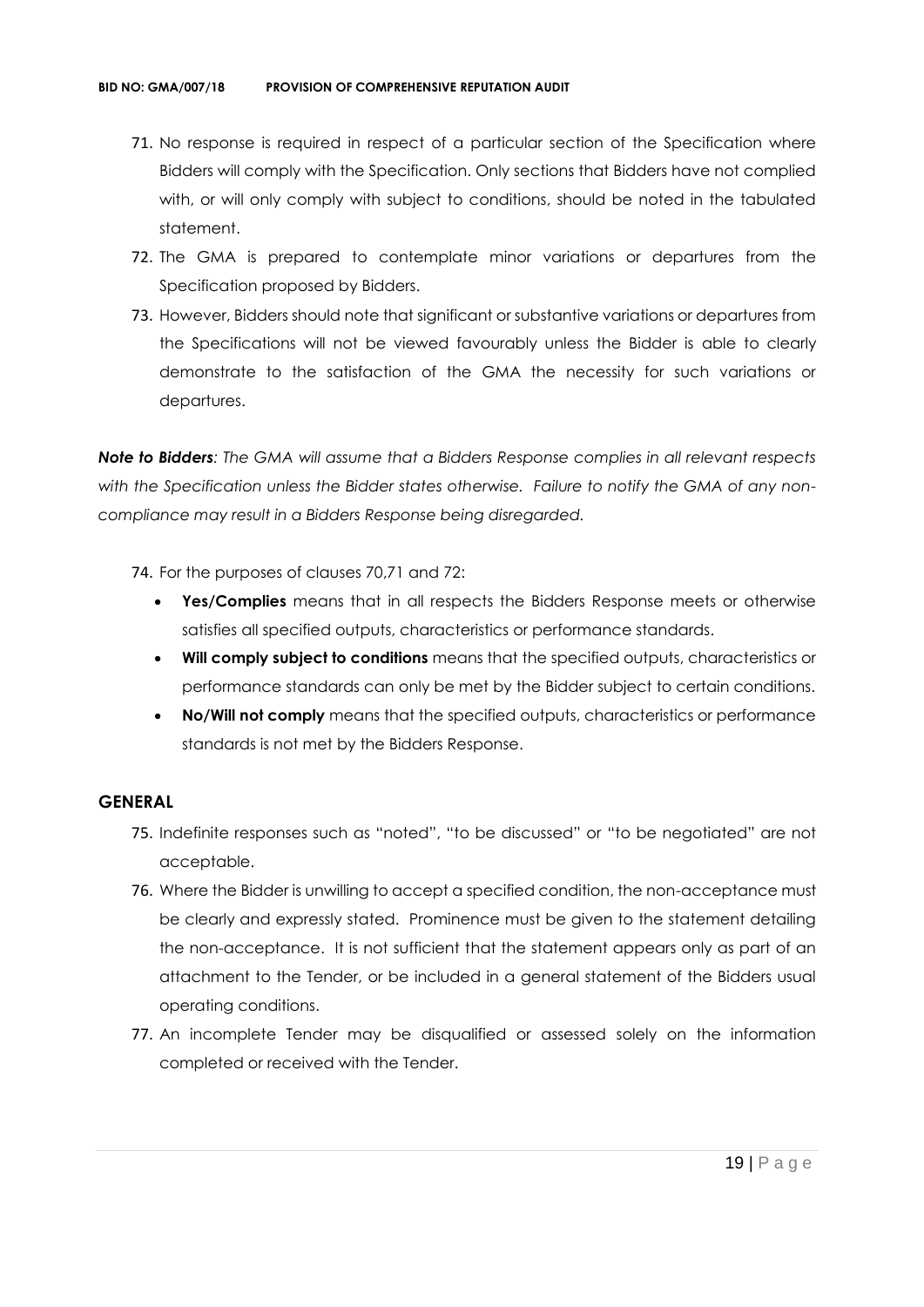- 71. No response is required in respect of a particular section of the Specification where Bidders will comply with the Specification. Only sections that Bidders have not complied with, or will only comply with subject to conditions, should be noted in the tabulated statement.
- 72. The GMA is prepared to contemplate minor variations or departures from the Specification proposed by Bidders.
- 73. However, Bidders should note that significant or substantive variations or departures from the Specifications will not be viewed favourably unless the Bidder is able to clearly demonstrate to the satisfaction of the GMA the necessity for such variations or departures.

*Note to Bidders: The GMA will assume that a Bidders Response complies in all relevant respects with the Specification unless the Bidder states otherwise. Failure to notify the GMA of any noncompliance may result in a Bidders Response being disregarded.*

- 74. For the purposes of clauses 70,71 and 72:
	- **Yes/Complies** means that in all respects the Bidders Response meets or otherwise satisfies all specified outputs, characteristics or performance standards.
	- **Will comply subject to conditions** means that the specified outputs, characteristics or performance standards can only be met by the Bidder subject to certain conditions.
	- **No/Will not comply** means that the specified outputs, characteristics or performance standards is not met by the Bidders Response.

#### **GENERAL**

- 75. Indefinite responses such as "noted", "to be discussed" or "to be negotiated" are not acceptable.
- 76. Where the Bidder is unwilling to accept a specified condition, the non-acceptance must be clearly and expressly stated. Prominence must be given to the statement detailing the non-acceptance. It is not sufficient that the statement appears only as part of an attachment to the Tender, or be included in a general statement of the Bidders usual operating conditions.
- 77. An incomplete Tender may be disqualified or assessed solely on the information completed or received with the Tender.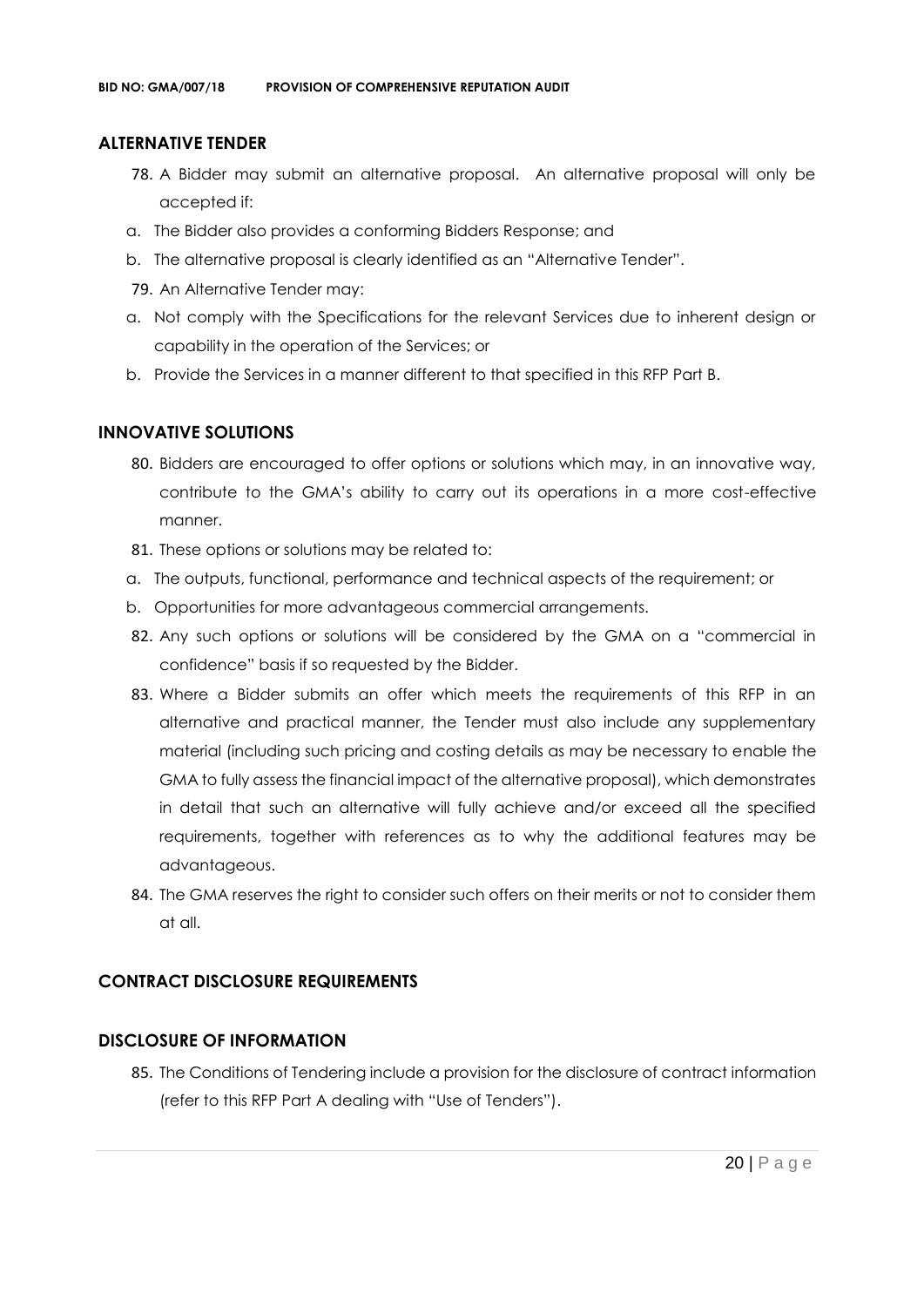#### **ALTERNATIVE TENDER**

- 78. A Bidder may submit an alternative proposal. An alternative proposal will only be accepted if:
- a. The Bidder also provides a conforming Bidders Response; and
- b. The alternative proposal is clearly identified as an "Alternative Tender".
- 79. An Alternative Tender may:
- a. Not comply with the Specifications for the relevant Services due to inherent design or capability in the operation of the Services; or
- b. Provide the Services in a manner different to that specified in this RFP Part B.

#### **INNOVATIVE SOLUTIONS**

- 80. Bidders are encouraged to offer options or solutions which may, in an innovative way, contribute to the GMA's ability to carry out its operations in a more cost-effective manner.
- 81. These options or solutions may be related to:
- a. The outputs, functional, performance and technical aspects of the requirement; or
- b. Opportunities for more advantageous commercial arrangements.
- 82. Any such options or solutions will be considered by the GMA on a "commercial in confidence" basis if so requested by the Bidder.
- 83. Where a Bidder submits an offer which meets the requirements of this RFP in an alternative and practical manner, the Tender must also include any supplementary material (including such pricing and costing details as may be necessary to enable the GMA to fully assess the financial impact of the alternative proposal), which demonstrates in detail that such an alternative will fully achieve and/or exceed all the specified requirements, together with references as to why the additional features may be advantageous.
- 84. The GMA reserves the right to consider such offers on their merits or not to consider them at all.

## **CONTRACT DISCLOSURE REQUIREMENTS**

#### **DISCLOSURE OF INFORMATION**

85. The Conditions of Tendering include a provision for the disclosure of contract information (refer to this RFP Part A dealing with "Use of Tenders").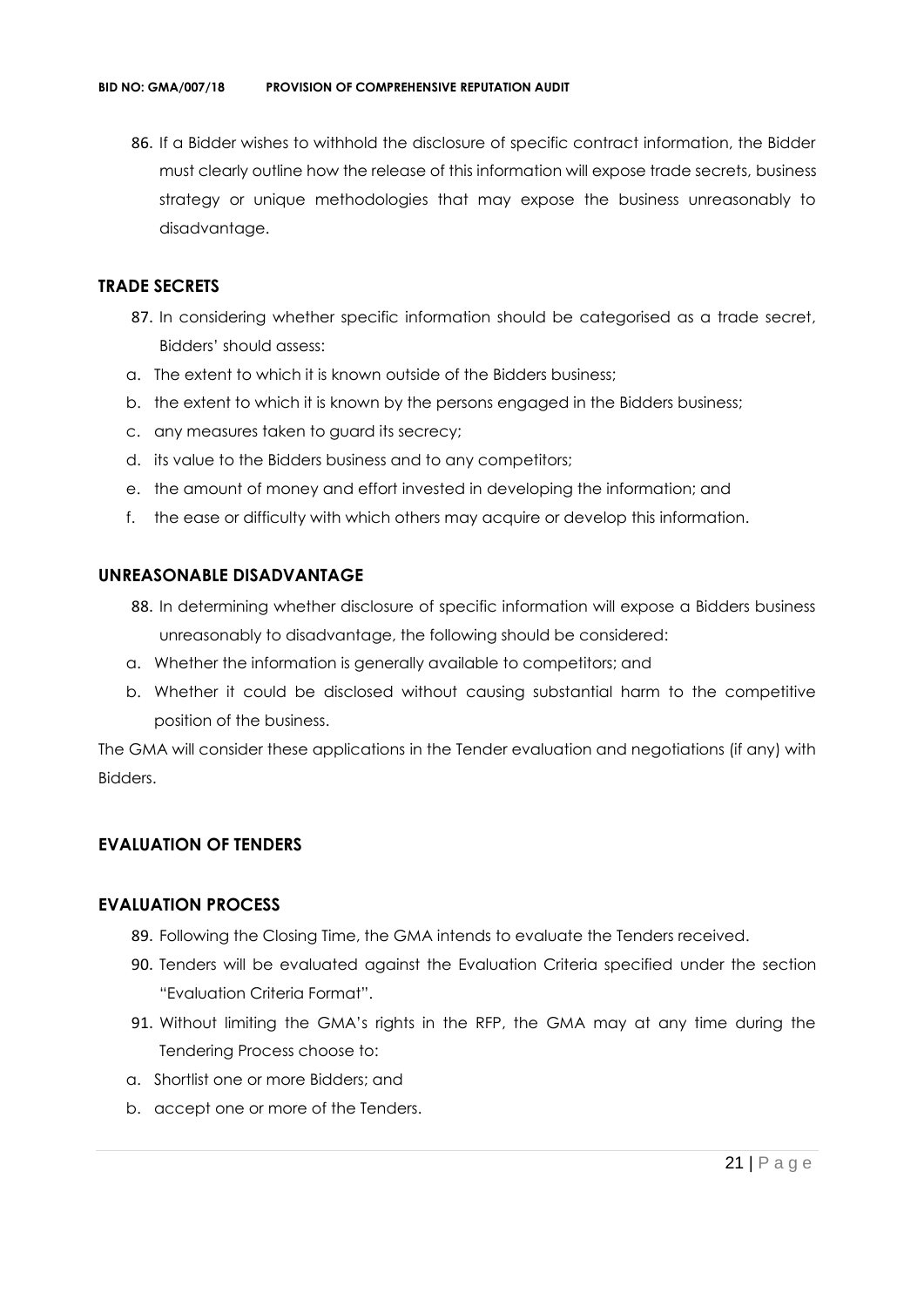86. If a Bidder wishes to withhold the disclosure of specific contract information, the Bidder must clearly outline how the release of this information will expose trade secrets, business strategy or unique methodologies that may expose the business unreasonably to disadvantage.

#### **TRADE SECRETS**

- 87. In considering whether specific information should be categorised as a trade secret, Bidders' should assess:
- a. The extent to which it is known outside of the Bidders business;
- b. the extent to which it is known by the persons engaged in the Bidders business;
- c. any measures taken to guard its secrecy;
- d. its value to the Bidders business and to any competitors;
- e. the amount of money and effort invested in developing the information; and
- f. the ease or difficulty with which others may acquire or develop this information.

#### **UNREASONABLE DISADVANTAGE**

- 88. In determining whether disclosure of specific information will expose a Bidders business unreasonably to disadvantage, the following should be considered:
- a. Whether the information is generally available to competitors; and
- b. Whether it could be disclosed without causing substantial harm to the competitive position of the business.

The GMA will consider these applications in the Tender evaluation and negotiations (if any) with Bidders.

## **EVALUATION OF TENDERS**

#### **EVALUATION PROCESS**

- 89. Following the Closing Time, the GMA intends to evaluate the Tenders received.
- 90. Tenders will be evaluated against the Evaluation Criteria specified under the section "Evaluation Criteria Format".
- 91. Without limiting the GMA's rights in the RFP, the GMA may at any time during the Tendering Process choose to:
- a. Shortlist one or more Bidders; and
- b. accept one or more of the Tenders.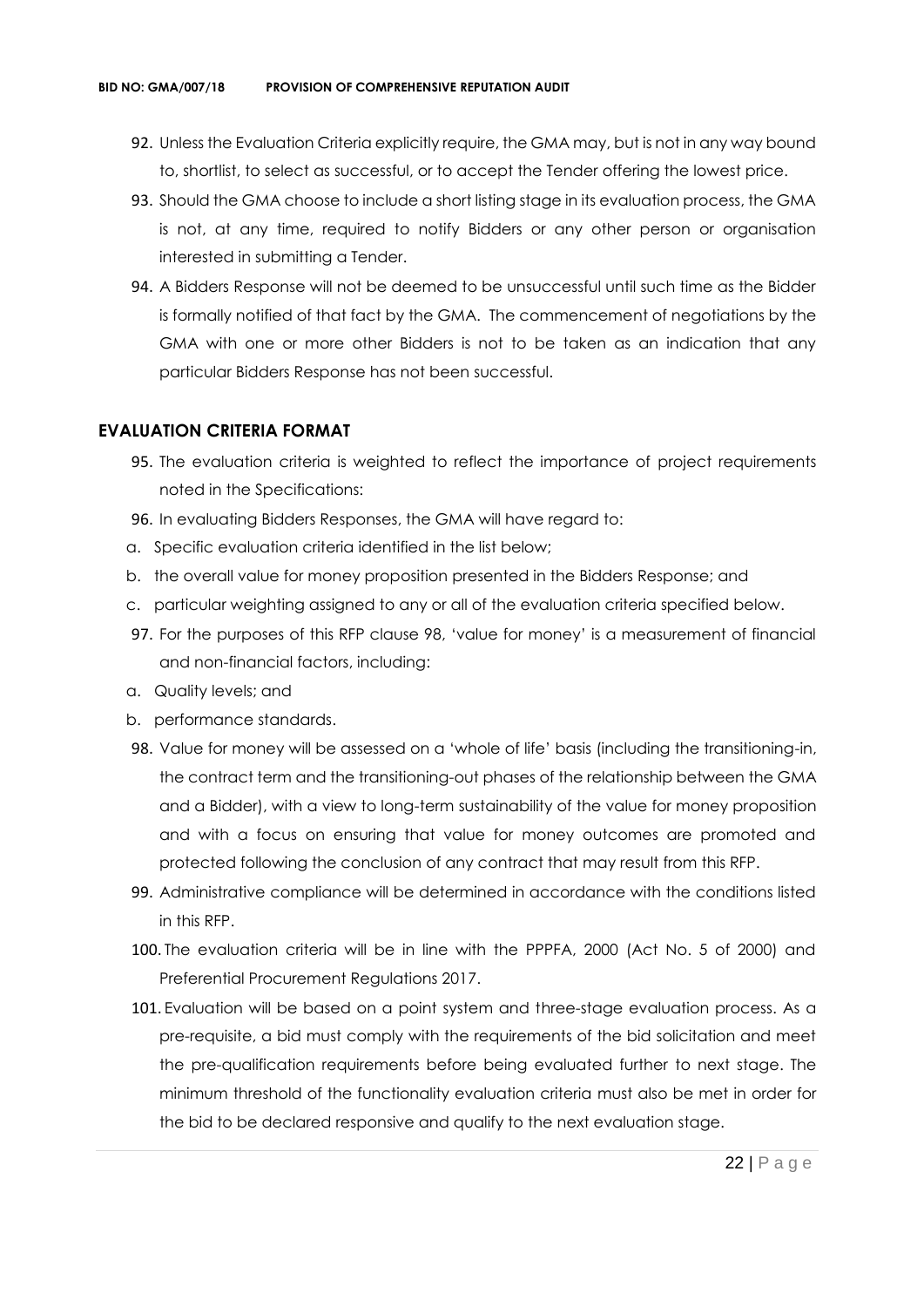- 92. Unless the Evaluation Criteria explicitly require, the GMA may, but is not in any way bound to, shortlist, to select as successful, or to accept the Tender offering the lowest price.
- 93. Should the GMA choose to include a short listing stage in its evaluation process, the GMA is not, at any time, required to notify Bidders or any other person or organisation interested in submitting a Tender.
- 94. A Bidders Response will not be deemed to be unsuccessful until such time as the Bidder is formally notified of that fact by the GMA. The commencement of negotiations by the GMA with one or more other Bidders is not to be taken as an indication that any particular Bidders Response has not been successful.

#### **EVALUATION CRITERIA FORMAT**

- 95. The evaluation criteria is weighted to reflect the importance of project requirements noted in the Specifications:
- 96. In evaluating Bidders Responses, the GMA will have regard to:
- a. Specific evaluation criteria identified in the list below;
- b. the overall value for money proposition presented in the Bidders Response; and
- c. particular weighting assigned to any or all of the evaluation criteria specified below.
- 97. For the purposes of this RFP clause 98, 'value for money' is a measurement of financial and non-financial factors, including:
- a. Quality levels; and
- b. performance standards.
- 98. Value for money will be assessed on a 'whole of life' basis (including the transitioning-in, the contract term and the transitioning-out phases of the relationship between the GMA and a Bidder), with a view to long-term sustainability of the value for money proposition and with a focus on ensuring that value for money outcomes are promoted and protected following the conclusion of any contract that may result from this RFP.
- 99. Administrative compliance will be determined in accordance with the conditions listed in this RFP.
- 100. The evaluation criteria will be in line with the PPPFA, 2000 (Act No. 5 of 2000) and Preferential Procurement Regulations 2017.
- 101. Evaluation will be based on a point system and three-stage evaluation process. As a pre-requisite, a bid must comply with the requirements of the bid solicitation and meet the pre-qualification requirements before being evaluated further to next stage. The minimum threshold of the functionality evaluation criteria must also be met in order for the bid to be declared responsive and qualify to the next evaluation stage.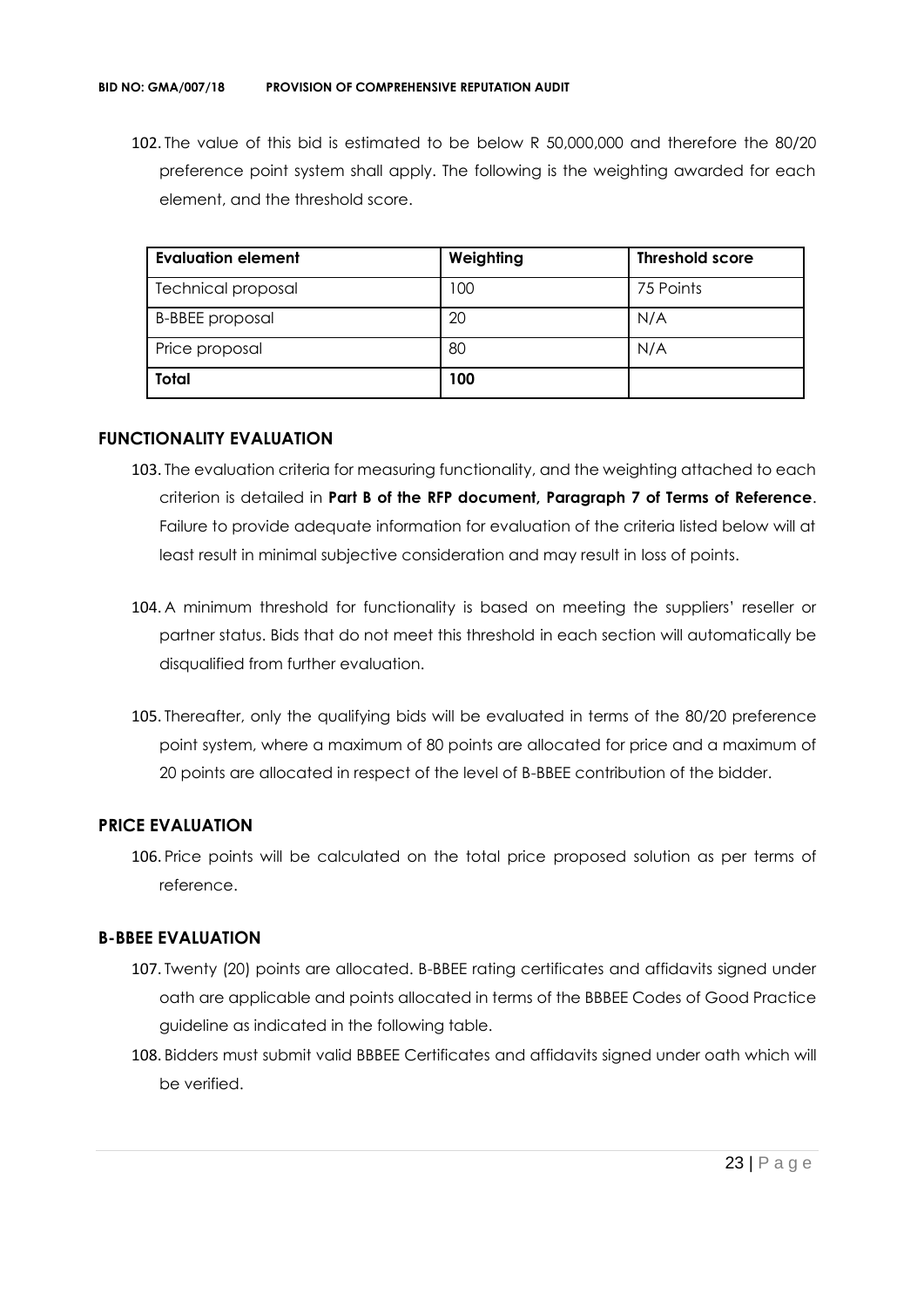102. The value of this bid is estimated to be below R 50,000,000 and therefore the 80/20 preference point system shall apply. The following is the weighting awarded for each element, and the threshold score.

| <b>Evaluation element</b> | Weighting | <b>Threshold score</b> |
|---------------------------|-----------|------------------------|
| <b>Technical proposal</b> | 100       | 75 Points              |
| <b>B-BBEE</b> proposal    | 20        | N/A                    |
| Price proposal            | 80        | N/A                    |
| <b>Total</b>              | 100       |                        |

#### **FUNCTIONALITY EVALUATION**

- 103. The evaluation criteria for measuring functionality, and the weighting attached to each criterion is detailed in **Part B of the RFP document, Paragraph 7 of Terms of Reference**. Failure to provide adequate information for evaluation of the criteria listed below will at least result in minimal subjective consideration and may result in loss of points.
- 104. A minimum threshold for functionality is based on meeting the suppliers' reseller or partner status. Bids that do not meet this threshold in each section will automatically be disqualified from further evaluation.
- 105. Thereafter, only the qualifying bids will be evaluated in terms of the 80/20 preference point system, where a maximum of 80 points are allocated for price and a maximum of 20 points are allocated in respect of the level of B-BBEE contribution of the bidder.

#### **PRICE EVALUATION**

106. Price points will be calculated on the total price proposed solution as per terms of reference.

#### **B-BBEE EVALUATION**

- 107. Twenty (20) points are allocated. B-BBEE rating certificates and affidavits signed under oath are applicable and points allocated in terms of the BBBEE Codes of Good Practice guideline as indicated in the following table.
- 108. Bidders must submit valid BBBEE Certificates and affidavits signed under oath which will be verified.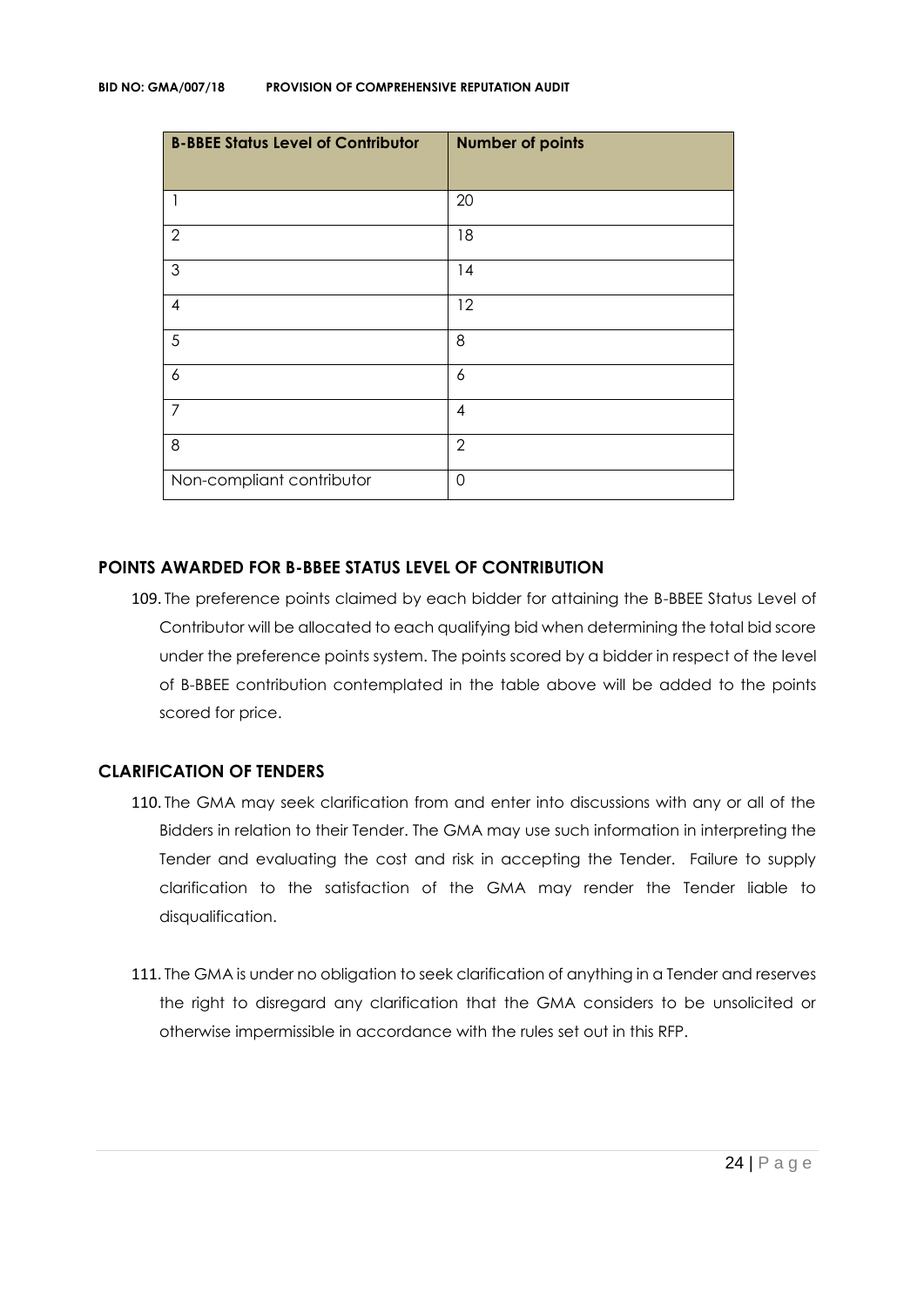| <b>B-BBEE Status Level of Contributor</b> | <b>Number of points</b> |
|-------------------------------------------|-------------------------|
| 1                                         | 20                      |
| $\overline{2}$                            | 18                      |
| 3                                         | 14                      |
| 4                                         | 12                      |
| 5                                         | 8                       |
| 6                                         | 6                       |
| $\overline{7}$                            | $\overline{4}$          |
| 8                                         | $\overline{2}$          |
| Non-compliant contributor                 | $\overline{0}$          |

#### **POINTS AWARDED FOR B-BBEE STATUS LEVEL OF CONTRIBUTION**

109. The preference points claimed by each bidder for attaining the B-BBEE Status Level of Contributor will be allocated to each qualifying bid when determining the total bid score under the preference points system. The points scored by a bidder in respect of the level of B-BBEE contribution contemplated in the table above will be added to the points scored for price.

#### **CLARIFICATION OF TENDERS**

- 110. The GMA may seek clarification from and enter into discussions with any or all of the Bidders in relation to their Tender. The GMA may use such information in interpreting the Tender and evaluating the cost and risk in accepting the Tender. Failure to supply clarification to the satisfaction of the GMA may render the Tender liable to disqualification.
- 111. The GMA is under no obligation to seek clarification of anything in a Tender and reserves the right to disregard any clarification that the GMA considers to be unsolicited or otherwise impermissible in accordance with the rules set out in this RFP.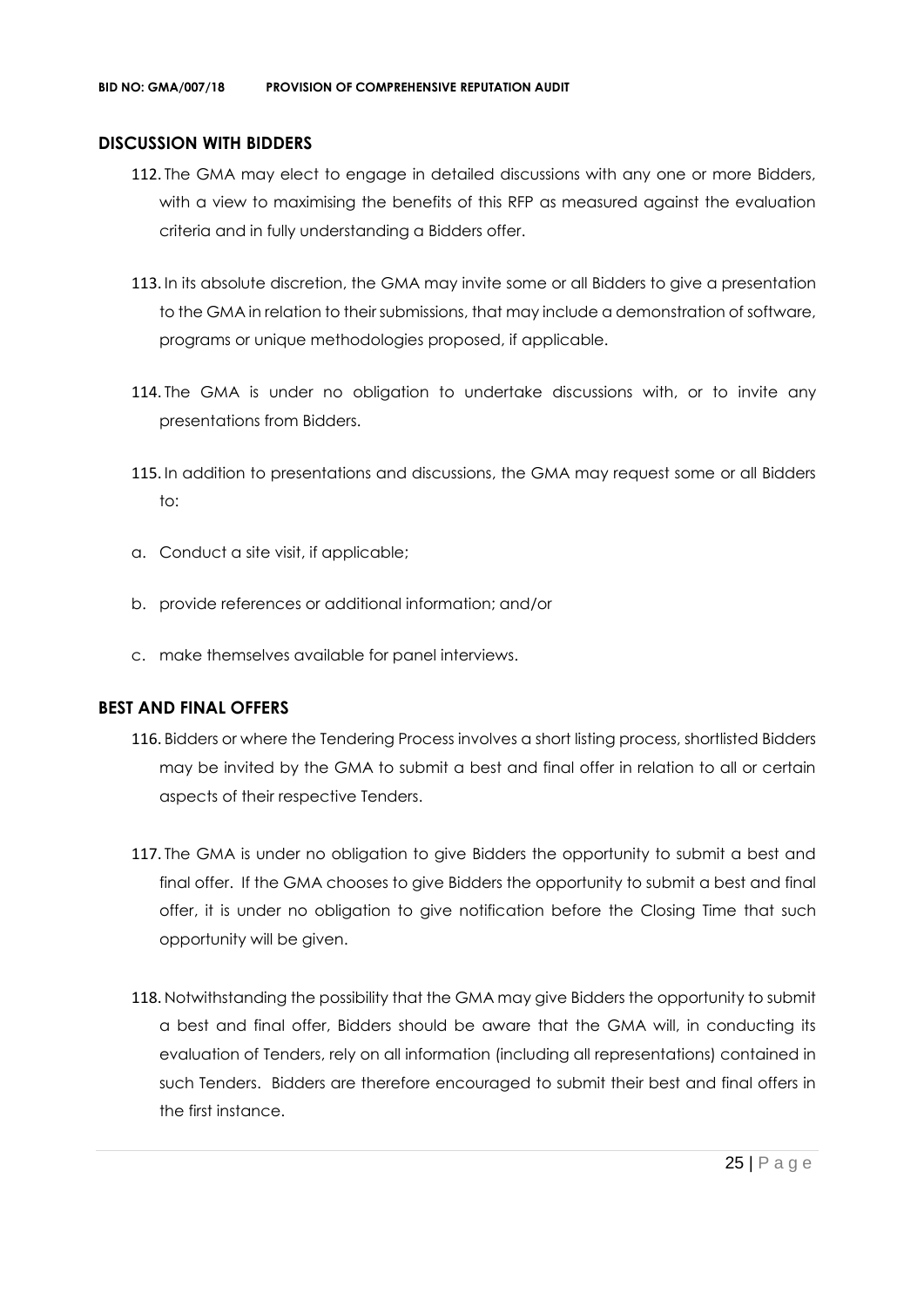#### **DISCUSSION WITH BIDDERS**

- 112. The GMA may elect to engage in detailed discussions with any one or more Bidders, with a view to maximising the benefits of this RFP as measured against the evaluation criteria and in fully understanding a Bidders offer.
- 113. In its absolute discretion, the GMA may invite some or all Bidders to give a presentation to the GMA in relation to their submissions, that may include a demonstration of software, programs or unique methodologies proposed, if applicable.
- 114. The GMA is under no obligation to undertake discussions with, or to invite any presentations from Bidders.
- 115. In addition to presentations and discussions, the GMA may request some or all Bidders to:
- a. Conduct a site visit, if applicable;
- b. provide references or additional information; and/or
- c. make themselves available for panel interviews.

#### **BEST AND FINAL OFFERS**

- 116. Bidders or where the Tendering Process involves a short listing process, shortlisted Bidders may be invited by the GMA to submit a best and final offer in relation to all or certain aspects of their respective Tenders.
- 117. The GMA is under no obligation to give Bidders the opportunity to submit a best and final offer. If the GMA chooses to give Bidders the opportunity to submit a best and final offer, it is under no obligation to give notification before the Closing Time that such opportunity will be given.
- 118. Notwithstanding the possibility that the GMA may give Bidders the opportunity to submit a best and final offer, Bidders should be aware that the GMA will, in conducting its evaluation of Tenders, rely on all information (including all representations) contained in such Tenders. Bidders are therefore encouraged to submit their best and final offers in the first instance.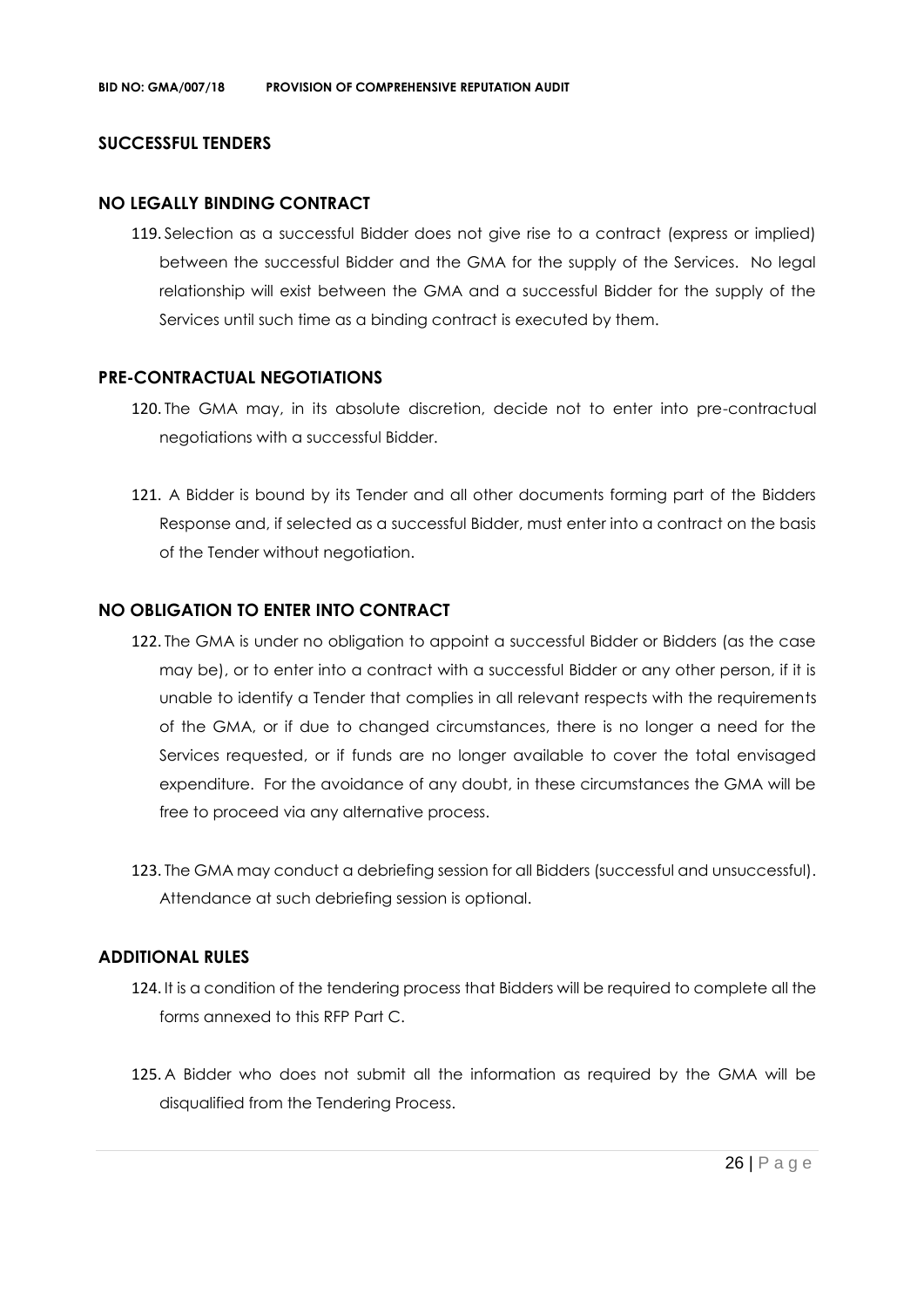#### **SUCCESSFUL TENDERS**

#### **NO LEGALLY BINDING CONTRACT**

119. Selection as a successful Bidder does not give rise to a contract (express or implied) between the successful Bidder and the GMA for the supply of the Services. No legal relationship will exist between the GMA and a successful Bidder for the supply of the Services until such time as a binding contract is executed by them.

#### **PRE-CONTRACTUAL NEGOTIATIONS**

- 120. The GMA may, in its absolute discretion, decide not to enter into pre-contractual negotiations with a successful Bidder.
- 121. A Bidder is bound by its Tender and all other documents forming part of the Bidders Response and, if selected as a successful Bidder, must enter into a contract on the basis of the Tender without negotiation.

#### **NO OBLIGATION TO ENTER INTO CONTRACT**

- 122. The GMA is under no obligation to appoint a successful Bidder or Bidders (as the case may be), or to enter into a contract with a successful Bidder or any other person, if it is unable to identify a Tender that complies in all relevant respects with the requirements of the GMA, or if due to changed circumstances, there is no longer a need for the Services requested, or if funds are no longer available to cover the total envisaged expenditure. For the avoidance of any doubt, in these circumstances the GMA will be free to proceed via any alternative process.
- 123. The GMA may conduct a debriefing session for all Bidders (successful and unsuccessful). Attendance at such debriefing session is optional.

#### **ADDITIONAL RULES**

- 124. It is a condition of the tendering process that Bidders will be required to complete all the forms annexed to this RFP Part C.
- 125. A Bidder who does not submit all the information as required by the GMA will be disqualified from the Tendering Process.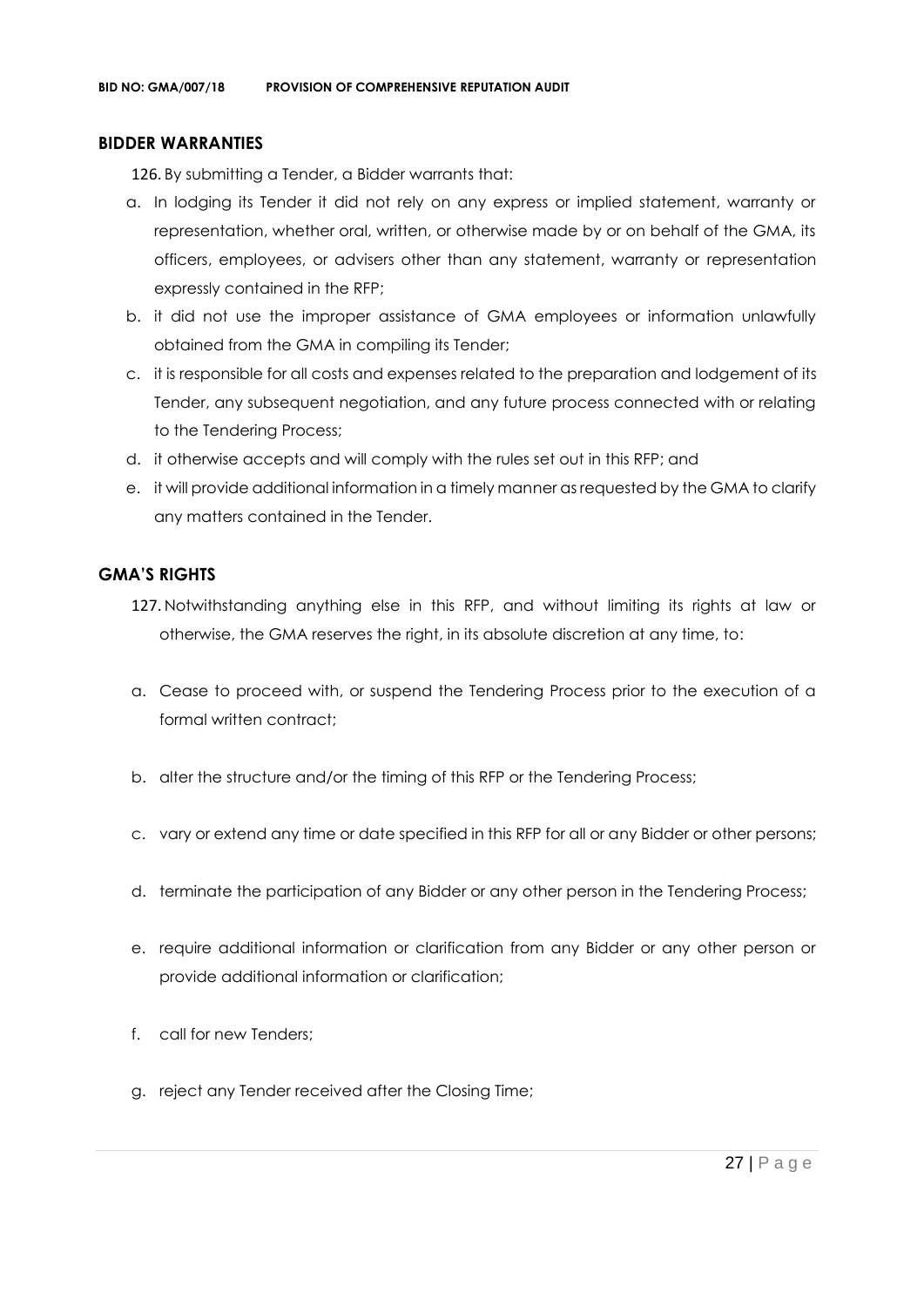#### **BIDDER WARRANTIES**

126. By submitting a Tender, a Bidder warrants that:

- a. In lodging its Tender it did not rely on any express or implied statement, warranty or representation, whether oral, written, or otherwise made by or on behalf of the GMA, its officers, employees, or advisers other than any statement, warranty or representation expressly contained in the RFP;
- b. it did not use the improper assistance of GMA employees or information unlawfully obtained from the GMA in compiling its Tender;
- c. it is responsible for all costs and expenses related to the preparation and lodgement of its Tender, any subsequent negotiation, and any future process connected with or relating to the Tendering Process;
- d. it otherwise accepts and will comply with the rules set out in this RFP; and
- e. it will provide additional information in a timely manner as requested by the GMA to clarify any matters contained in the Tender.

#### **GMA'S RIGHTS**

- 127. Notwithstanding anything else in this RFP, and without limiting its rights at law or otherwise, the GMA reserves the right, in its absolute discretion at any time, to:
- a. Cease to proceed with, or suspend the Tendering Process prior to the execution of a formal written contract:
- b. alter the structure and/or the timing of this RFP or the Tendering Process;
- c. vary or extend any time or date specified in this RFP for all or any Bidder or other persons;
- d. terminate the participation of any Bidder or any other person in the Tendering Process;
- e. require additional information or clarification from any Bidder or any other person or provide additional information or clarification;
- f. call for new Tenders;
- g. reject any Tender received after the Closing Time;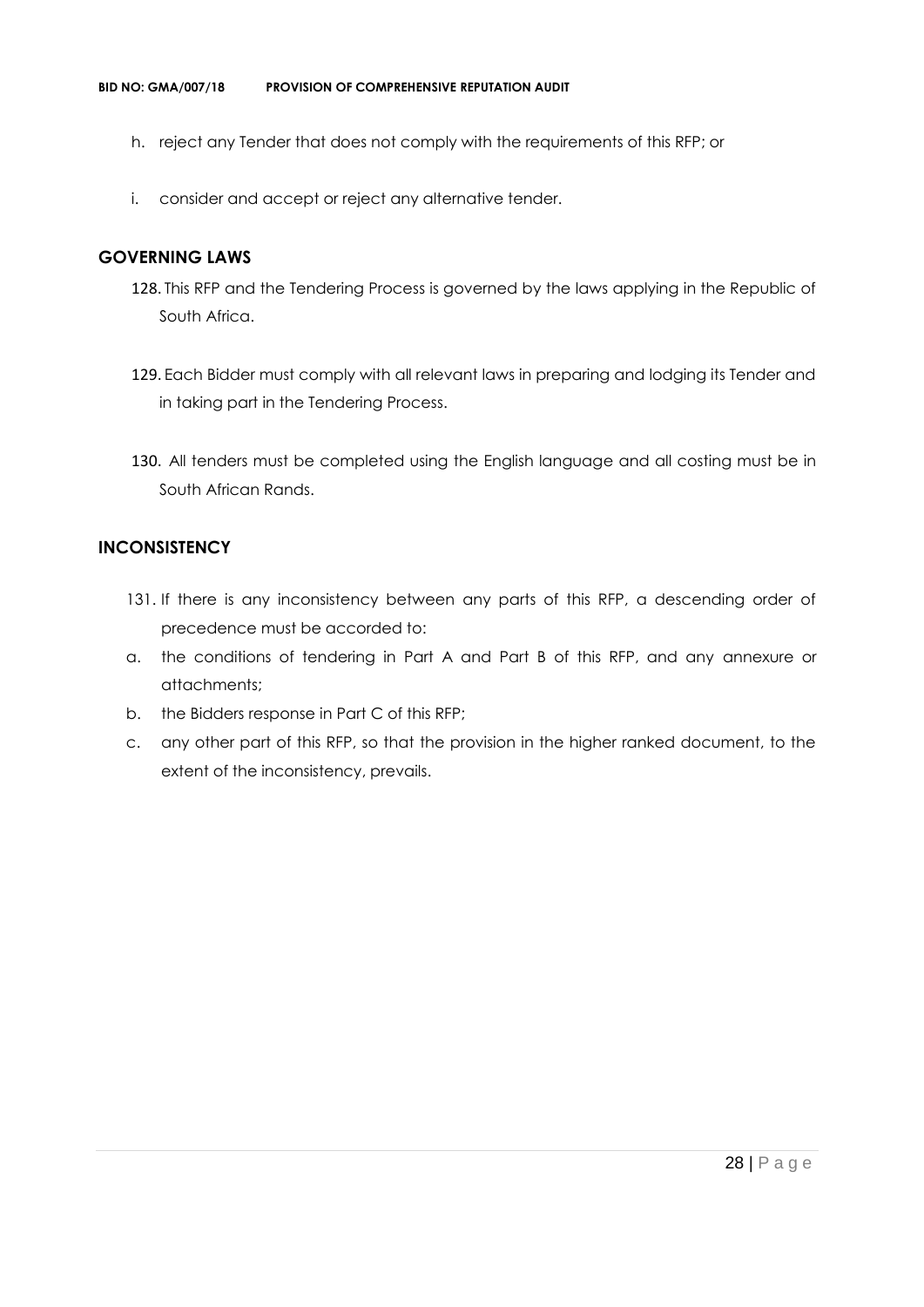- h. reject any Tender that does not comply with the requirements of this RFP; or
- i. consider and accept or reject any alternative tender.

#### **GOVERNING LAWS**

- 128. This RFP and the Tendering Process is governed by the laws applying in the Republic of South Africa.
- 129. Each Bidder must comply with all relevant laws in preparing and lodging its Tender and in taking part in the Tendering Process.
- 130. All tenders must be completed using the English language and all costing must be in South African Rands.

#### **INCONSISTENCY**

- 131. If there is any inconsistency between any parts of this RFP, a descending order of precedence must be accorded to:
- a. the conditions of tendering in Part A and Part B of this RFP, and any annexure or attachments;
- b. the Bidders response in Part C of this RFP;
- c. any other part of this RFP, so that the provision in the higher ranked document, to the extent of the inconsistency, prevails.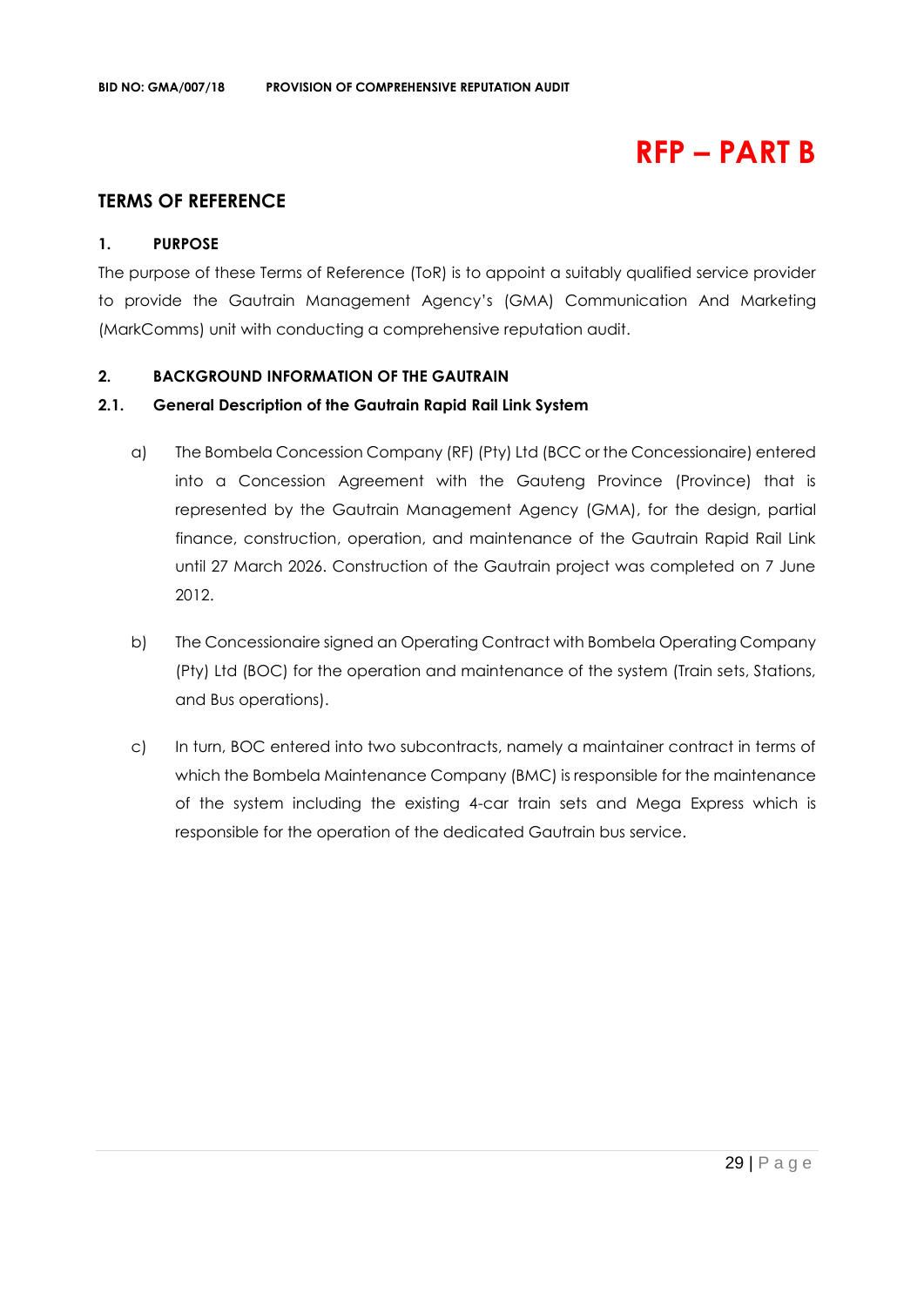# **RFP – PART B**

## **TERMS OF REFERENCE**

#### **1. PURPOSE**

The purpose of these Terms of Reference (ToR) is to appoint a suitably qualified service provider to provide the Gautrain Management Agency's (GMA) Communication And Marketing (MarkComms) unit with conducting a comprehensive reputation audit.

#### **2. BACKGROUND INFORMATION OF THE GAUTRAIN**

#### **2.1. General Description of the Gautrain Rapid Rail Link System**

- a) The Bombela Concession Company (RF) (Pty) Ltd (BCC or the Concessionaire) entered into a Concession Agreement with the Gauteng Province (Province) that is represented by the Gautrain Management Agency (GMA), for the design, partial finance, construction, operation, and maintenance of the Gautrain Rapid Rail Link until 27 March 2026. Construction of the Gautrain project was completed on 7 June 2012.
- b) The Concessionaire signed an Operating Contract with Bombela Operating Company (Pty) Ltd (BOC) for the operation and maintenance of the system (Train sets, Stations, and Bus operations).
- c) In turn, BOC entered into two subcontracts, namely a maintainer contract in terms of which the Bombela Maintenance Company (BMC) is responsible for the maintenance of the system including the existing 4-car train sets and Mega Express which is responsible for the operation of the dedicated Gautrain bus service.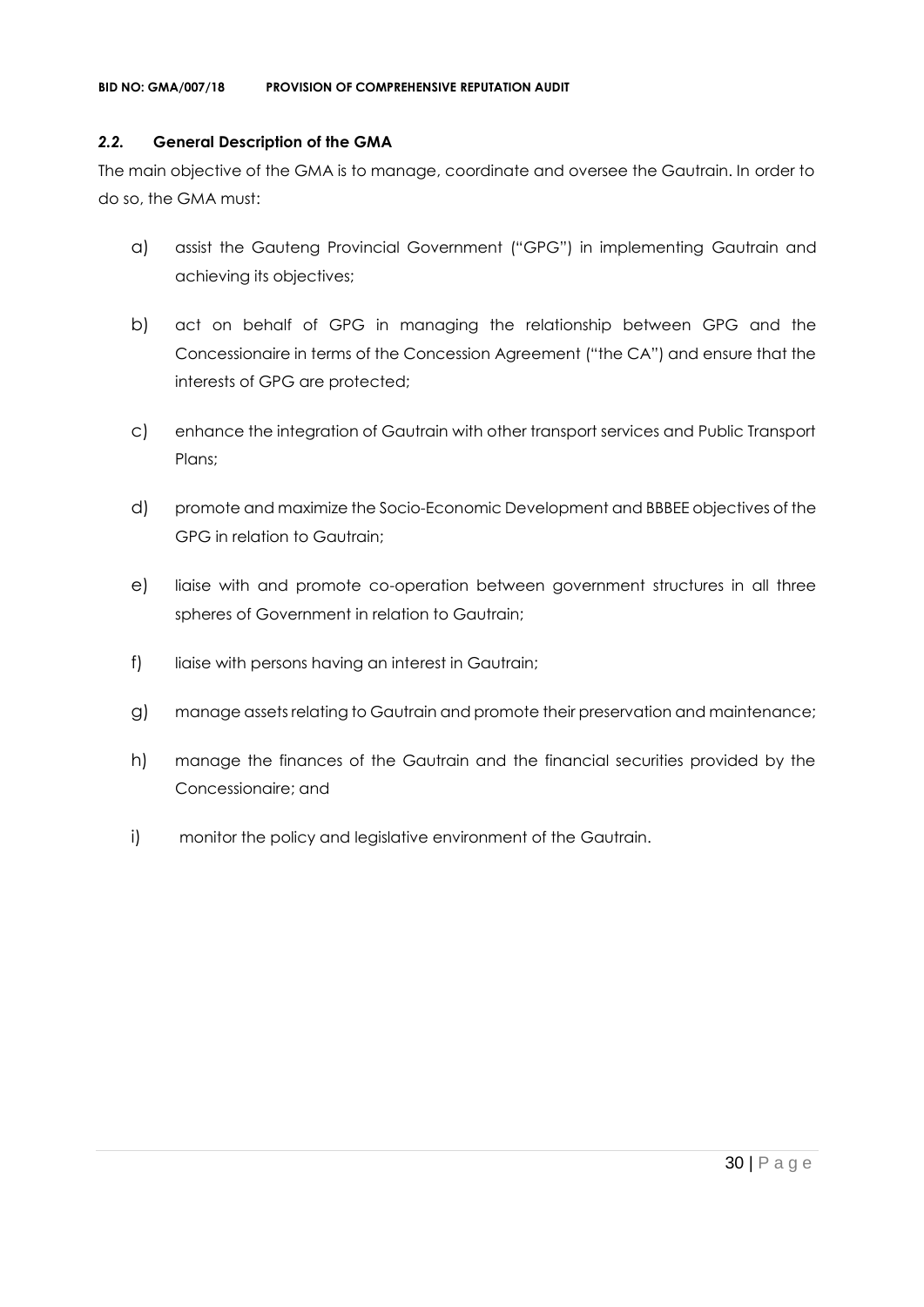#### *2.2.* **General Description of the GMA**

The main objective of the GMA is to manage, coordinate and oversee the Gautrain. In order to do so, the GMA must:

- a) assist the Gauteng Provincial Government ("GPG") in implementing Gautrain and achieving its objectives;
- b) act on behalf of GPG in managing the relationship between GPG and the Concessionaire in terms of the Concession Agreement ("the CA") and ensure that the interests of GPG are protected;
- c) enhance the integration of Gautrain with other transport services and Public Transport Plans;
- d) promote and maximize the Socio-Economic Development and BBBEE objectives of the GPG in relation to Gautrain;
- e) liaise with and promote co-operation between government structures in all three spheres of Government in relation to Gautrain;
- f) liaise with persons having an interest in Gautrain;
- g) manage assets relating to Gautrain and promote their preservation and maintenance;
- h) manage the finances of the Gautrain and the financial securities provided by the Concessionaire; and
- i) monitor the policy and legislative environment of the Gautrain.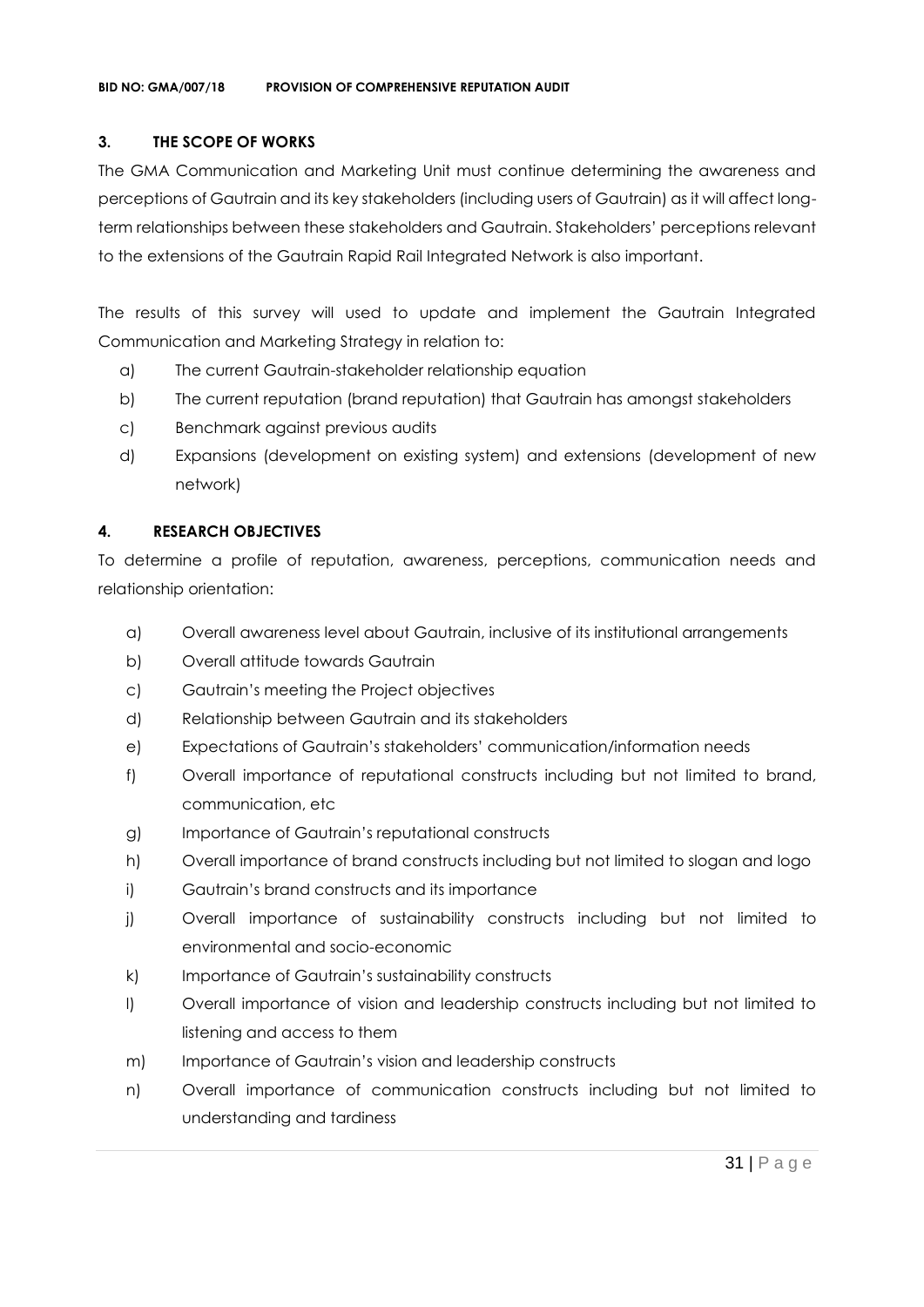#### **3. THE SCOPE OF WORKS**

The GMA Communication and Marketing Unit must continue determining the awareness and perceptions of Gautrain and its key stakeholders (including users of Gautrain) as it will affect longterm relationships between these stakeholders and Gautrain. Stakeholders' perceptions relevant to the extensions of the Gautrain Rapid Rail Integrated Network is also important.

The results of this survey will used to update and implement the Gautrain Integrated Communication and Marketing Strategy in relation to:

- a) The current Gautrain-stakeholder relationship equation
- b) The current reputation (brand reputation) that Gautrain has amongst stakeholders
- c) Benchmark against previous audits
- d) Expansions (development on existing system) and extensions (development of new network)

#### **4. RESEARCH OBJECTIVES**

To determine a profile of reputation, awareness, perceptions, communication needs and relationship orientation:

- a) Overall awareness level about Gautrain, inclusive of its institutional arrangements
- b) Overall attitude towards Gautrain
- c) Gautrain's meeting the Project objectives
- d) Relationship between Gautrain and its stakeholders
- e) Expectations of Gautrain's stakeholders' communication/information needs
- f) Overall importance of reputational constructs including but not limited to brand, communication, etc
- g) Importance of Gautrain's reputational constructs
- h) Overall importance of brand constructs including but not limited to slogan and logo
- i) Gautrain's brand constructs and its importance
- j) Overall importance of sustainability constructs including but not limited to environmental and socio-economic
- k) Importance of Gautrain's sustainability constructs
- l) Overall importance of vision and leadership constructs including but not limited to listening and access to them
- m) Importance of Gautrain's vision and leadership constructs
- n) Overall importance of communication constructs including but not limited to understanding and tardiness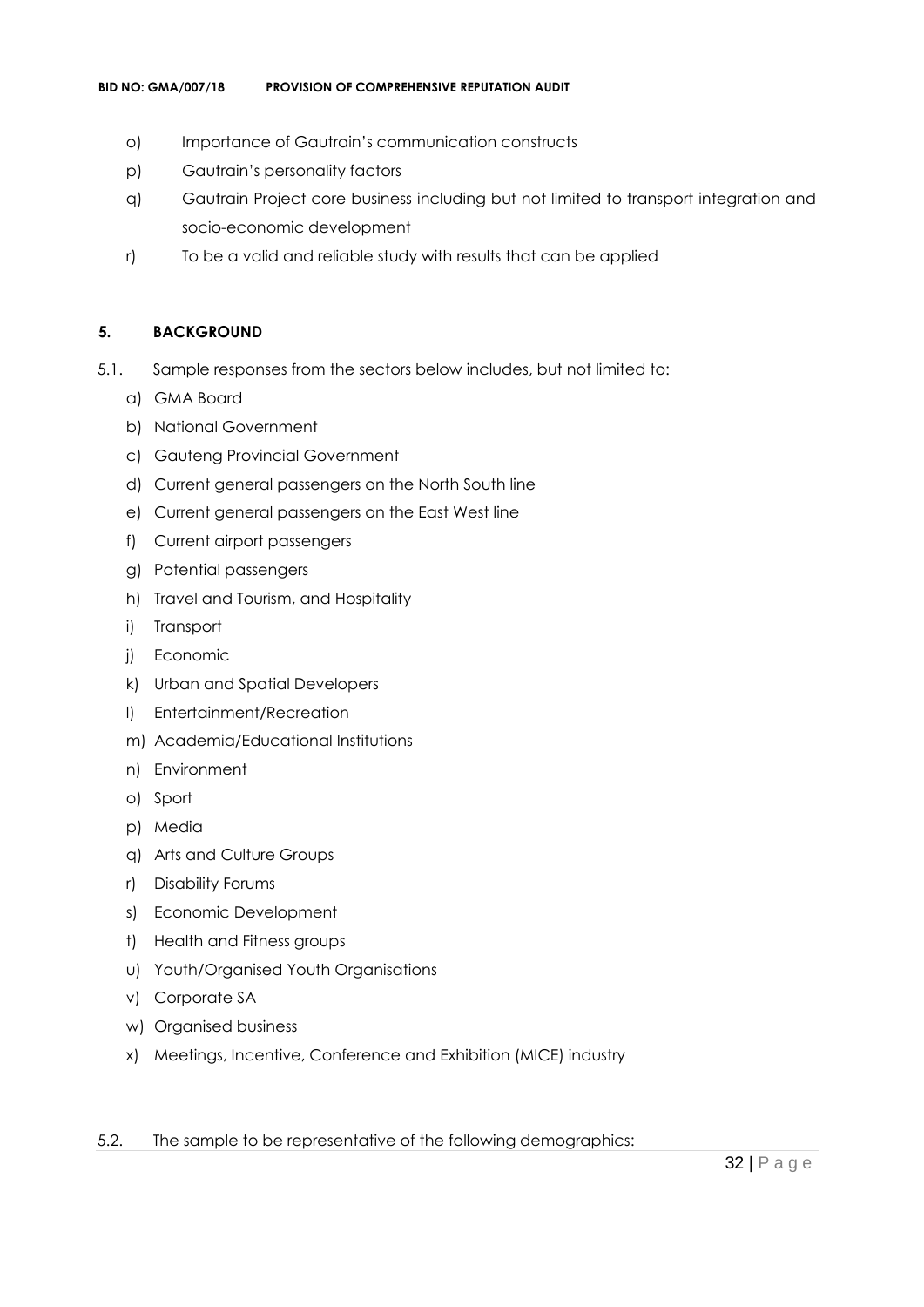- o) Importance of Gautrain's communication constructs
- p) Gautrain's personality factors
- q) Gautrain Project core business including but not limited to transport integration and socio-economic development
- r) To be a valid and reliable study with results that can be applied

#### **5. BACKGROUND**

- 5.1. Sample responses from the sectors below includes, but not limited to:
	- a) GMA Board
	- b) National Government
	- c) Gauteng Provincial Government
	- d) Current general passengers on the North South line
	- e) Current general passengers on the East West line
	- f) Current airport passengers
	- g) Potential passengers
	- h) Travel and Tourism, and Hospitality
	- i) Transport
	- j) Economic
	- k) Urban and Spatial Developers
	- l) Entertainment/Recreation
	- m) Academia/Educational Institutions
	- n) Environment
	- o) Sport
	- p) Media
	- q) Arts and Culture Groups
	- r) Disability Forums
	- s) Economic Development
	- t) Health and Fitness groups
	- u) Youth/Organised Youth Organisations
	- v) Corporate SA
	- w) Organised business
	- x) Meetings, Incentive, Conference and Exhibition (MICE) industry
- 5.2. The sample to be representative of the following demographics: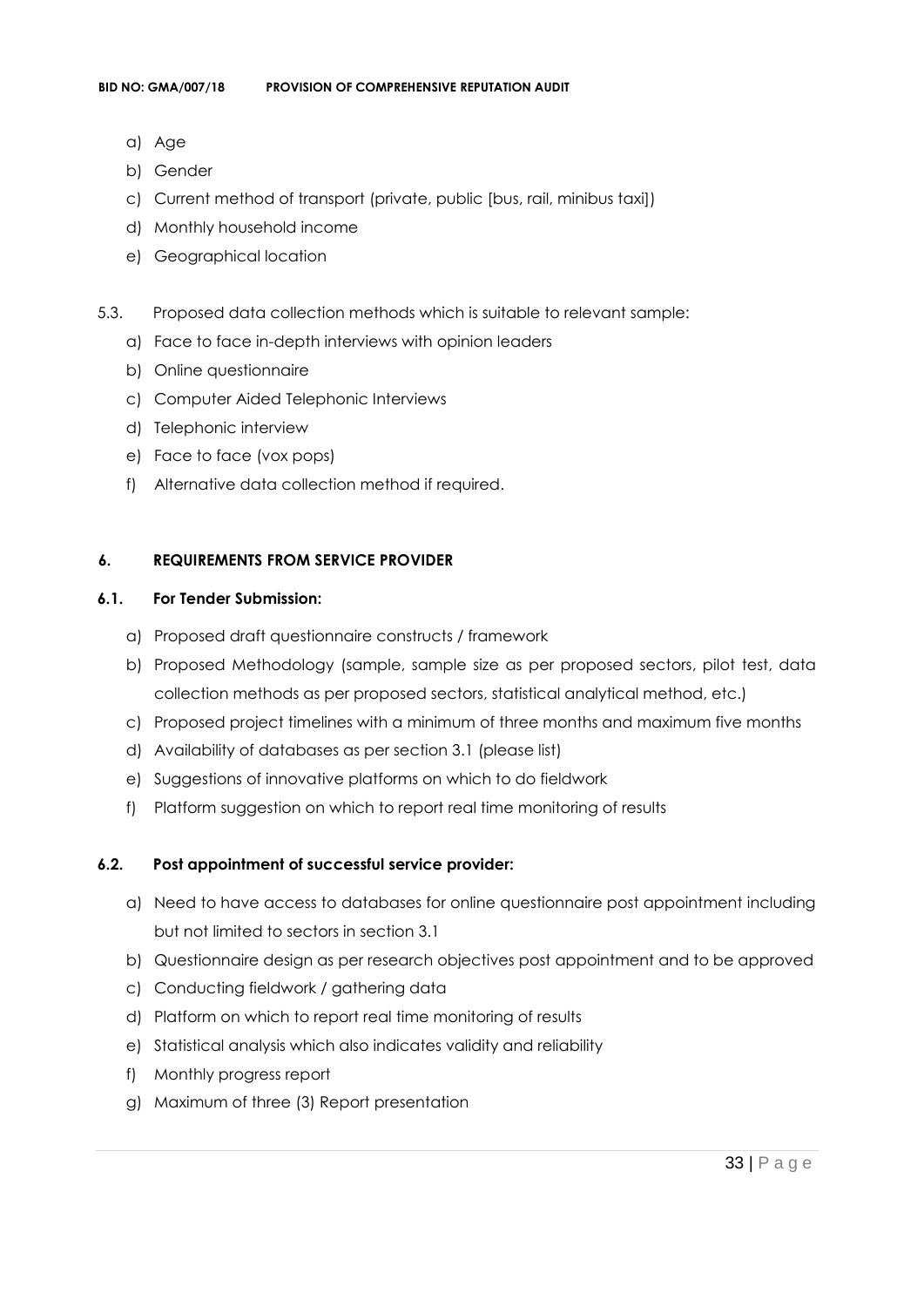- a) Age
- b) Gender
- c) Current method of transport (private, public [bus, rail, minibus taxi])
- d) Monthly household income
- e) Geographical location
- 5.3. Proposed data collection methods which is suitable to relevant sample:
	- a) Face to face in-depth interviews with opinion leaders
	- b) Online questionnaire
	- c) Computer Aided Telephonic Interviews
	- d) Telephonic interview
	- e) Face to face (vox pops)
	- f) Alternative data collection method if required.

#### **6. REQUIREMENTS FROM SERVICE PROVIDER**

#### **6.1. For Tender Submission:**

- a) Proposed draft questionnaire constructs / framework
- b) Proposed Methodology (sample, sample size as per proposed sectors, pilot test, data collection methods as per proposed sectors, statistical analytical method, etc.)
- c) Proposed project timelines with a minimum of three months and maximum five months
- d) Availability of databases as per section 3.1 (please list)
- e) Suggestions of innovative platforms on which to do fieldwork
- f) Platform suggestion on which to report real time monitoring of results

#### **6.2. Post appointment of successful service provider:**

- a) Need to have access to databases for online questionnaire post appointment including but not limited to sectors in section 3.1
- b) Questionnaire design as per research objectives post appointment and to be approved
- c) Conducting fieldwork / gathering data
- d) Platform on which to report real time monitoring of results
- e) Statistical analysis which also indicates validity and reliability
- f) Monthly progress report
- g) Maximum of three (3) Report presentation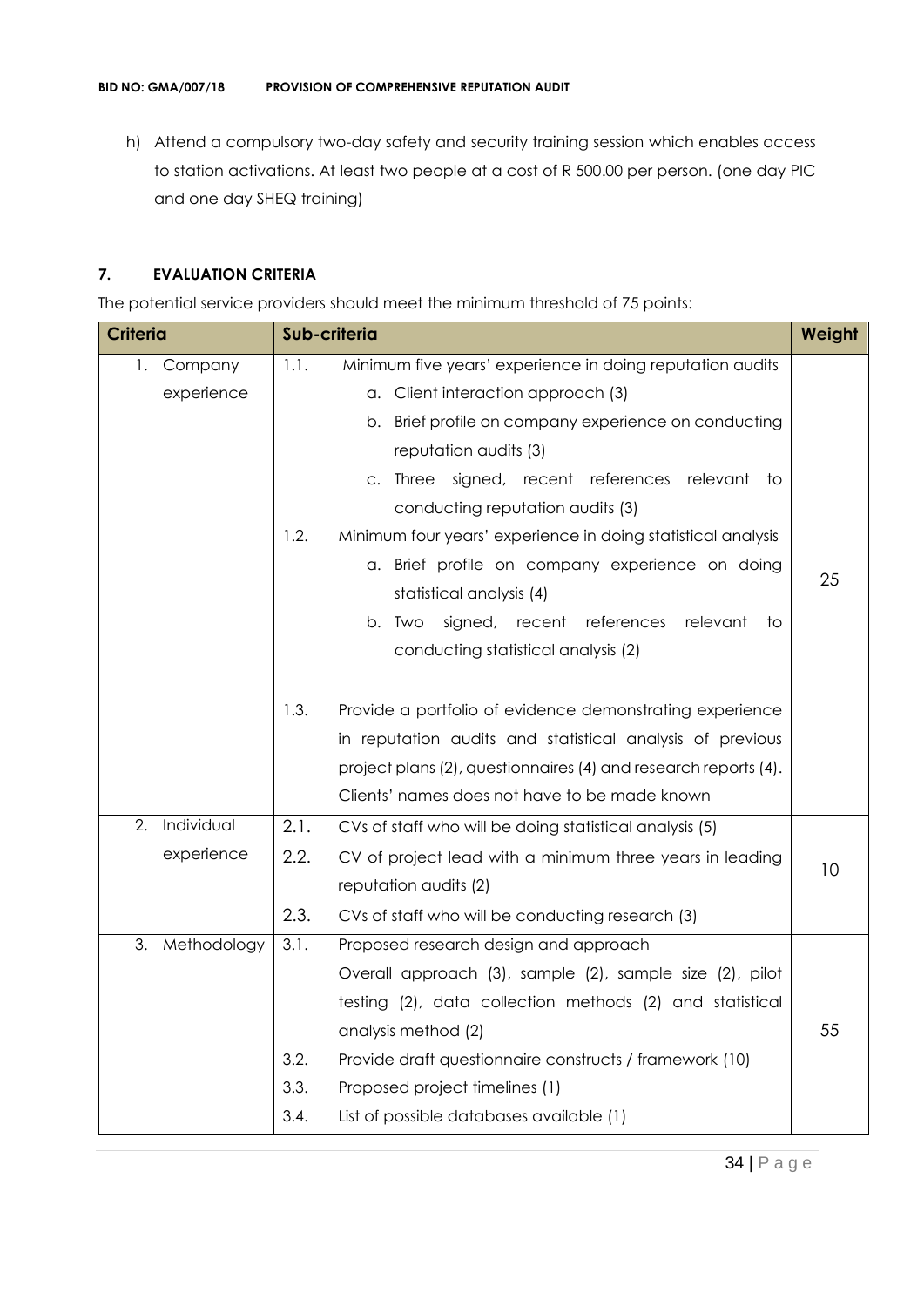h) Attend a compulsory two-day safety and security training session which enables access to station activations. At least two people at a cost of R 500.00 per person. (one day PIC and one day SHEQ training)

#### **7. EVALUATION CRITERIA**

The potential service providers should meet the minimum threshold of 75 points:

| <b>Criteria</b>   |      | Sub-criteria                                                    | Weight |
|-------------------|------|-----------------------------------------------------------------|--------|
| Company<br>1.     | 1.1. | Minimum five years' experience in doing reputation audits       |        |
| experience        |      | a. Client interaction approach (3)                              |        |
|                   |      | Brief profile on company experience on conducting<br>b.         |        |
|                   |      | reputation audits (3)                                           |        |
|                   |      | c. Three signed, recent references relevant to                  |        |
|                   |      | conducting reputation audits (3)                                |        |
|                   | 1.2. | Minimum four years' experience in doing statistical analysis    |        |
|                   |      | a. Brief profile on company experience on doing                 | 25     |
|                   |      | statistical analysis (4)                                        |        |
|                   |      | signed, recent references<br>relevant<br>b. Two<br>to           |        |
|                   |      | conducting statistical analysis (2)                             |        |
|                   |      |                                                                 |        |
|                   | 1.3. | Provide a portfolio of evidence demonstrating experience        |        |
|                   |      | in reputation audits and statistical analysis of previous       |        |
|                   |      | project plans (2), questionnaires (4) and research reports (4). |        |
|                   |      | Clients' names does not have to be made known                   |        |
| Individual<br>2.  | 2.1. | CVs of staff who will be doing statistical analysis (5)         |        |
| experience        | 2.2. | CV of project lead with a minimum three years in leading        | 10     |
|                   |      | reputation audits (2)                                           |        |
|                   | 2.3. | CVs of staff who will be conducting research (3)                |        |
| 3.<br>Methodology | 3.1. | Proposed research design and approach                           |        |
|                   |      | Overall approach (3), sample (2), sample size (2), pilot        |        |
|                   |      | testing (2), data collection methods (2) and statistical        |        |
|                   |      | analysis method (2)                                             | 55     |
|                   | 3.2. | Provide draft questionnaire constructs / framework (10)         |        |
|                   | 3.3. | Proposed project timelines (1)                                  |        |
|                   | 3.4. | List of possible databases available (1)                        |        |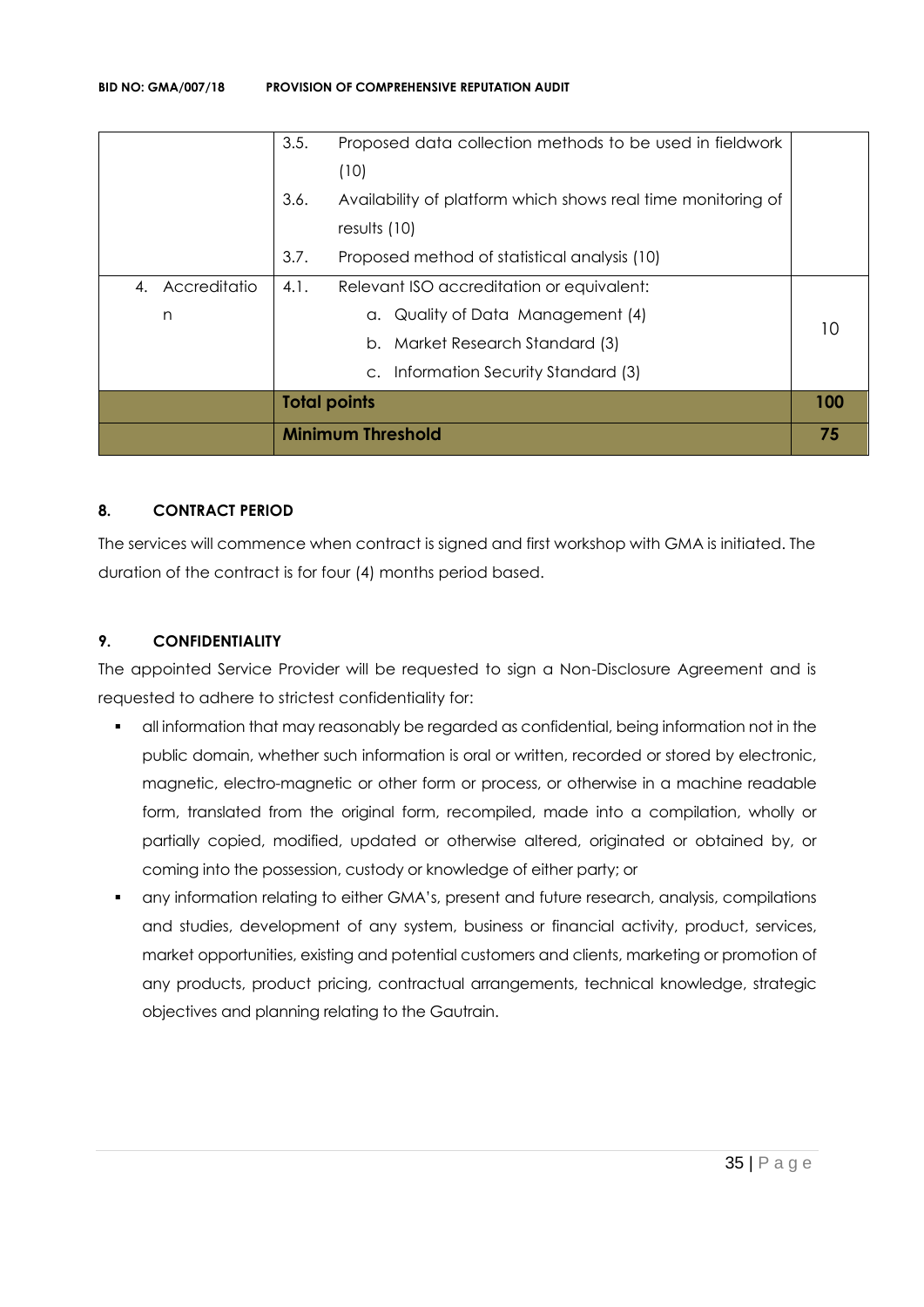|                 |                     | <b>Minimum Threshold</b>                                     | 75  |
|-----------------|---------------------|--------------------------------------------------------------|-----|
|                 | <b>Total points</b> |                                                              | 100 |
|                 |                     | c. Information Security Standard (3)                         |     |
|                 |                     | b. Market Research Standard (3)                              |     |
| n               |                     | a. Quality of Data Management (4)                            |     |
| 4. Accreditatio | 4.1.                | Relevant ISO accreditation or equivalent:                    |     |
|                 | 3.7.                | Proposed method of statistical analysis (10)                 |     |
|                 |                     | results $(10)$                                               |     |
|                 | 3.6.                | Availability of platform which shows real time monitoring of |     |
|                 |                     | (10)                                                         |     |
|                 | 3.5.                | Proposed data collection methods to be used in fieldwork     |     |

#### **8. CONTRACT PERIOD**

The services will commence when contract is signed and first workshop with GMA is initiated. The duration of the contract is for four (4) months period based.

#### **9. CONFIDENTIALITY**

The appointed Service Provider will be requested to sign a Non-Disclosure Agreement and is requested to adhere to strictest confidentiality for:

- all information that may reasonably be regarded as confidential, being information not in the public domain, whether such information is oral or written, recorded or stored by electronic, magnetic, electro-magnetic or other form or process, or otherwise in a machine readable form, translated from the original form, recompiled, made into a compilation, wholly or partially copied, modified, updated or otherwise altered, originated or obtained by, or coming into the possession, custody or knowledge of either party; or
- any information relating to either GMA's, present and future research, analysis, compilations and studies, development of any system, business or financial activity, product, services, market opportunities, existing and potential customers and clients, marketing or promotion of any products, product pricing, contractual arrangements, technical knowledge, strategic objectives and planning relating to the Gautrain.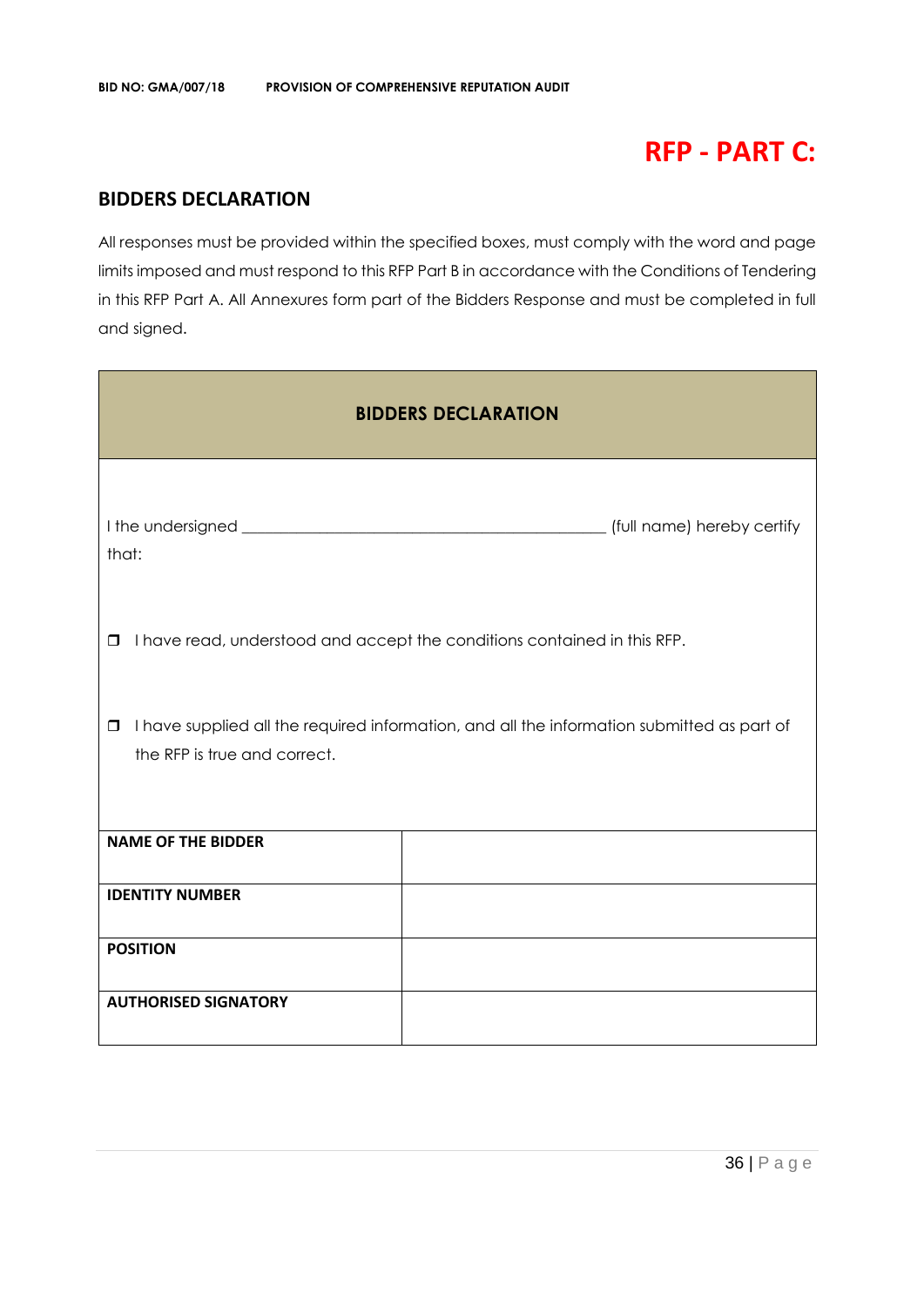# **RFP - PART C:**

# **BIDDERS DECLARATION**

All responses must be provided within the specified boxes, must comply with the word and page limits imposed and must respond to this RFP Part B in accordance with the Conditions of Tendering in this RFP Part A. All Annexures form part of the Bidders Response and must be completed in full and signed.

| <b>BIDDERS DECLARATION</b>                                                                                                           |  |  |  |
|--------------------------------------------------------------------------------------------------------------------------------------|--|--|--|
| that:                                                                                                                                |  |  |  |
| I have read, understood and accept the conditions contained in this RFP.<br>$\Box$                                                   |  |  |  |
| I have supplied all the required information, and all the information submitted as part of<br>$\Box$<br>the RFP is true and correct. |  |  |  |
| <b>NAME OF THE BIDDER</b>                                                                                                            |  |  |  |
| <b>IDENTITY NUMBER</b>                                                                                                               |  |  |  |
| <b>POSITION</b>                                                                                                                      |  |  |  |
| <b>AUTHORISED SIGNATORY</b>                                                                                                          |  |  |  |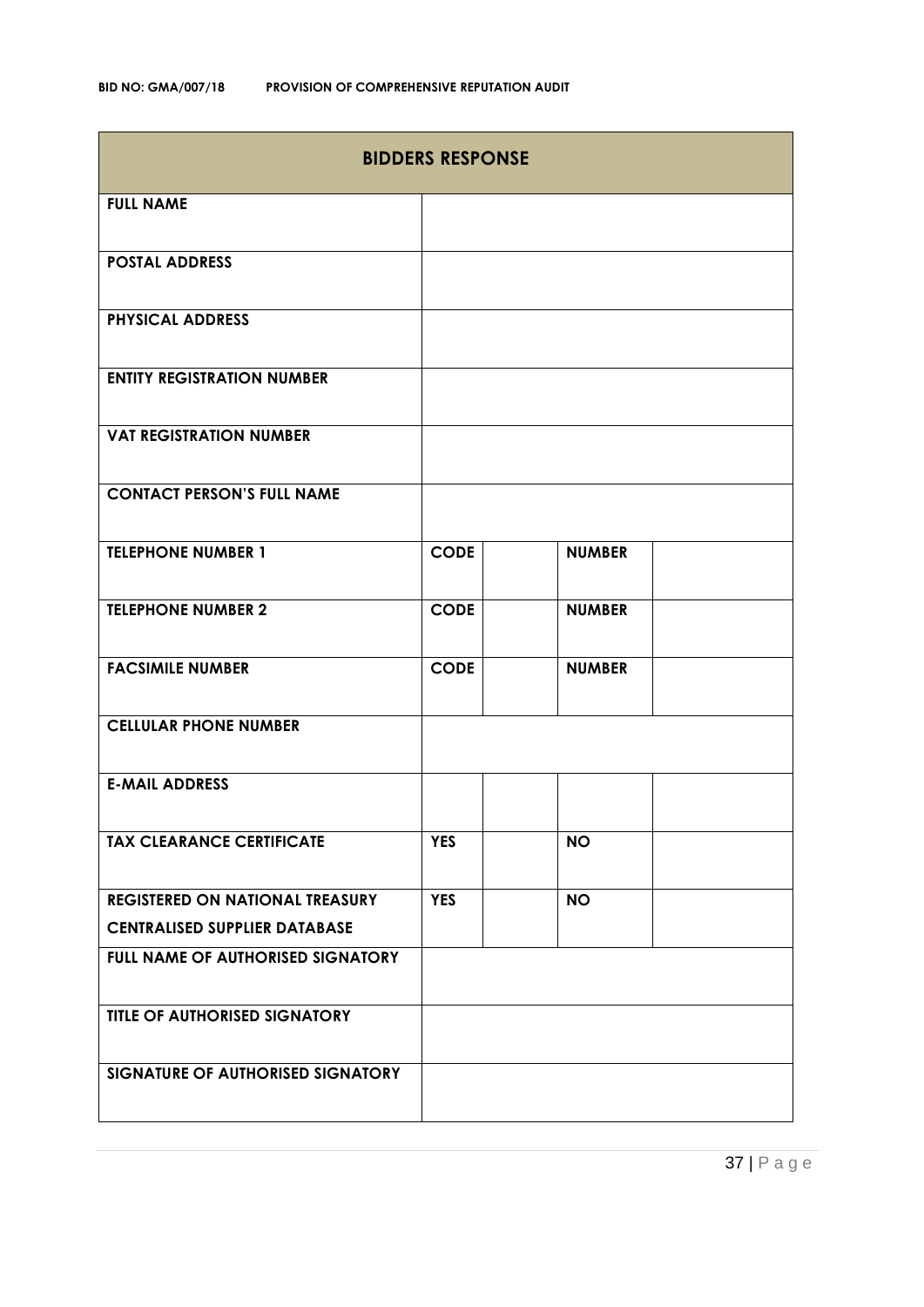| <b>BIDDERS RESPONSE</b>                  |             |               |  |
|------------------------------------------|-------------|---------------|--|
| <b>FULL NAME</b>                         |             |               |  |
| <b>POSTAL ADDRESS</b>                    |             |               |  |
| <b>PHYSICAL ADDRESS</b>                  |             |               |  |
| <b>ENTITY REGISTRATION NUMBER</b>        |             |               |  |
| <b>VAT REGISTRATION NUMBER</b>           |             |               |  |
| <b>CONTACT PERSON'S FULL NAME</b>        |             |               |  |
| <b>TELEPHONE NUMBER 1</b>                | <b>CODE</b> | <b>NUMBER</b> |  |
| <b>TELEPHONE NUMBER 2</b>                | <b>CODE</b> | <b>NUMBER</b> |  |
| <b>FACSIMILE NUMBER</b>                  | <b>CODE</b> | <b>NUMBER</b> |  |
| <b>CELLULAR PHONE NUMBER</b>             |             |               |  |
| <b>E-MAIL ADDRESS</b>                    |             |               |  |
| <b>TAX CLEARANCE CERTIFICATE</b>         | <b>YES</b>  | <b>NO</b>     |  |
| <b>REGISTERED ON NATIONAL TREASURY</b>   | <b>YES</b>  | <b>NO</b>     |  |
| <b>CENTRALISED SUPPLIER DATABASE</b>     |             |               |  |
| <b>FULL NAME OF AUTHORISED SIGNATORY</b> |             |               |  |
| <b>TITLE OF AUTHORISED SIGNATORY</b>     |             |               |  |
| SIGNATURE OF AUTHORISED SIGNATORY        |             |               |  |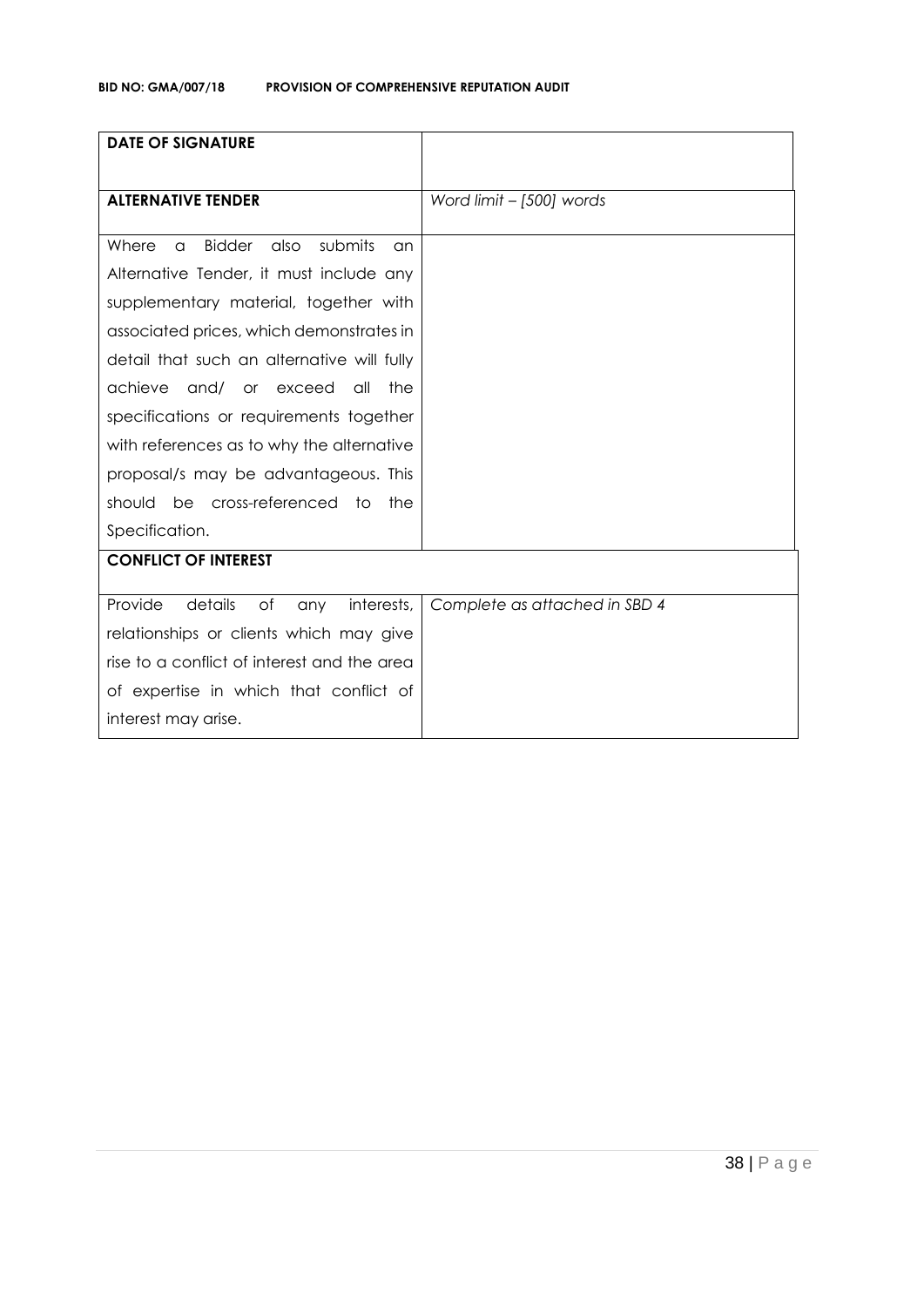| <b>DATE OF SIGNATURE</b>                                    |                               |
|-------------------------------------------------------------|-------------------------------|
| <b>ALTERNATIVE TENDER</b>                                   |                               |
|                                                             | Word limit - [500] words      |
| <b>Bidder</b><br>submits<br>also<br>Where<br>$\alpha$<br>an |                               |
| Alternative Tender, it must include any                     |                               |
| supplementary material, together with                       |                               |
| associated prices, which demonstrates in                    |                               |
| detail that such an alternative will fully                  |                               |
| achieve<br>and/<br>the<br>or exceed<br>all                  |                               |
| specifications or requirements together                     |                               |
| with references as to why the alternative                   |                               |
| proposal/s may be advantageous. This                        |                               |
| be cross-referenced to<br>should<br>the                     |                               |
| Specification.                                              |                               |
| <b>CONFLICT OF INTEREST</b>                                 |                               |
| Provide<br>details<br>of<br>interests,<br>any               | Complete as attached in SBD 4 |
|                                                             |                               |
| relationships or clients which may give                     |                               |
| rise to a conflict of interest and the area                 |                               |
| of expertise in which that conflict of                      |                               |
| interest may arise.                                         |                               |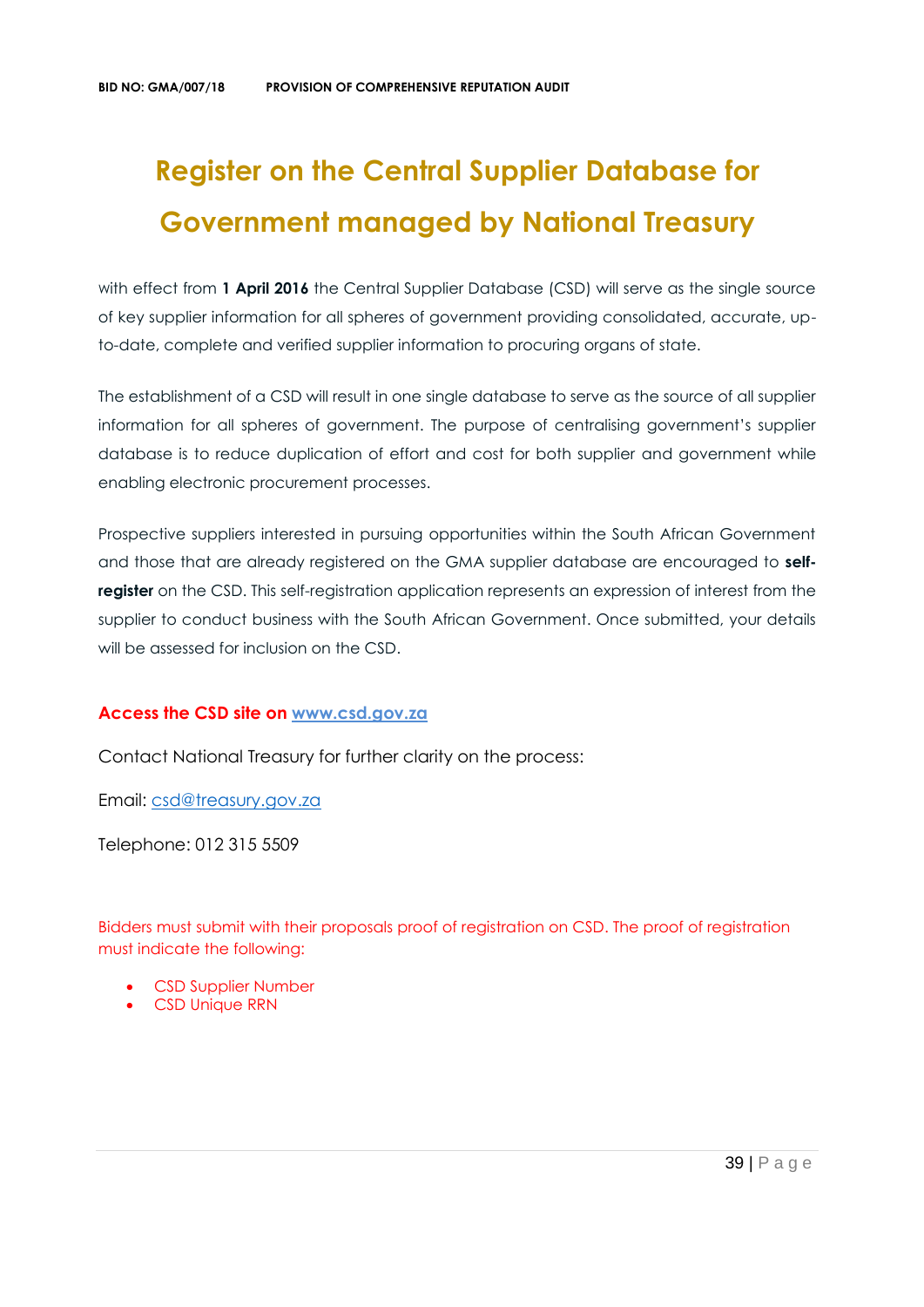# **Register on the Central Supplier Database for Government managed by National Treasury**

with effect from 1 April 2016 the Central Supplier Database (CSD) will serve as the single source of key supplier information for all spheres of government providing consolidated, accurate, upto-date, complete and verified supplier information to procuring organs of state.

The establishment of a CSD will result in one single database to serve as the source of all supplier information for all spheres of government. The purpose of centralising government's supplier database is to reduce duplication of effort and cost for both supplier and government while enabling electronic procurement processes.

Prospective suppliers interested in pursuing opportunities within the South African Government and those that are already registered on the GMA supplier database are encouraged to **selfregister** on the CSD. This self-registration application represents an expression of interest from the supplier to conduct business with the South African Government. Once submitted, your details will be assessed for inclusion on the CSD.

## **Access the CSD site on [www.csd.gov.za](http://www.csd.gov.za/)**

Contact National Treasury for further clarity on the process:

Email: [csd@treasury.gov.za](mailto:csd@treasury.gov.za)

Telephone: 012 315 5509

Bidders must submit with their proposals proof of registration on CSD. The proof of registration must indicate the following:

- CSD Supplier Number
- CSD Unique RRN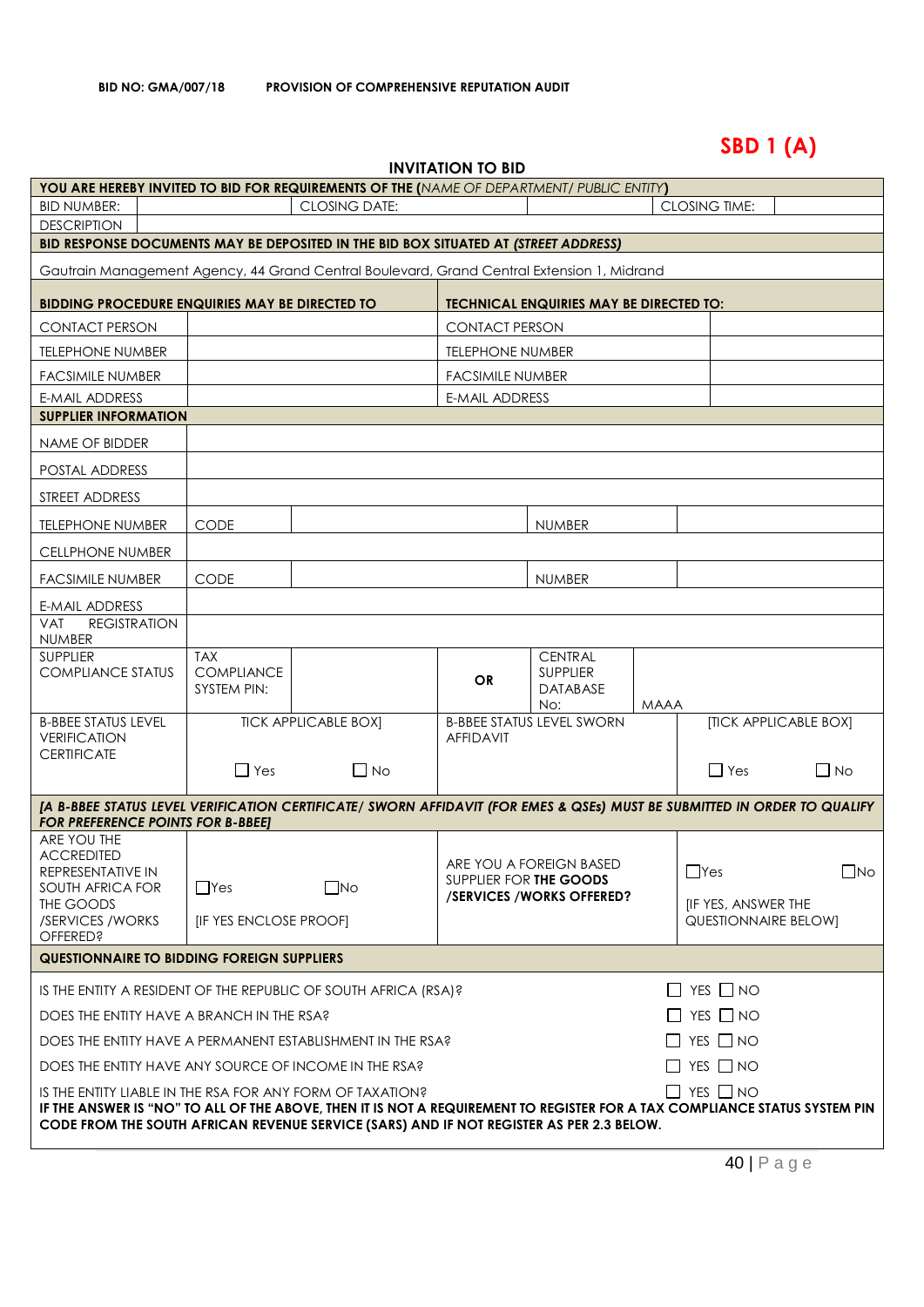# **SBD 1 (A)**

| <b>INVITATION TO BID</b> |  |
|--------------------------|--|
|--------------------------|--|

|                                                                                                                                                                                                                                                                                                             | <b>YOU ARE HEREBY INVITED TO BID FOR REQUIREMENTS OF THE (NAME OF DEPARTMENT/ PUBLIC ENTITY)</b> |                             |                         |                                                      |                      |                             |                              |
|-------------------------------------------------------------------------------------------------------------------------------------------------------------------------------------------------------------------------------------------------------------------------------------------------------------|--------------------------------------------------------------------------------------------------|-----------------------------|-------------------------|------------------------------------------------------|----------------------|-----------------------------|------------------------------|
| <b>BID NUMBER:</b>                                                                                                                                                                                                                                                                                          | <b>CLOSING DATE:</b>                                                                             |                             |                         |                                                      | <b>CLOSING TIME:</b> |                             |                              |
| <b>DESCRIPTION</b>                                                                                                                                                                                                                                                                                          |                                                                                                  |                             |                         |                                                      |                      |                             |                              |
| BID RESPONSE DOCUMENTS MAY BE DEPOSITED IN THE BID BOX SITUATED AT (STREET ADDRESS)                                                                                                                                                                                                                         |                                                                                                  |                             |                         |                                                      |                      |                             |                              |
| Gautrain Management Agency, 44 Grand Central Boulevard, Grand Central Extension 1, Midrand                                                                                                                                                                                                                  |                                                                                                  |                             |                         |                                                      |                      |                             |                              |
| <b>BIDDING PROCEDURE ENQUIRIES MAY BE DIRECTED TO</b>                                                                                                                                                                                                                                                       |                                                                                                  |                             |                         | <b>TECHNICAL ENQUIRIES MAY BE DIRECTED TO:</b>       |                      |                             |                              |
| <b>CONTACT PERSON</b>                                                                                                                                                                                                                                                                                       |                                                                                                  |                             | <b>CONTACT PERSON</b>   |                                                      |                      |                             |                              |
| <b>TELEPHONE NUMBER</b>                                                                                                                                                                                                                                                                                     |                                                                                                  |                             | <b>TELEPHONE NUMBER</b> |                                                      |                      |                             |                              |
| <b>FACSIMILE NUMBER</b>                                                                                                                                                                                                                                                                                     |                                                                                                  |                             | <b>FACSIMILE NUMBER</b> |                                                      |                      |                             |                              |
| <b>E-MAIL ADDRESS</b>                                                                                                                                                                                                                                                                                       |                                                                                                  |                             | <b>E-MAIL ADDRESS</b>   |                                                      |                      |                             |                              |
| <b>SUPPLIER INFORMATION</b>                                                                                                                                                                                                                                                                                 |                                                                                                  |                             |                         |                                                      |                      |                             |                              |
| NAME OF BIDDER                                                                                                                                                                                                                                                                                              |                                                                                                  |                             |                         |                                                      |                      |                             |                              |
| POSTAL ADDRESS                                                                                                                                                                                                                                                                                              |                                                                                                  |                             |                         |                                                      |                      |                             |                              |
| STREET ADDRESS                                                                                                                                                                                                                                                                                              |                                                                                                  |                             |                         |                                                      |                      |                             |                              |
| <b>TELEPHONE NUMBER</b>                                                                                                                                                                                                                                                                                     | <b>CODE</b>                                                                                      |                             |                         | <b>NUMBER</b>                                        |                      |                             |                              |
| <b>CELLPHONE NUMBER</b>                                                                                                                                                                                                                                                                                     |                                                                                                  |                             |                         |                                                      |                      |                             |                              |
| <b>FACSIMILE NUMBER</b>                                                                                                                                                                                                                                                                                     | <b>CODE</b>                                                                                      |                             |                         | <b>NUMBER</b>                                        |                      |                             |                              |
| <b>E-MAIL ADDRESS</b>                                                                                                                                                                                                                                                                                       |                                                                                                  |                             |                         |                                                      |                      |                             |                              |
| <b>REGISTRATION</b><br><b>VAT</b><br><b>NUMBER</b>                                                                                                                                                                                                                                                          |                                                                                                  |                             |                         |                                                      |                      |                             |                              |
| <b>SUPPLIER</b><br><b>COMPLIANCE STATUS</b>                                                                                                                                                                                                                                                                 | <b>TAX</b><br><b>COMPLIANCE</b><br>SYSTEM PIN:                                                   |                             | <b>OR</b>               | <b>CENTRAL</b><br><b>SUPPLIER</b><br><b>DATABASE</b> |                      |                             |                              |
|                                                                                                                                                                                                                                                                                                             |                                                                                                  |                             |                         | No:                                                  | <b>MAAA</b>          |                             |                              |
| <b>B-BBEE STATUS LEVEL</b><br><b>VERIFICATION</b>                                                                                                                                                                                                                                                           |                                                                                                  | <b>TICK APPLICABLE BOXI</b> | <b>AFFIDAVIT</b>        | <b>B-BBEE STATUS LEVEL SWORN</b>                     |                      |                             | <b>[TICK APPLICABLE BOX]</b> |
| <b>CERTIFICATE</b>                                                                                                                                                                                                                                                                                          | $\Box$ Yes                                                                                       | $\Box$ No                   |                         |                                                      |                      | $\Box$ Yes                  | $\Box$ No                    |
| [A B-BBEE STATUS LEVEL VERIFICATION CERTIFICATE/ SWORN AFFIDAVIT (FOR EMES & QSEs) MUST BE SUBMITTED IN ORDER TO QUALIFY                                                                                                                                                                                    |                                                                                                  |                             |                         |                                                      |                      |                             |                              |
| <b>FOR PREFERENCE POINTS FOR B-BBEET</b><br>ARE YOU THE                                                                                                                                                                                                                                                     |                                                                                                  |                             |                         |                                                      |                      |                             |                              |
| <b>ACCREDITED</b><br>REPRESENTATIVE IN                                                                                                                                                                                                                                                                      |                                                                                                  |                             | SUPPLIER FOR THE GOODS  | ARE YOU A FOREIGN BASED                              |                      | $\Box$ Yes                  | $\Box$ No                    |
| SOUTH AFRICA FOR<br>THE GOODS                                                                                                                                                                                                                                                                               | $\Box$ Yes                                                                                       | $\square$ No                |                         | /SERVICES/WORKS OFFERED?                             |                      | <b>IF YES, ANSWER THE</b>   |                              |
| /SERVICES / WORKS<br><b>OFFERED?</b>                                                                                                                                                                                                                                                                        | <b>[IF YES ENCLOSE PROOF]</b>                                                                    |                             |                         |                                                      |                      | <b>QUESTIONNAIRE BELOW]</b> |                              |
| <b>QUESTIONNAIRE TO BIDDING FOREIGN SUPPLIERS</b>                                                                                                                                                                                                                                                           |                                                                                                  |                             |                         |                                                      |                      |                             |                              |
| IS THE ENTITY A RESIDENT OF THE REPUBLIC OF SOUTH AFRICA (RSA)?                                                                                                                                                                                                                                             |                                                                                                  |                             |                         |                                                      |                      | $\Box$ YES $\Box$ NO        |                              |
| $\Box$ YES $\Box$ NO<br>DOES THE ENTITY HAVE A BRANCH IN THE RSA?                                                                                                                                                                                                                                           |                                                                                                  |                             |                         |                                                      |                      |                             |                              |
| $\Box$ YES $\Box$ NO<br>DOES THE ENTITY HAVE A PERMANENT ESTABLISHMENT IN THE RSA?                                                                                                                                                                                                                          |                                                                                                  |                             |                         |                                                      |                      |                             |                              |
|                                                                                                                                                                                                                                                                                                             | $\Box$ YES $\Box$ NO<br>DOES THE ENTITY HAVE ANY SOURCE OF INCOME IN THE RSA?                    |                             |                         |                                                      |                      |                             |                              |
| $\Box$ YES $\Box$ NO<br>IS THE ENTITY LIABLE IN THE RSA FOR ANY FORM OF TAXATION?<br>IF THE ANSWER IS "NO" TO ALL OF THE ABOVE, THEN IT IS NOT A REQUIREMENT TO REGISTER FOR A TAX COMPLIANCE STATUS SYSTEM PIN<br>CODE FROM THE SOUTH AFRICAN REVENUE SERVICE (SARS) AND IF NOT REGISTER AS PER 2.3 BELOW. |                                                                                                  |                             |                         |                                                      |                      |                             |                              |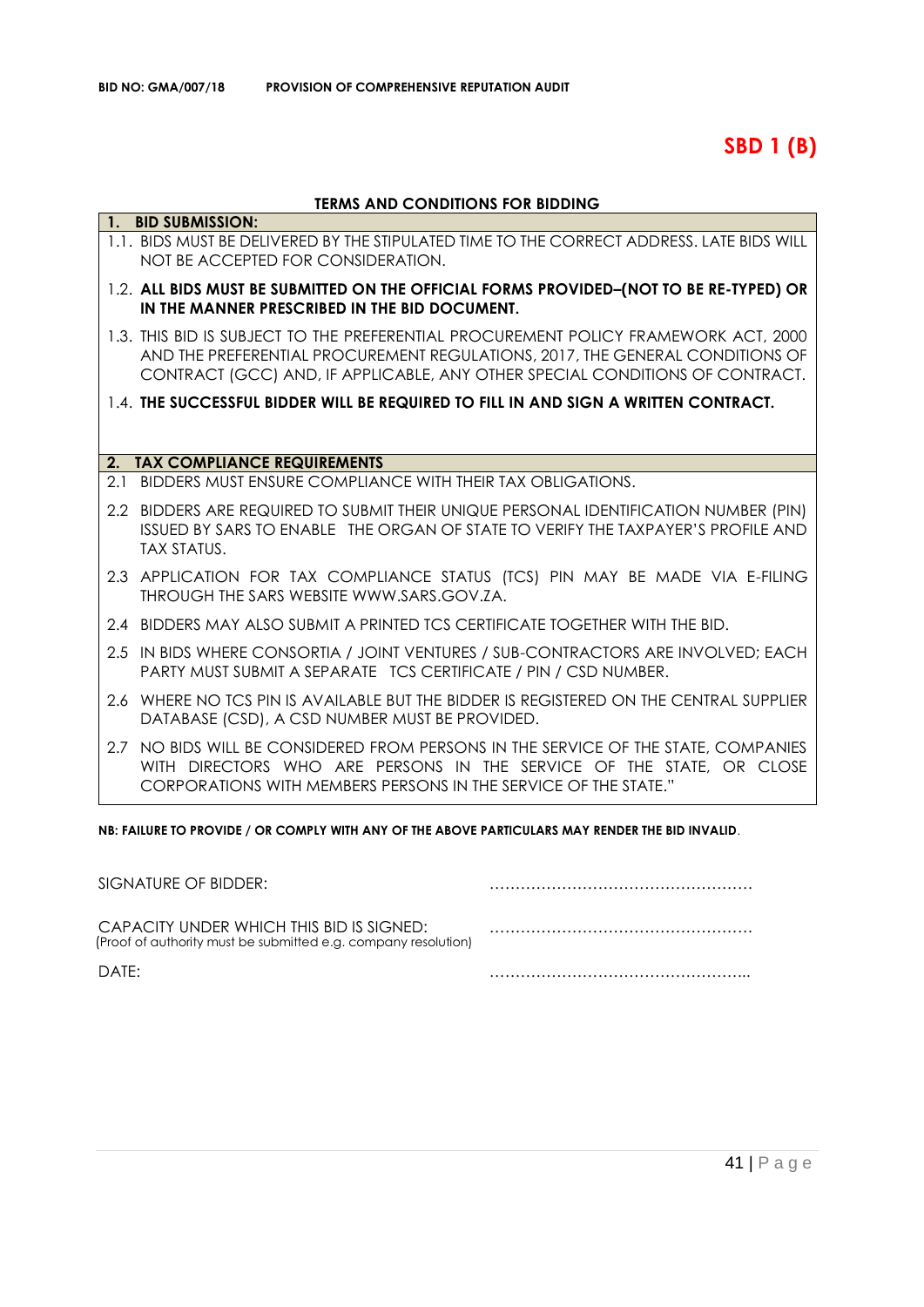**SBD 1 (B)**

## **TERMS AND CONDITIONS FOR BIDDING**

|     | 1. BID SUBMISSION:                                                                                                                                                                                                                                   |
|-----|------------------------------------------------------------------------------------------------------------------------------------------------------------------------------------------------------------------------------------------------------|
|     | 1.1. BIDS MUST BE DELIVERED BY THE STIPULATED TIME TO THE CORRECT ADDRESS. LATE BIDS WILL<br>NOT BE ACCEPTED FOR CONSIDERATION.                                                                                                                      |
|     | 1.2. ALL BIDS MUST BE SUBMITTED ON THE OFFICIAL FORMS PROVIDED-(NOT TO BE RE-TYPED) OR<br>IN THE MANNER PRESCRIBED IN THE BID DOCUMENT.                                                                                                              |
|     | 1.3. THIS BID IS SUBJECT TO THE PREFERENTIAL PROCUREMENT POLICY FRAMEWORK ACT, 2000<br>AND THE PREFERENTIAL PROCUREMENT REGULATIONS, 2017, THE GENERAL CONDITIONS OF<br>CONTRACT (GCC) AND, IF APPLICABLE, ANY OTHER SPECIAL CONDITIONS OF CONTRACT. |
|     | 1.4. THE SUCCESSFUL BIDDER WILL BE REQUIRED TO FILL IN AND SIGN A WRITTEN CONTRACT.                                                                                                                                                                  |
|     |                                                                                                                                                                                                                                                      |
| 2.  | <b>TAX COMPLIANCE REQUIREMENTS</b>                                                                                                                                                                                                                   |
| 2.1 | BIDDERS MUST ENSURE COMPLIANCE WITH THEIR TAX OBLIGATIONS.                                                                                                                                                                                           |
|     | 2.2 BIDDERS ARE REQUIRED TO SUBMIT THEIR UNIQUE PERSONAL IDENTIFICATION NUMBER (PIN)<br>ISSUED BY SARS TO ENABLE THE ORGAN OF STATE TO VERIFY THE TAXPAYER'S PROFILE AND<br><b>TAX STATUS.</b>                                                       |
|     | 2.3 APPLICATION FOR TAX COMPLIANCE STATUS (TCS) PIN MAY BE MADE VIA E-FILING<br>THROUGH THE SARS WEBSITE WWW.SARS.GOV.ZA.                                                                                                                            |
|     | 2.4 BIDDERS MAY ALSO SUBMIT A PRINTED TCS CERTIFICATE TOGETHER WITH THE BID.                                                                                                                                                                         |
|     | 2.5 IN BIDS WHERE CONSORTIA / JOINT VENTURES / SUB-CONTRACTORS ARE INVOLVED; EACH<br>PARTY MUST SUBMIT A SEPARATE TCS CERTIFICATE / PIN / CSD NUMBER.                                                                                                |
|     | 2.6 WHERE NO TCS PIN IS AVAILABLE BUT THE BIDDER IS REGISTERED ON THE CENTRAL SUPPLIER<br>DATABASE (CSD), A CSD NUMBER MUST BE PROVIDED.                                                                                                             |
|     | 2.7 NO BIDS WILL BE CONSIDERED FROM PERSONS IN THE SERVICE OF THE STATE, COMPANIES<br>WITH DIRECTORS WHO ARE PERSONS IN THE SERVICE OF THE STATE, OR CLOSE<br>CORPORATIONS WITH MEMBERS PERSONS IN THE SERVICE OF THE STATE."                        |

**NB: FAILURE TO PROVIDE / OR COMPLY WITH ANY OF THE ABOVE PARTICULARS MAY RENDER THE BID INVALID**.

| SIGNATURE OF BIDDER:                                                                                       |  |
|------------------------------------------------------------------------------------------------------------|--|
| CAPACITY UNDER WHICH THIS BID IS SIGNED:<br>(Proof of authority must be submitted e.g. company resolution) |  |
| DATF:                                                                                                      |  |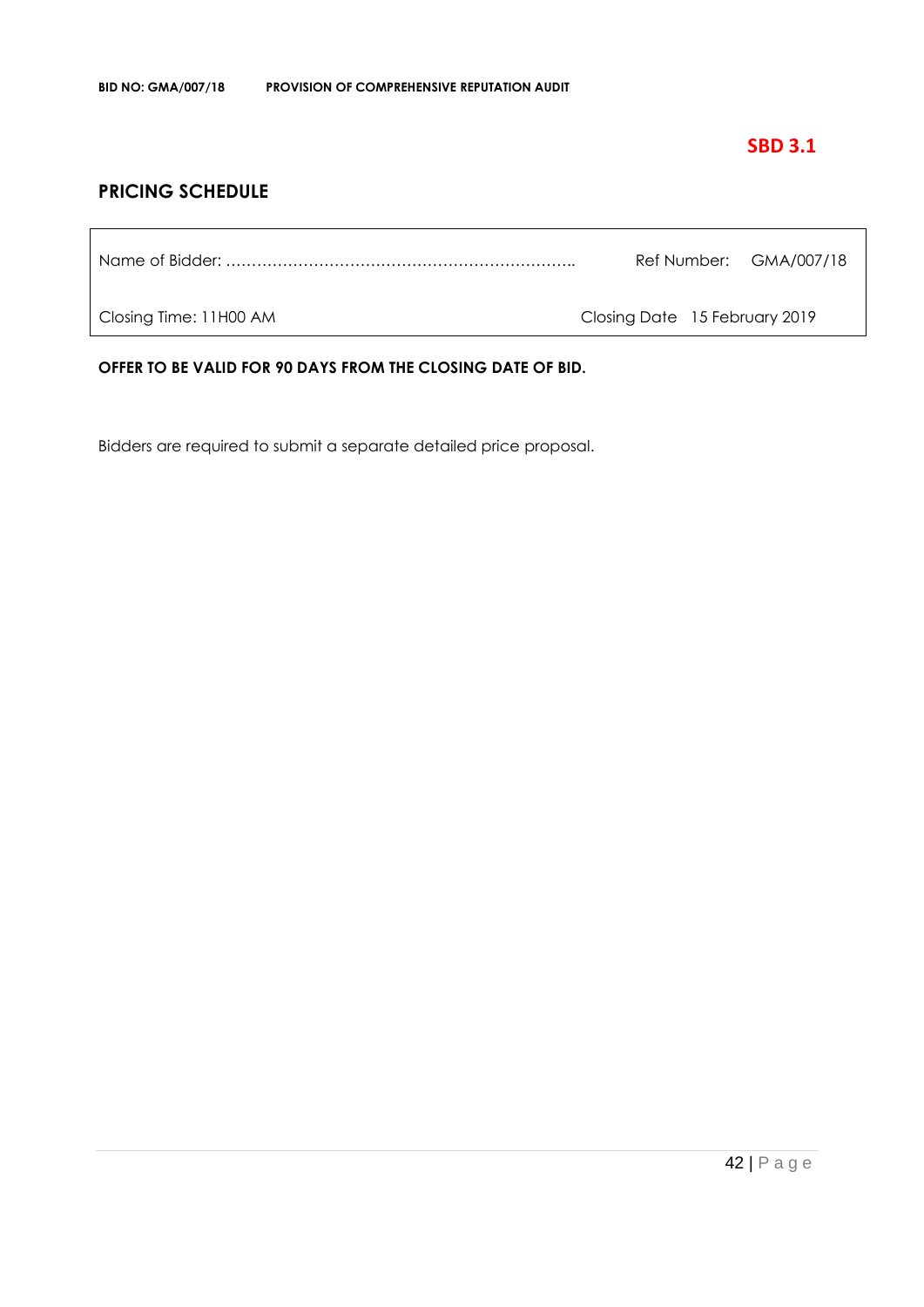## **SBD 3.1**

## **PRICING SCHEDULE**

| Ref Number: GMA/007/18 |
|------------------------|
|------------------------|

Closing Time: 11H00 AM Closing Date 15 February 2019

**OFFER TO BE VALID FOR 90 DAYS FROM THE CLOSING DATE OF BID.**

Bidders are required to submit a separate detailed price proposal.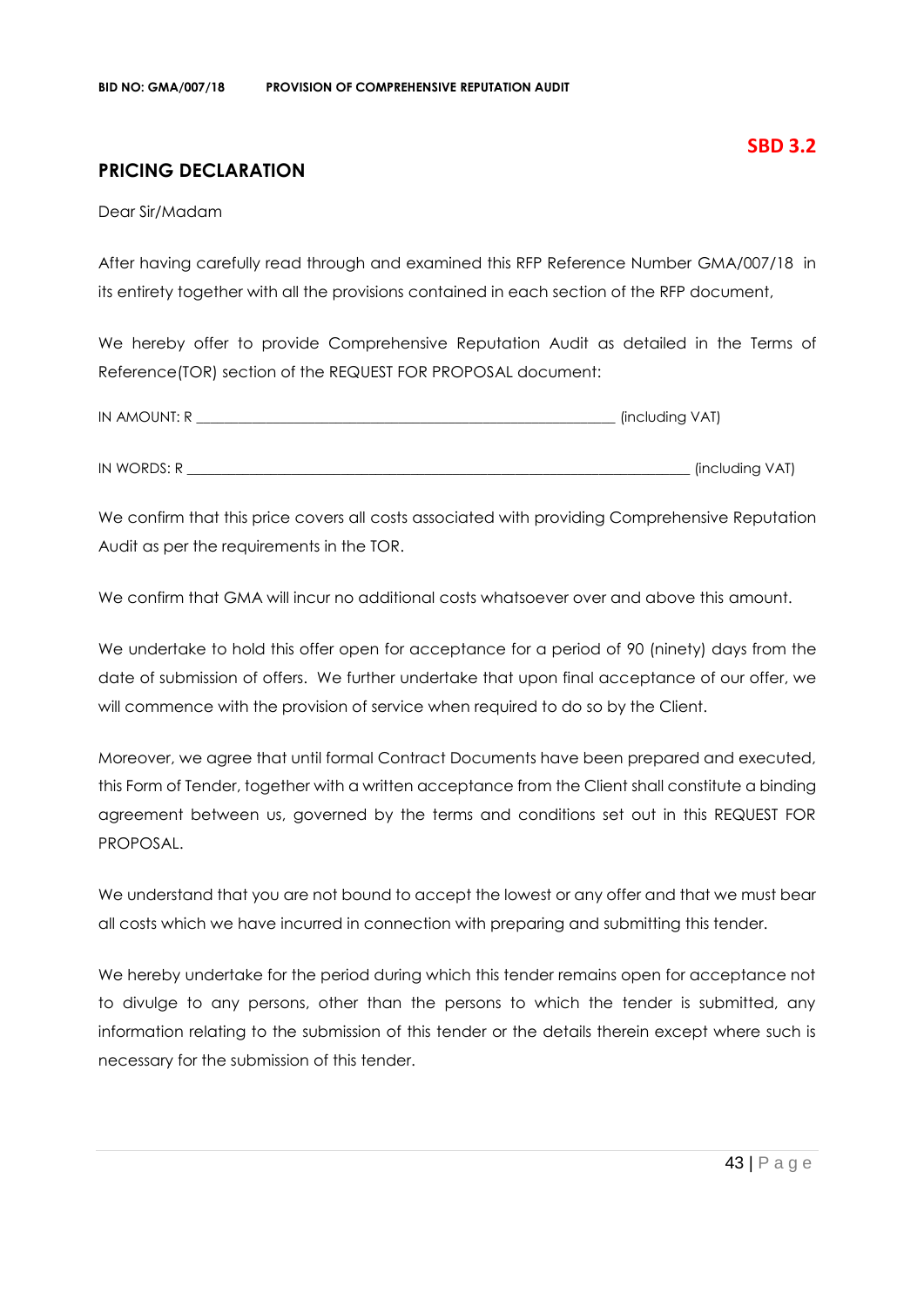## **PRICING DECLARATION**

Dear Sir/Madam

After having carefully read through and examined this RFP Reference Number GMA/007/18 in its entirety together with all the provisions contained in each section of the RFP document,

We hereby offer to provide Comprehensive Reputation Audit as detailed in the Terms of Reference(TOR) section of the REQUEST FOR PROPOSAL document:

| IN AMOUNT: R | (including VAT) |
|--------------|-----------------|
|              |                 |
| IN WORDS: R  | (including VAT) |

We confirm that this price covers all costs associated with providing Comprehensive Reputation Audit as per the requirements in the TOR.

We confirm that GMA will incur no additional costs whatsoever over and above this amount.

We undertake to hold this offer open for acceptance for a period of 90 (ninety) days from the date of submission of offers. We further undertake that upon final acceptance of our offer, we will commence with the provision of service when required to do so by the Client.

Moreover, we agree that until formal Contract Documents have been prepared and executed, this Form of Tender, together with a written acceptance from the Client shall constitute a binding agreement between us, governed by the terms and conditions set out in this REQUEST FOR PROPOSAL.

We understand that you are not bound to accept the lowest or any offer and that we must bear all costs which we have incurred in connection with preparing and submitting this tender.

We hereby undertake for the period during which this tender remains open for acceptance not to divulge to any persons, other than the persons to which the tender is submitted, any information relating to the submission of this tender or the details therein except where such is necessary for the submission of this tender.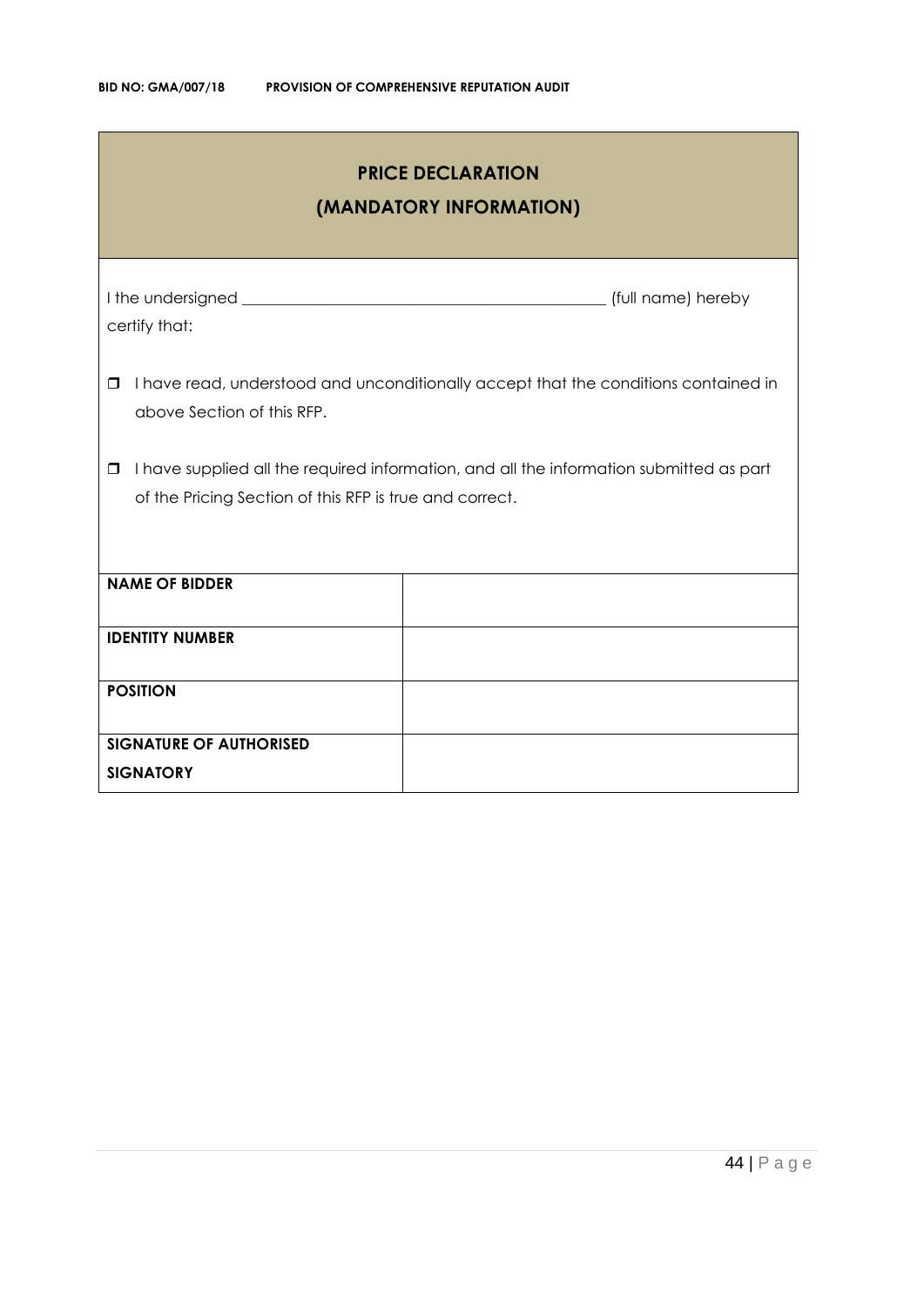| <b>PRICE DECLARATION</b><br>(MANDATORY INFORMATION)                                                                                                          |  |  |  |
|--------------------------------------------------------------------------------------------------------------------------------------------------------------|--|--|--|
| certify that:                                                                                                                                                |  |  |  |
| I have read, understood and unconditionally accept that the conditions contained in<br>0<br>above Section of this RFP.                                       |  |  |  |
| I have supplied all the required information, and all the information submitted as part<br>$\Box$<br>of the Pricing Section of this RFP is true and correct. |  |  |  |
| <b>NAME OF BIDDER</b>                                                                                                                                        |  |  |  |
| <b>IDENTITY NUMBER</b>                                                                                                                                       |  |  |  |
| <b>POSITION</b>                                                                                                                                              |  |  |  |
| <b>SIGNATURE OF AUTHORISED</b><br><b>SIGNATORY</b>                                                                                                           |  |  |  |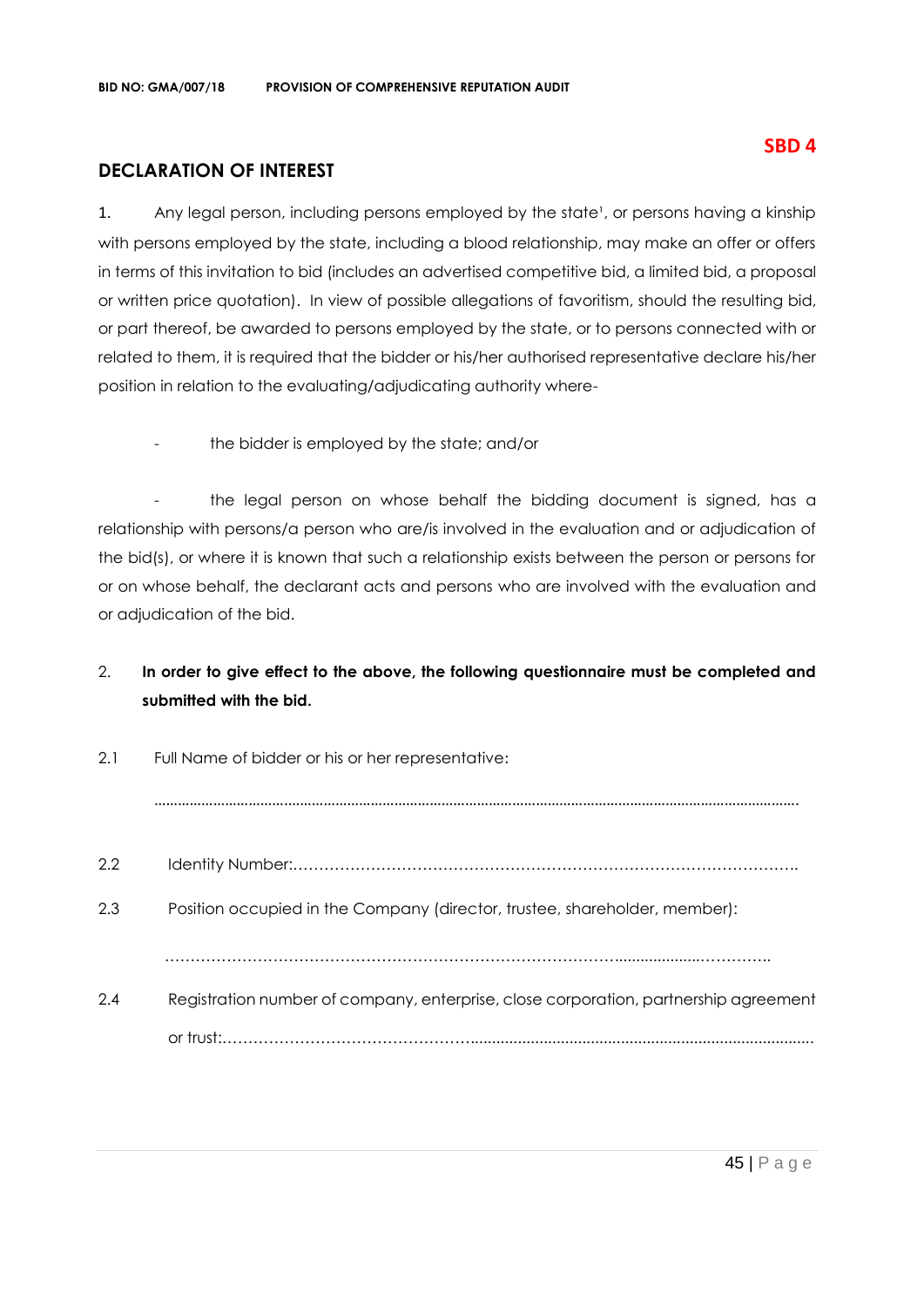## **DECLARATION OF INTEREST**

1. Any legal person, including persons employed by the state<sup>1</sup>, or persons having a kinship with persons employed by the state, including a blood relationship, may make an offer or offers in terms of this invitation to bid (includes an advertised competitive bid, a limited bid, a proposal or written price quotation). In view of possible allegations of favoritism, should the resulting bid, or part thereof, be awarded to persons employed by the state, or to persons connected with or related to them, it is required that the bidder or his/her authorised representative declare his/her position in relation to the evaluating/adjudicating authority where-

the bidder is employed by the state; and/or

- the legal person on whose behalf the bidding document is signed, has a relationship with persons/a person who are/is involved in the evaluation and or adjudication of the bid(s), or where it is known that such a relationship exists between the person or persons for or on whose behalf, the declarant acts and persons who are involved with the evaluation and or adjudication of the bid.

## 2. **In order to give effect to the above, the following questionnaire must be completed and submitted with the bid.**

| 2.1<br>Full Name of bidder or his or her representative: |                                                                                      |  |
|----------------------------------------------------------|--------------------------------------------------------------------------------------|--|
|                                                          |                                                                                      |  |
| 2.2                                                      |                                                                                      |  |
| 2.3                                                      | Position occupied in the Company (director, trustee, shareholder, member):           |  |
|                                                          |                                                                                      |  |
| 2.4                                                      | Registration number of company, enterprise, close corporation, partnership agreement |  |
|                                                          |                                                                                      |  |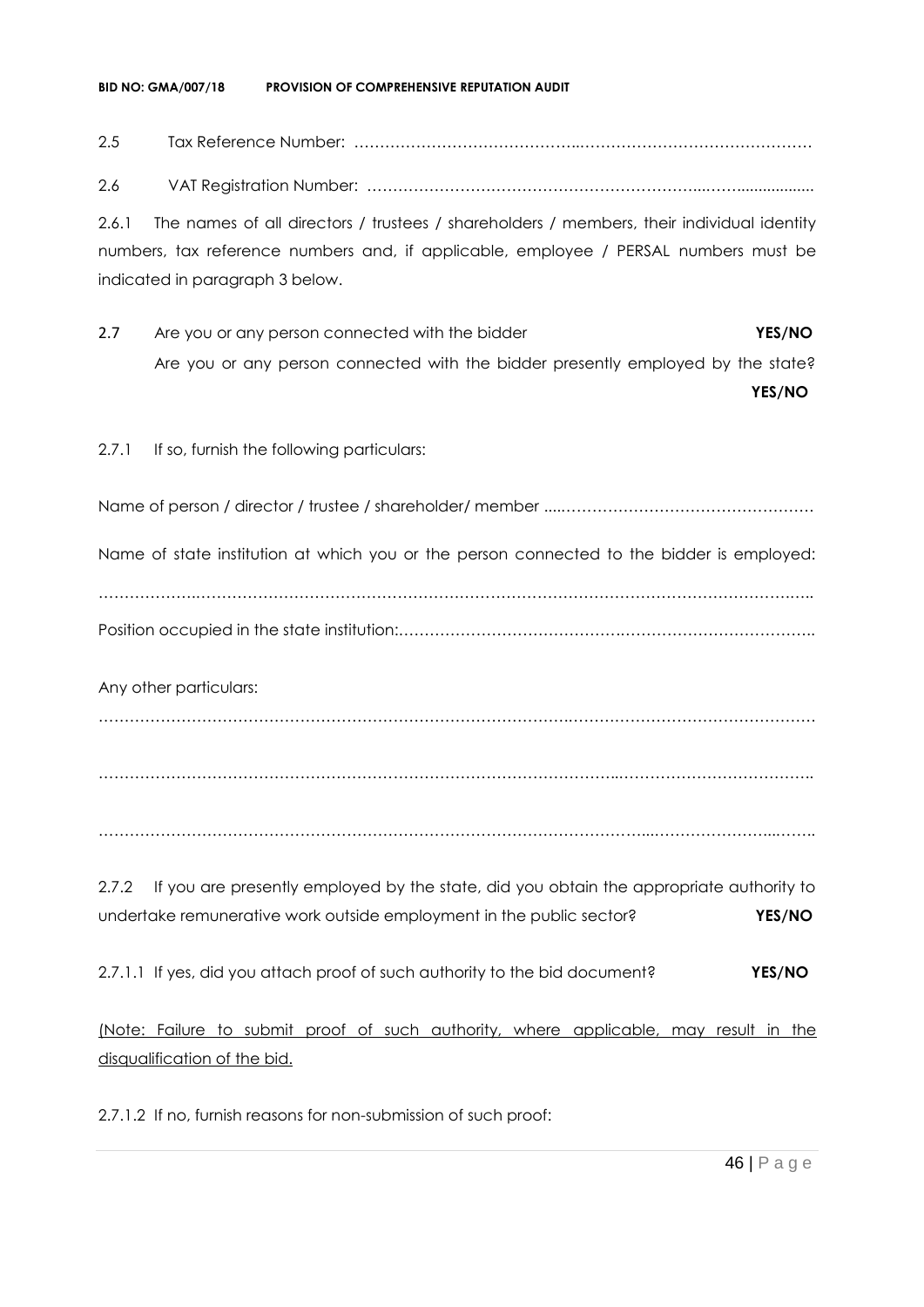#### **BID NO: GMA/007/18 PROVISION OF COMPREHENSIVE REPUTATION AUDIT**

## 2.5 Tax Reference Number: ……………………………………..………………………………………

2.6 VAT Registration Number: ………………………………………………………...……..................

2.6.1 The names of all directors / trustees / shareholders / members, their individual identity numbers, tax reference numbers and, if applicable, employee / PERSAL numbers must be indicated in paragraph 3 below.

2.7 Are you or any person connected with the bidder **YES/NO** Are you or any person connected with the bidder presently employed by the state?

**YES/NO**

#### 2.7.1 If so, furnish the following particulars:

Name of person / director / trustee / shareholder/ member ....………………………………………….

Name of state institution at which you or the person connected to the bidder is employed:

……………….…………………………………………………………………………………………………….….. Position occupied in the state institution:…………………………………….………………………………..

Any other particulars:

……………………………………………………………………………….…………………………………………

………………………………………………………………………………………..………………………………..

……………………………………………………………………………………………...…………………...……..

2.7.2 If you are presently employed by the state, did you obtain the appropriate authority to undertake remunerative work outside employment in the public sector? **YES/NO**

2.7.1.1 If yes, did you attach proof of such authority to the bid document? **YES/NO**

(Note: Failure to submit proof of such authority, where applicable, may result in the disqualification of the bid.

2.7.1.2 If no, furnish reasons for non-submission of such proof: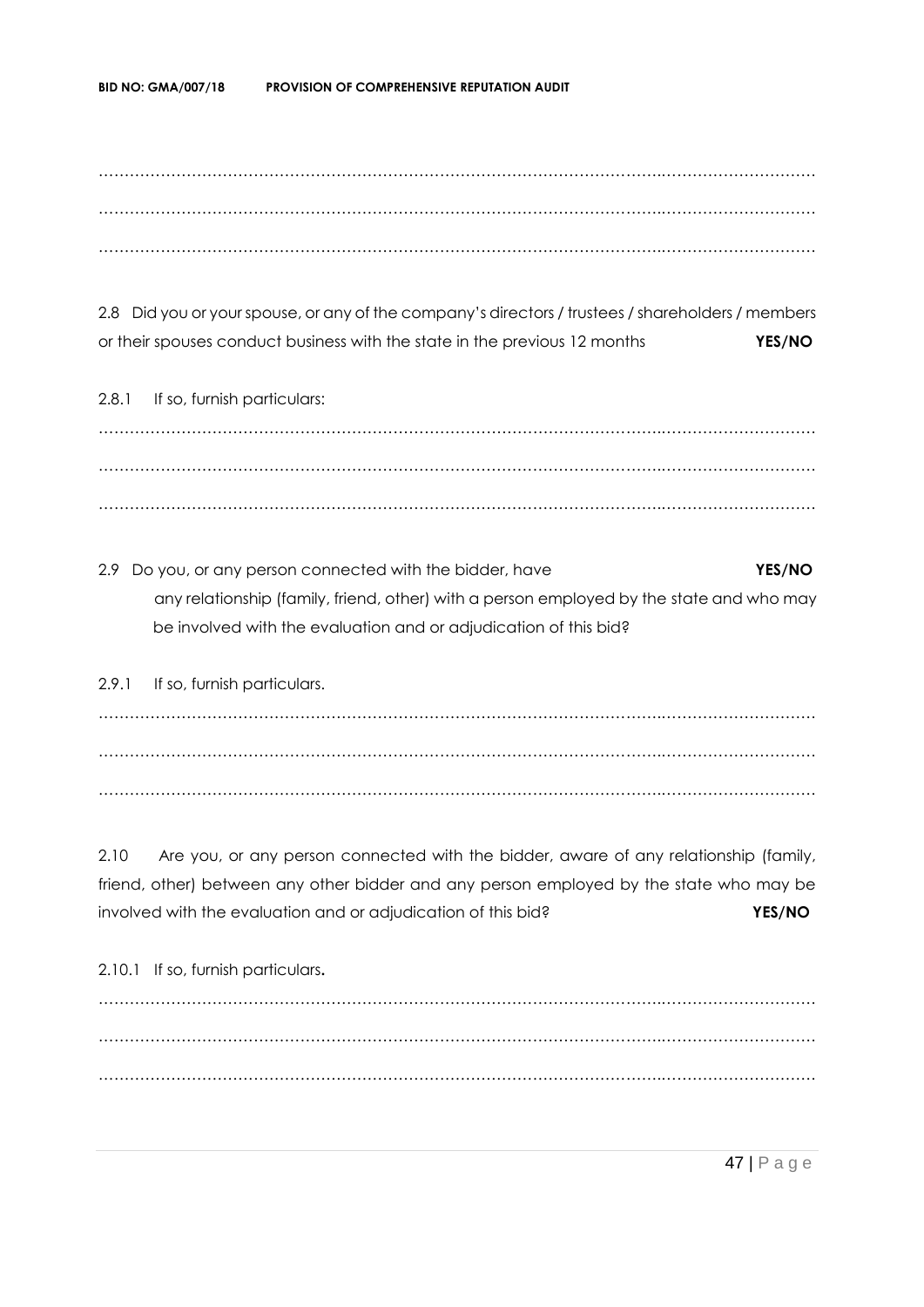……………………………………………………………………………………………….………………………… ……………………………………………………………………………………………….………………………… ……………………………………………………………………………………………….…………………………

2.8 Did you or your spouse, or any of the company's directors / trustees / shareholders / members or their spouses conduct business with the state in the previous 12 months **YES/NO**

2.8.1 If so, furnish particulars: ……………………………………………………………………………………………….………………………… ……………………………………………………………………………………………….………………………… ……………………………………………………………………………………………….…………………………

2.9 Do you, or any person connected with the bidder, have **YES/NO** any relationship (family, friend, other) with a person employed by the state and who may be involved with the evaluation and or adjudication of this bid?

2.9.1 If so, furnish particulars. ……………………………………………………………………………………………….………………………… ……………………………………………………………………………………………….………………………… ……………………………………………………………………………………………….…………………………

2.10 Are you, or any person connected with the bidder, aware of any relationship (family, friend, other) between any other bidder and any person employed by the state who may be involved with the evaluation and or adjudication of this bid? **YES/NO**

2.10.1 If so, furnish particulars**.** ……………………………………………………………………………………………….………………………… ……………………………………………………………………………………………….………………………… ……………………………………………………………………………………………….…………………………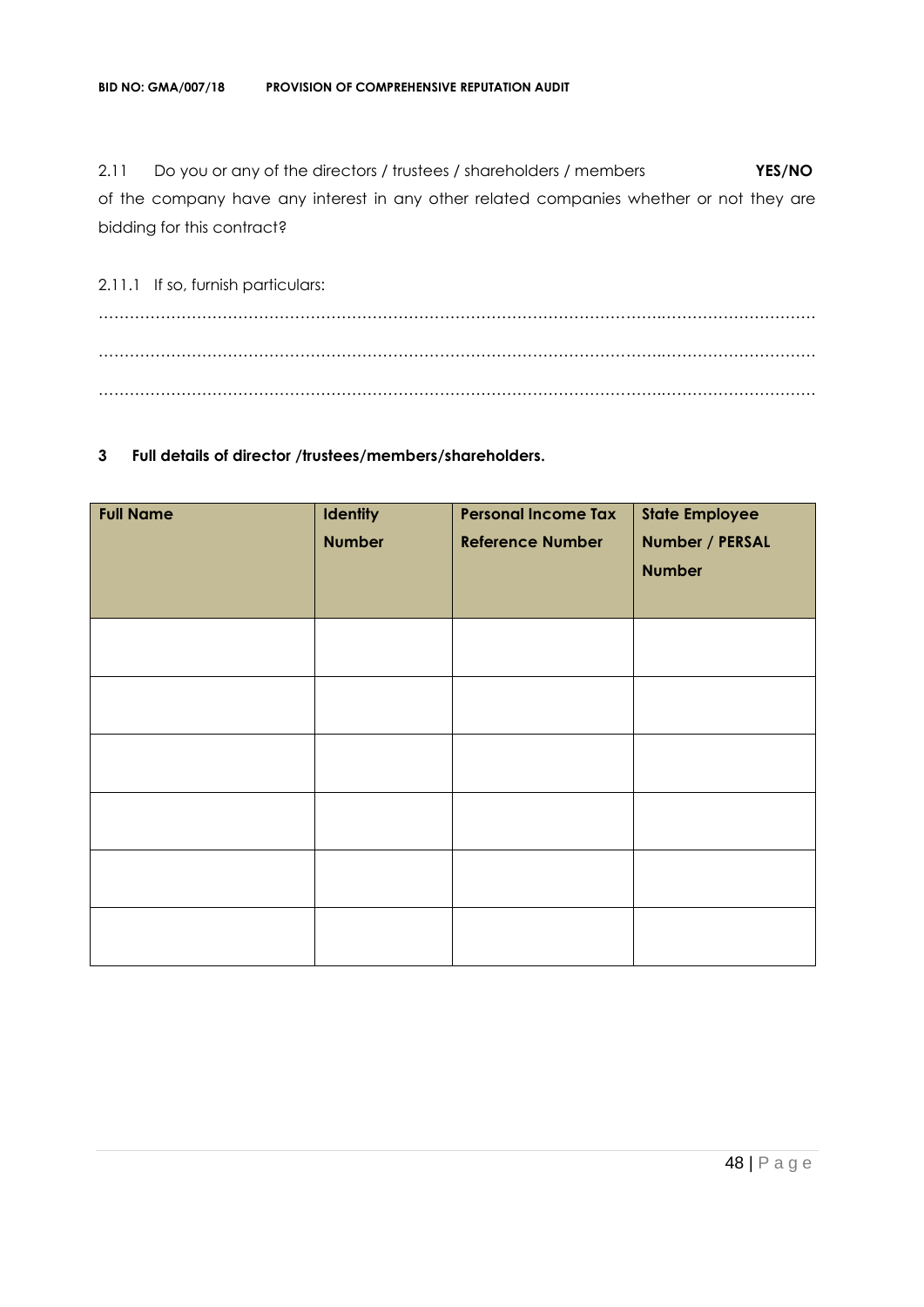2.11 Do you or any of the directors / trustees / shareholders / members **YES/NO** of the company have any interest in any other related companies whether or not they are bidding for this contract?

2.11.1 If so, furnish particulars: ……………………………………………………………………………………………….………………………… ……………………………………………………………………………………………….………………………… ……………………………………………………………………………………………….…………………………

#### **3 Full details of director /trustees/members/shareholders.**

| <b>Full Name</b> | <b>Identity</b><br><b>Number</b> | <b>Personal Income Tax</b><br><b>Reference Number</b> | <b>State Employee</b><br>Number / PERSAL<br><b>Number</b> |
|------------------|----------------------------------|-------------------------------------------------------|-----------------------------------------------------------|
|                  |                                  |                                                       |                                                           |
|                  |                                  |                                                       |                                                           |
|                  |                                  |                                                       |                                                           |
|                  |                                  |                                                       |                                                           |
|                  |                                  |                                                       |                                                           |
|                  |                                  |                                                       |                                                           |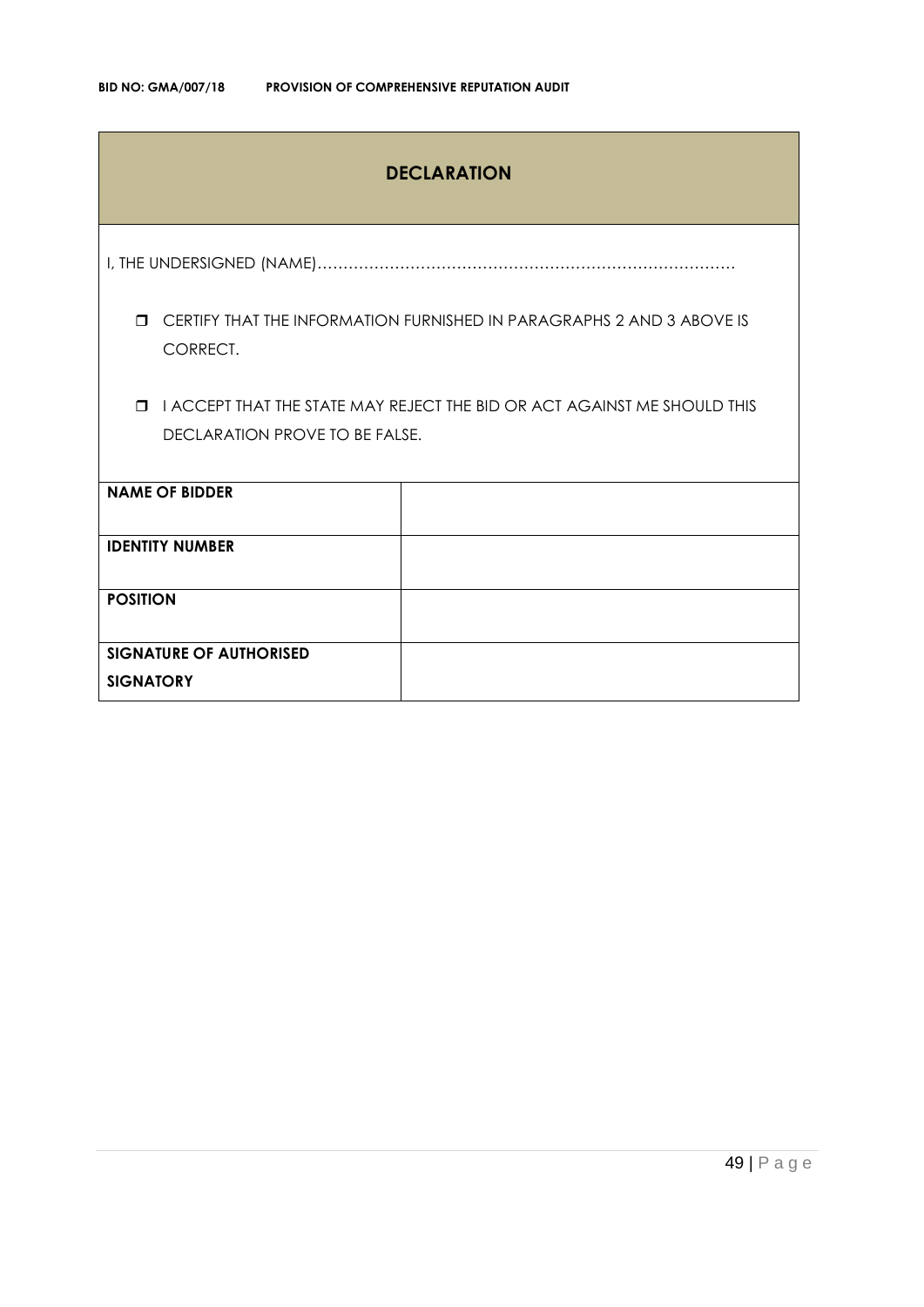## **DECLARATION**

I, THE UNDERSIGNED (NAME)………………………………………………………………………

 CERTIFY THAT THE INFORMATION FURNISHED IN PARAGRAPHS 2 AND 3 ABOVE IS CORRECT.

 I ACCEPT THAT THE STATE MAY REJECT THE BID OR ACT AGAINST ME SHOULD THIS DECLARATION PROVE TO BE FALSE.

| <b>NAME OF BIDDER</b>          |  |
|--------------------------------|--|
|                                |  |
| <b>IDENTITY NUMBER</b>         |  |
|                                |  |
|                                |  |
|                                |  |
| <b>POSITION</b>                |  |
|                                |  |
|                                |  |
|                                |  |
| <b>SIGNATURE OF AUTHORISED</b> |  |
|                                |  |
|                                |  |
| <b>SIGNATORY</b>               |  |
|                                |  |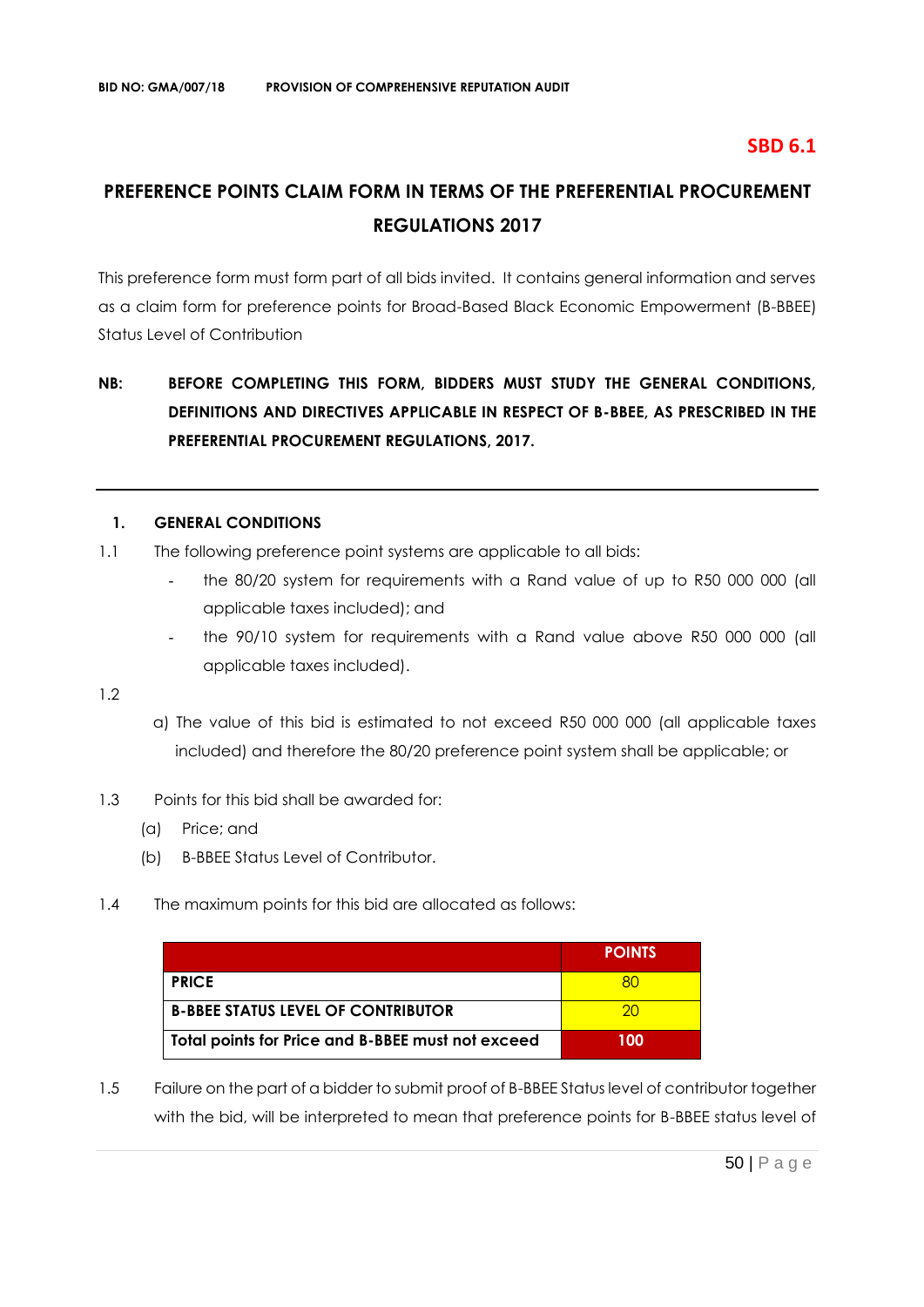## **SBD 6.1**

# **PREFERENCE POINTS CLAIM FORM IN TERMS OF THE PREFERENTIAL PROCUREMENT REGULATIONS 2017**

This preference form must form part of all bids invited. It contains general information and serves as a claim form for preference points for Broad-Based Black Economic Empowerment (B-BBEE) Status Level of Contribution

# **NB: BEFORE COMPLETING THIS FORM, BIDDERS MUST STUDY THE GENERAL CONDITIONS, DEFINITIONS AND DIRECTIVES APPLICABLE IN RESPECT OF B-BBEE, AS PRESCRIBED IN THE PREFERENTIAL PROCUREMENT REGULATIONS, 2017.**

#### **1. GENERAL CONDITIONS**

- 1.1 The following preference point systems are applicable to all bids:
	- the 80/20 system for requirements with a Rand value of up to R50 000 000 (all applicable taxes included); and
	- the 90/10 system for requirements with a Rand value above R50 000 000 (all applicable taxes included).

1.2

- a) The value of this bid is estimated to not exceed R50 000 000 (all applicable taxes included) and therefore the 80/20 preference point system shall be applicable; or
- 1.3 Points for this bid shall be awarded for:
	- (a) Price; and
	- (b) B-BBEE Status Level of Contributor.
- 1.4 The maximum points for this bid are allocated as follows:

|                                                   | <b>POINTS</b> |
|---------------------------------------------------|---------------|
| <b>PRICE</b>                                      |               |
| <b>B-BBEE STATUS LEVEL OF CONTRIBUTOR</b>         | 20            |
| Total points for Price and B-BBEE must not exceed | 100           |

1.5 Failure on the part of a bidder to submit proof of B-BBEE Status level of contributor together with the bid, will be interpreted to mean that preference points for B-BBEE status level of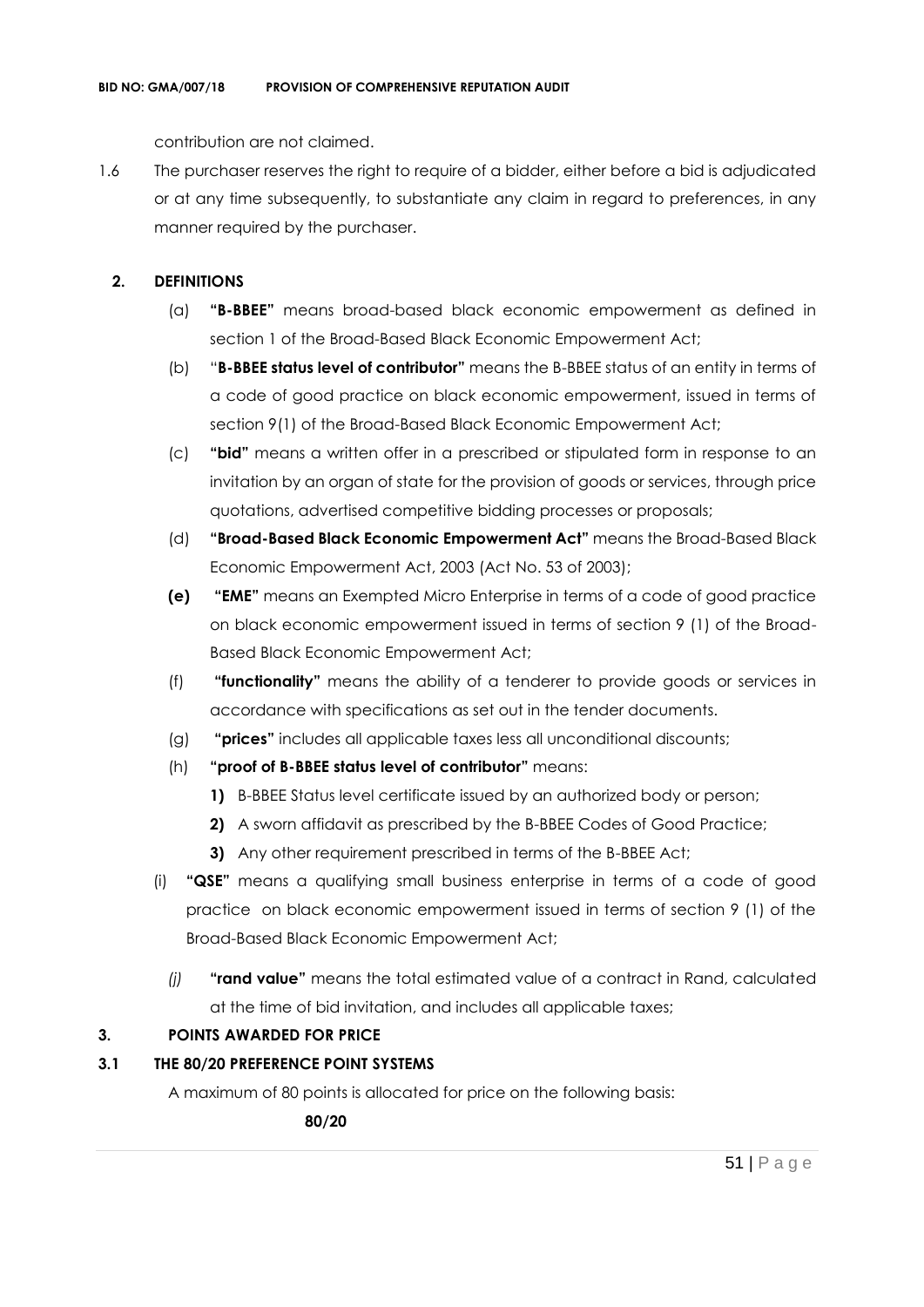contribution are not claimed.

1.6 The purchaser reserves the right to require of a bidder, either before a bid is adjudicated or at any time subsequently, to substantiate any claim in regard to preferences, in any manner required by the purchaser.

## **2. DEFINITIONS**

- (a) **"B-BBEE"** means broad-based black economic empowerment as defined in section 1 of the Broad-Based Black Economic Empowerment Act;
- (b) "**B-BBEE status level of contributor"** means the B-BBEE status of an entity in terms of a code of good practice on black economic empowerment, issued in terms of section 9(1) of the Broad-Based Black Economic Empowerment Act;
- (c) **"bid"** means a written offer in a prescribed or stipulated form in response to an invitation by an organ of state for the provision of goods or services, through price quotations, advertised competitive bidding processes or proposals;
- (d) **"Broad-Based Black Economic Empowerment Act"** means the Broad-Based Black Economic Empowerment Act, 2003 (Act No. 53 of 2003);
- **(e) "EME"** means an Exempted Micro Enterprise in terms of a code of good practice on black economic empowerment issued in terms of section 9 (1) of the Broad-Based Black Economic Empowerment Act;
- (f) **"functionality"** means the ability of a tenderer to provide goods or services in accordance with specifications as set out in the tender documents.
- (g) **"prices"** includes all applicable taxes less all unconditional discounts;
- (h) **"proof of B-BBEE status level of contributor"** means:
	- **1)** B-BBEE Status level certificate issued by an authorized body or person;
	- **2)** A sworn affidavit as prescribed by the B-BBEE Codes of Good Practice;
	- **3)** Any other requirement prescribed in terms of the B-BBEE Act;
- (i) **"QSE"** means a qualifying small business enterprise in terms of a code of good practice on black economic empowerment issued in terms of section 9 (1) of the Broad-Based Black Economic Empowerment Act;
	- *(j)* **"rand value"** means the total estimated value of a contract in Rand, calculated at the time of bid invitation, and includes all applicable taxes;

## **3. POINTS AWARDED FOR PRICE**

## **3.1 THE 80/20 PREFERENCE POINT SYSTEMS**

A maximum of 80 points is allocated for price on the following basis:

 **80/20**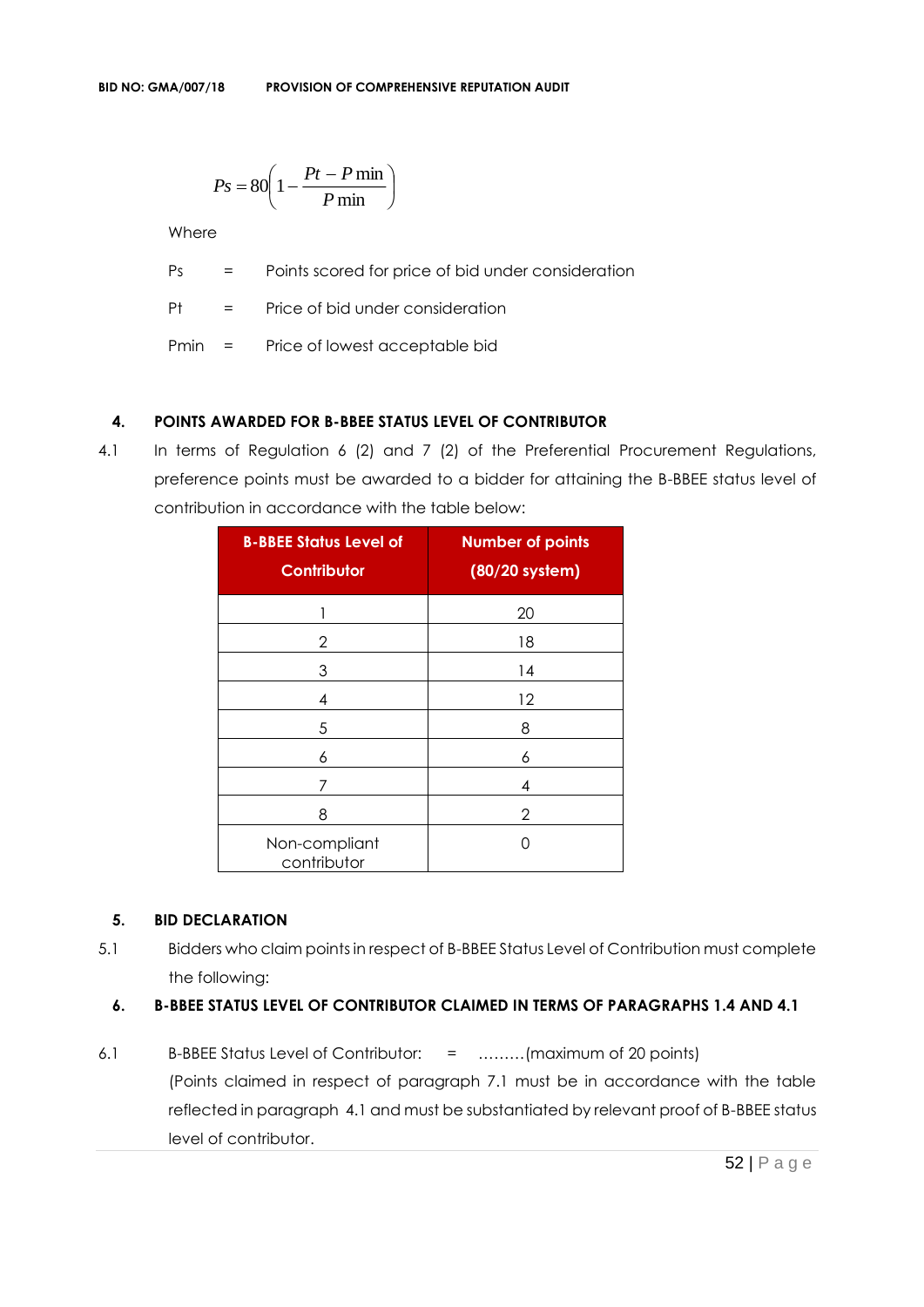$$
Ps = 80 \left( 1 - \frac{Pt - P \min}{P \min} \right)
$$

**Where** 

Ps = Points scored for price of bid under consideration

Pt = Price of bid under consideration

Pmin = Price of lowest acceptable bid

## **4. POINTS AWARDED FOR B-BBEE STATUS LEVEL OF CONTRIBUTOR**

4.1 In terms of Regulation 6 (2) and 7 (2) of the Preferential Procurement Regulations, preference points must be awarded to a bidder for attaining the B-BBEE status level of contribution in accordance with the table below:

| <b>B-BBEE Status Level of</b><br><b>Contributor</b> | <b>Number of points</b><br>(80/20 system) |
|-----------------------------------------------------|-------------------------------------------|
| 1                                                   | 20                                        |
| 2                                                   | 18                                        |
| 3                                                   | 14                                        |
| 4                                                   | 12                                        |
| 5                                                   | 8                                         |
| 6                                                   | 6                                         |
| 7                                                   | 4                                         |
| 8                                                   | 2                                         |
| Non-compliant<br>contributor                        | ( )                                       |

#### **5. BID DECLARATION**

5.1 Bidders who claim points in respect of B-BBEE Status Level of Contribution must complete the following:

## **6. B-BBEE STATUS LEVEL OF CONTRIBUTOR CLAIMED IN TERMS OF PARAGRAPHS 1.4 AND 4.1**

6.1 B-BBEE Status Level of Contributor: = ………(maximum of 20 points) (Points claimed in respect of paragraph 7.1 must be in accordance with the table reflected in paragraph 4.1 and must be substantiated by relevant proof of B-BBEE status level of contributor.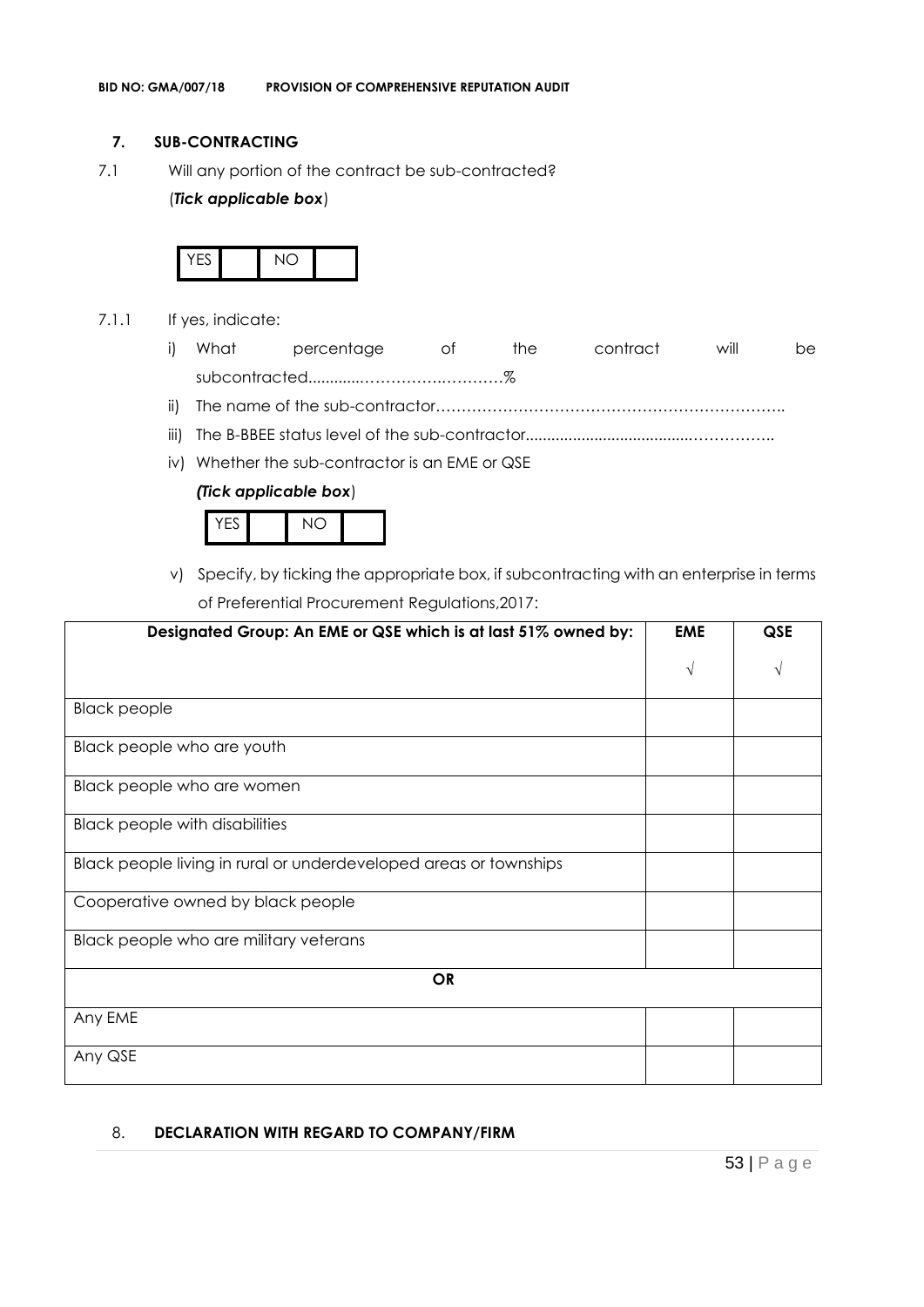#### **7. SUB-CONTRACTING**

7.1 Will any portion of the contract be sub-contracted?

#### (*Tick applicable box*)



- 7.1.1 If yes, indicate:
	- i) What percentage of the contract will be subcontracted............…………….…………%
	- ii) The name of the sub-contractor…………………………………………………………..
	- iii) The B-BBEE status level of the sub-contractor......................................……………..
	- iv) Whether the sub-contractor is an EME or QSE

#### *(Tick applicable box*)



v) Specify, by ticking the appropriate box, if subcontracting with an enterprise in terms of Preferential Procurement Regulations,2017:

| Designated Group: An EME or QSE which is at last 51% owned by:    |   | <b>QSE</b> |
|-------------------------------------------------------------------|---|------------|
|                                                                   | N |            |
| <b>Black people</b>                                               |   |            |
| Black people who are youth                                        |   |            |
| Black people who are women                                        |   |            |
| <b>Black people with disabilities</b>                             |   |            |
| Black people living in rural or underdeveloped areas or townships |   |            |
| Cooperative owned by black people                                 |   |            |
| Black people who are military veterans                            |   |            |
| <b>OR</b>                                                         |   |            |
| Any EME                                                           |   |            |
| Any QSE                                                           |   |            |

## 8. **DECLARATION WITH REGARD TO COMPANY/FIRM**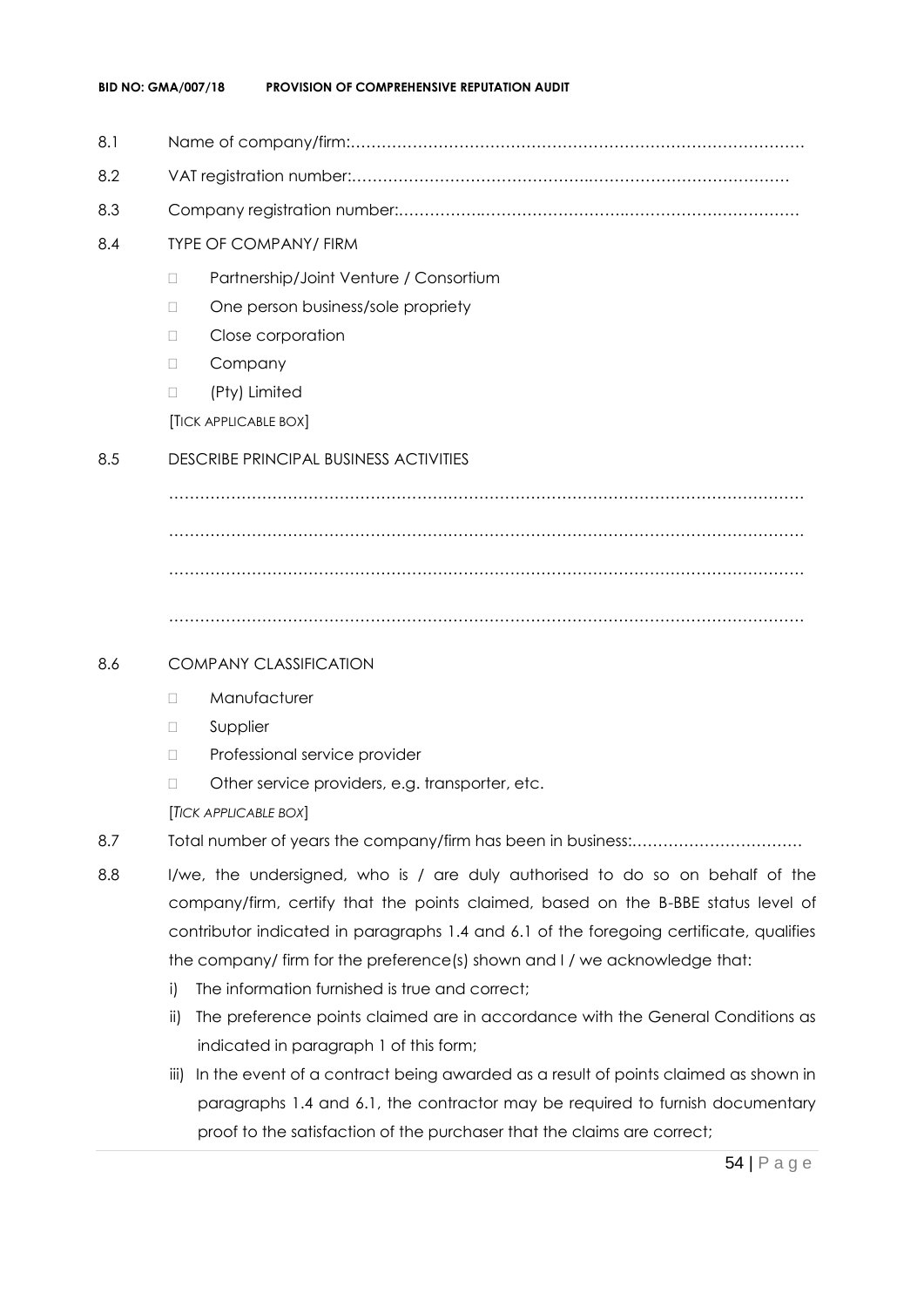- 8.1 Name of company/firm:…………………………………………………………………………….
- 8.2 VAT registration number:……………………………………….…………………………………
- 8.3 Company registration number:…………….……………………….…………………………….
- 8.4 TYPE OF COMPANY/ FIRM
	- D Partnership/Joint Venture / Consortium
	- □ One person business/sole propriety
	- D Close corporation
	- D Company
	- □ (Pty) Limited

[TICK APPLICABLE BOX]

## 8.5 DESCRIBE PRINCIPAL BUSINESS ACTIVITIES

…………………………………………………………………………………………………………… …………………………………………………………………………………………………………… ……………………………………………………………………………………………………………

……………………………………………………………………………………………………………

## 8.6 COMPANY CLASSIFICATION

- Manufacturer
- **D** Supplier
- D Professional service provider
- □ Other service providers, e.g. transporter, etc.

[*TICK APPLICABLE BOX*]

- 8.7 Total number of years the company/firm has been in business:……………………………
- 8.8 I/we, the undersigned, who is / are duly authorised to do so on behalf of the company/firm, certify that the points claimed, based on the B-BBE status level of contributor indicated in paragraphs 1.4 and 6.1 of the foregoing certificate, qualifies the company/ firm for the preference(s) shown and I / we acknowledge that:
	- i) The information furnished is true and correct;
	- ii) The preference points claimed are in accordance with the General Conditions as indicated in paragraph 1 of this form;
	- iii) In the event of a contract being awarded as a result of points claimed as shown in paragraphs 1.4 and 6.1, the contractor may be required to furnish documentary proof to the satisfaction of the purchaser that the claims are correct;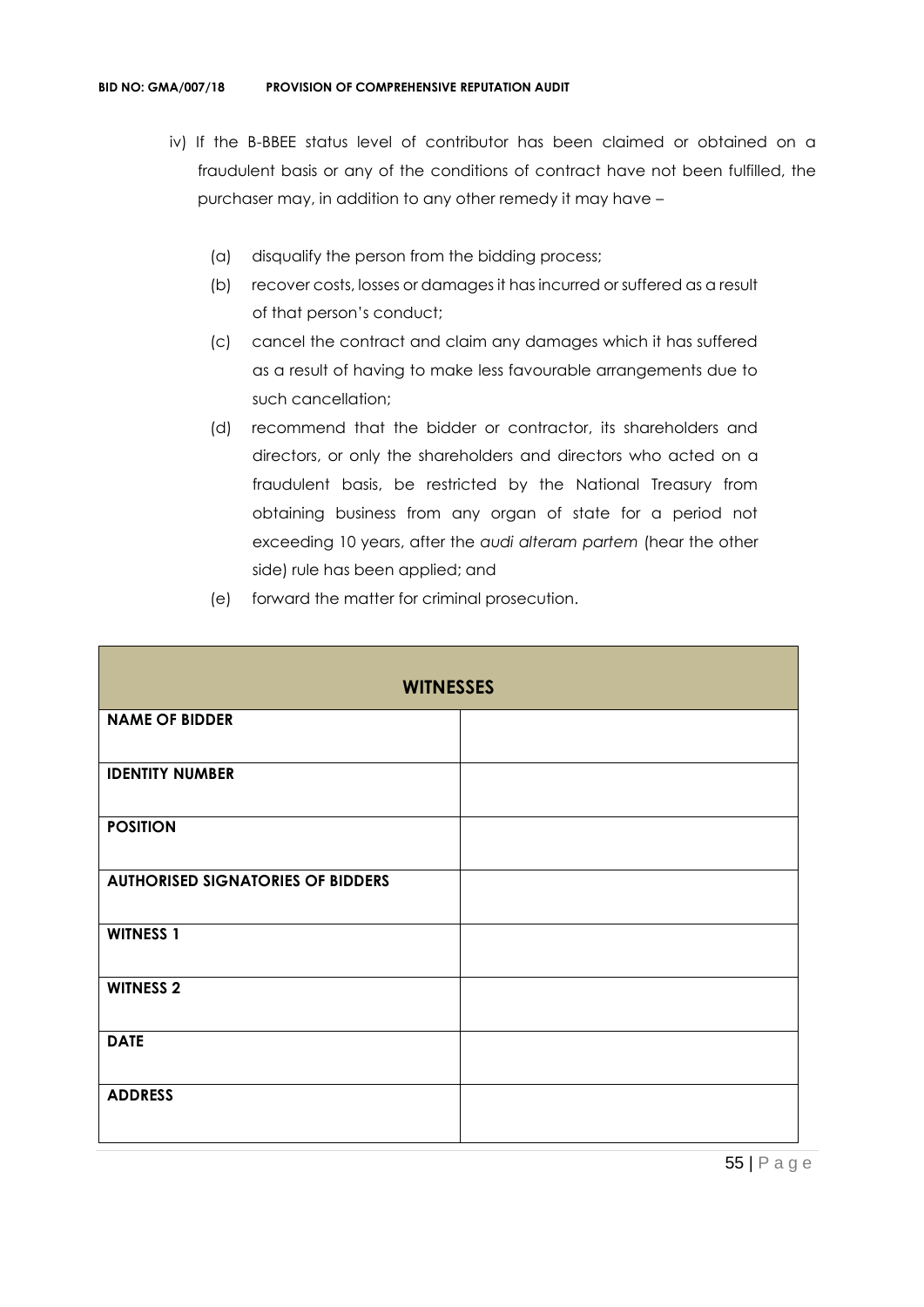- iv) If the B-BBEE status level of contributor has been claimed or obtained on a fraudulent basis or any of the conditions of contract have not been fulfilled, the purchaser may, in addition to any other remedy it may have –
	- (a) disqualify the person from the bidding process;
	- (b) recover costs, losses or damages it has incurred or suffered as a result of that person's conduct;
	- (c) cancel the contract and claim any damages which it has suffered as a result of having to make less favourable arrangements due to such cancellation;
	- (d) recommend that the bidder or contractor, its shareholders and directors, or only the shareholders and directors who acted on a fraudulent basis, be restricted by the National Treasury from obtaining business from any organ of state for a period not exceeding 10 years, after the *audi alteram partem* (hear the other side) rule has been applied; and
	- (e) forward the matter for criminal prosecution.

| <b>WITNESSES</b>                         |  |  |
|------------------------------------------|--|--|
| <b>NAME OF BIDDER</b>                    |  |  |
| <b>IDENTITY NUMBER</b>                   |  |  |
| <b>POSITION</b>                          |  |  |
| <b>AUTHORISED SIGNATORIES OF BIDDERS</b> |  |  |
| <b>WITNESS 1</b>                         |  |  |
| <b>WITNESS 2</b>                         |  |  |
| <b>DATE</b>                              |  |  |
| <b>ADDRESS</b>                           |  |  |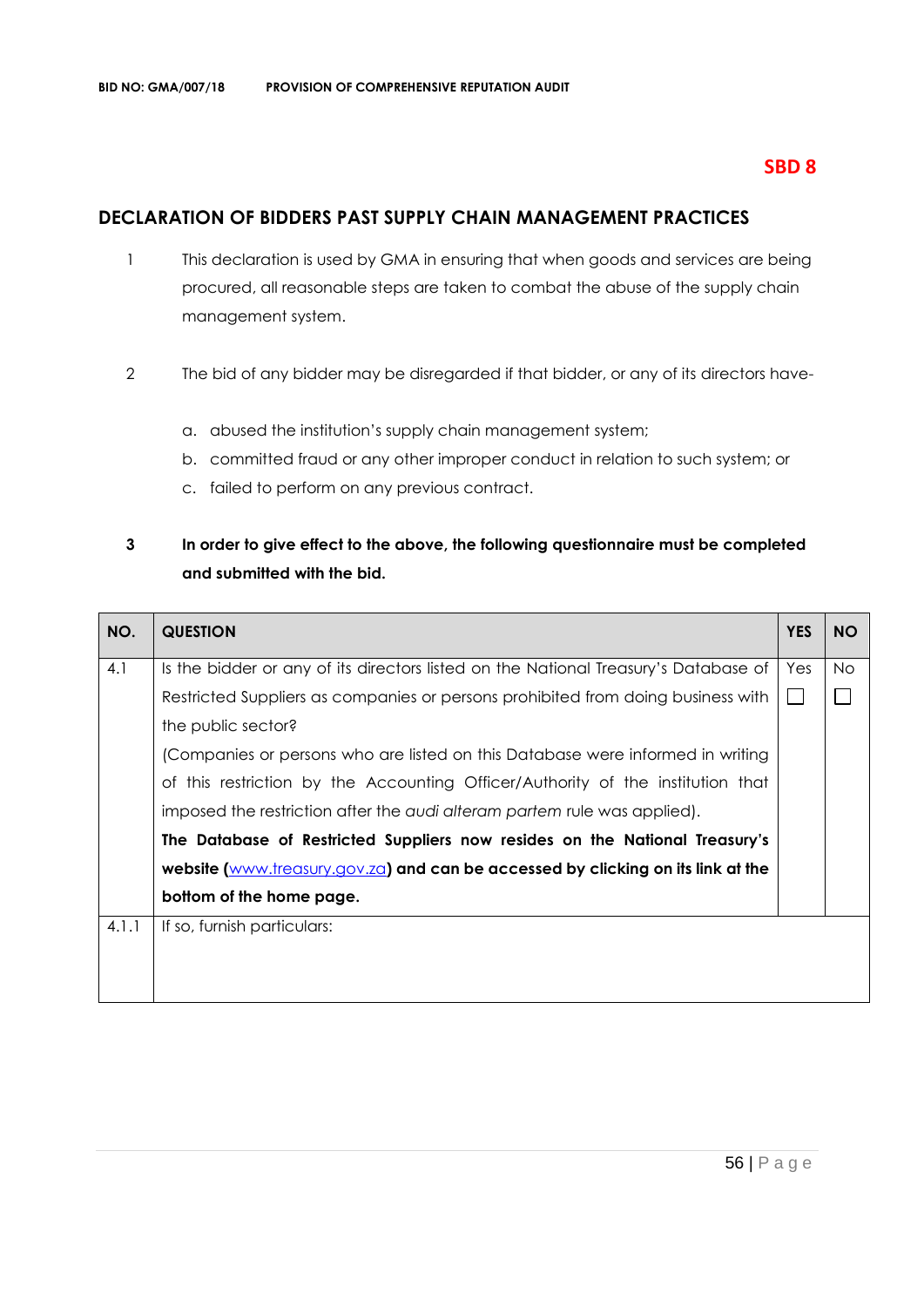## **SBD 8**

## **DECLARATION OF BIDDERS PAST SUPPLY CHAIN MANAGEMENT PRACTICES**

- 1 This declaration is used by GMA in ensuring that when goods and services are being procured, all reasonable steps are taken to combat the abuse of the supply chain management system.
- 2 The bid of any bidder may be disregarded if that bidder, or any of its directors have
	- a. abused the institution's supply chain management system;
	- b. committed fraud or any other improper conduct in relation to such system; or
	- c. failed to perform on any previous contract.

## **3 In order to give effect to the above, the following questionnaire must be completed and submitted with the bid.**

| NO.   | <b>QUESTION</b>                                                                     | <b>YES</b> | <b>NO</b> |
|-------|-------------------------------------------------------------------------------------|------------|-----------|
| 4.1   | Is the bidder or any of its directors listed on the National Treasury's Database of | Yes        | No.       |
|       | Restricted Suppliers as companies or persons prohibited from doing business with    |            |           |
|       | the public sector?                                                                  |            |           |
|       | (Companies or persons who are listed on this Database were informed in writing      |            |           |
|       | of this restriction by the Accounting Officer/Authority of the institution that     |            |           |
|       | imposed the restriction after the audi alteram partem rule was applied).            |            |           |
|       | The Database of Restricted Suppliers now resides on the National Treasury's         |            |           |
|       | website (www.treasury.gov.za) and can be accessed by clicking on its link at the    |            |           |
|       | bottom of the home page.                                                            |            |           |
| 4.1.1 | If so, furnish particulars:                                                         |            |           |
|       |                                                                                     |            |           |
|       |                                                                                     |            |           |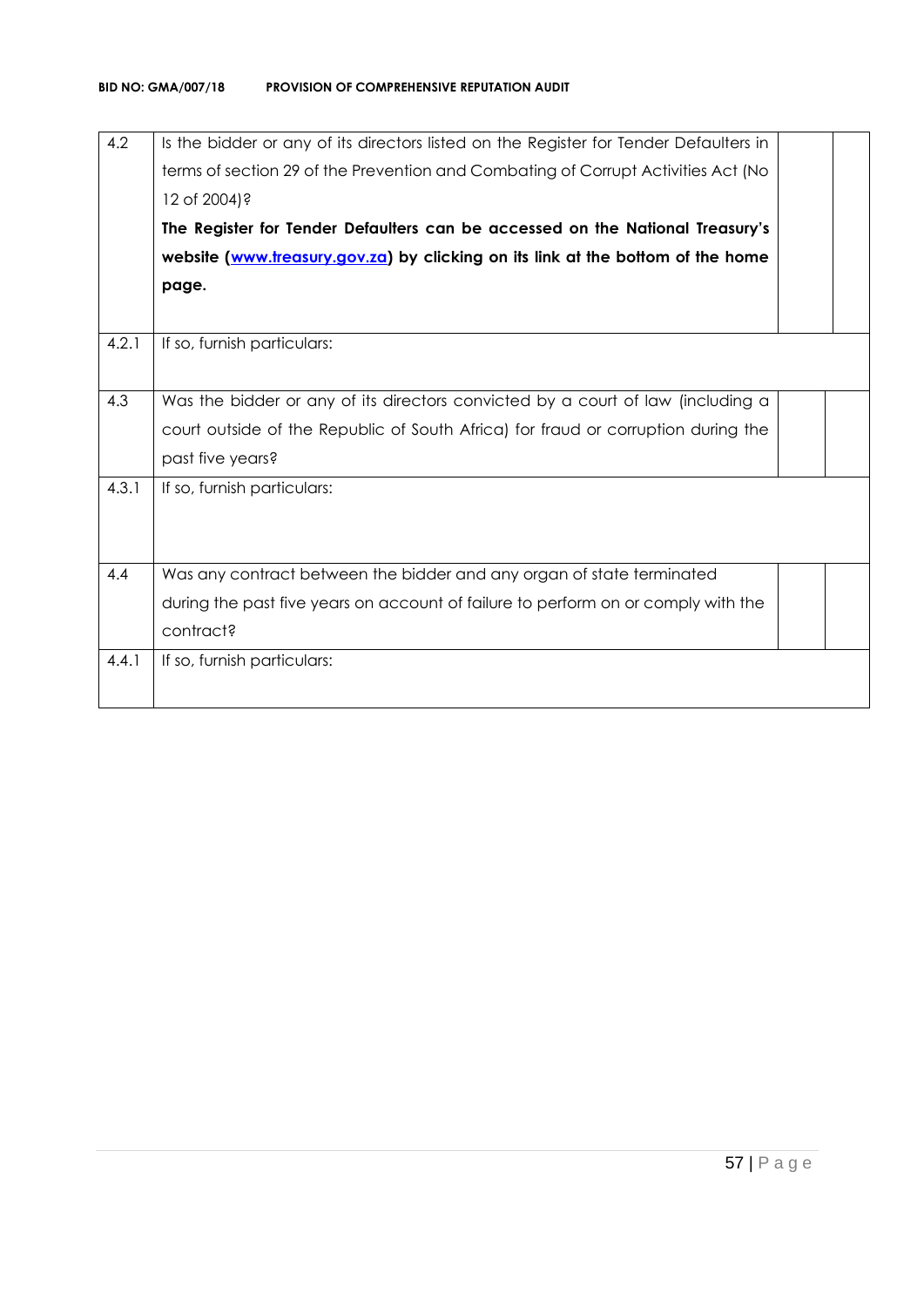| 4.2   | Is the bidder or any of its directors listed on the Register for Tender Defaulters in<br>terms of section 29 of the Prevention and Combating of Corrupt Activities Act (No |  |
|-------|----------------------------------------------------------------------------------------------------------------------------------------------------------------------------|--|
|       | 12 of 2004)?                                                                                                                                                               |  |
|       | The Register for Tender Defaulters can be accessed on the National Treasury's                                                                                              |  |
|       | website (www.treasury.gov.za) by clicking on its link at the bottom of the home                                                                                            |  |
|       | page.                                                                                                                                                                      |  |
|       |                                                                                                                                                                            |  |
| 4.2.1 | If so, furnish particulars:                                                                                                                                                |  |
|       |                                                                                                                                                                            |  |
| 4.3   | Was the bidder or any of its directors convicted by a court of law (including a                                                                                            |  |
|       | court outside of the Republic of South Africa) for fraud or corruption during the                                                                                          |  |
|       | past five years?                                                                                                                                                           |  |
| 4.3.1 | If so, furnish particulars:                                                                                                                                                |  |
|       |                                                                                                                                                                            |  |
|       |                                                                                                                                                                            |  |
| 4.4   | Was any contract between the bidder and any organ of state terminated                                                                                                      |  |
|       | during the past five years on account of failure to perform on or comply with the                                                                                          |  |
|       | contract?                                                                                                                                                                  |  |
| 4.4.1 | If so, furnish particulars:                                                                                                                                                |  |
|       |                                                                                                                                                                            |  |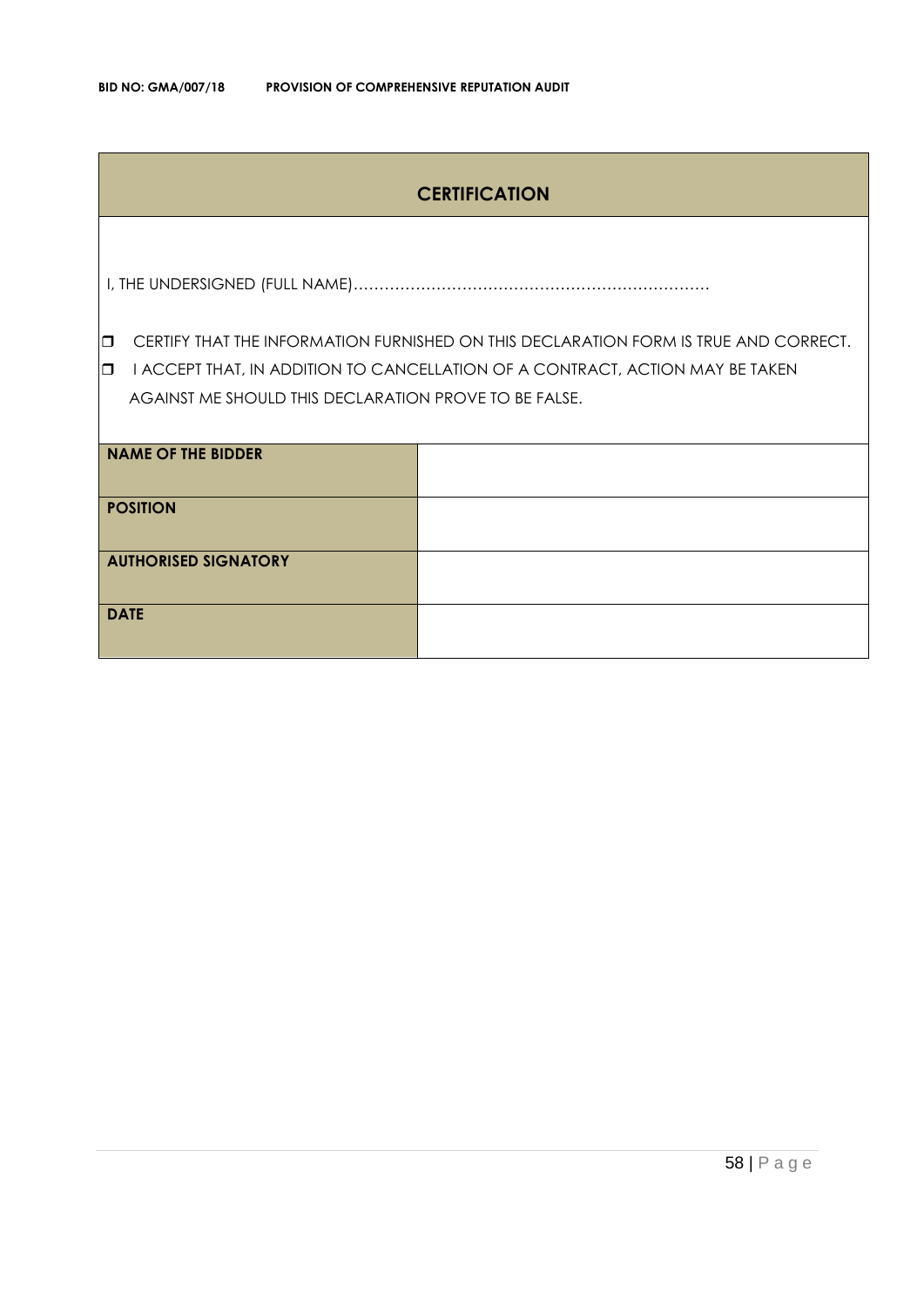## **CERTIFICATION**

I, THE UNDERSIGNED (FULL NAME)……………………………………………………………

**CERTIFY THAT THE INFORMATION FURNISHED ON THIS DECLARATION FORM IS TRUE AND CORRECT.** 

**I** I ACCEPT THAT, IN ADDITION TO CANCELLATION OF A CONTRACT, ACTION MAY BE TAKEN AGAINST ME SHOULD THIS DECLARATION PROVE TO BE FALSE.

| <b>NAME OF THE BIDDER</b>   |  |
|-----------------------------|--|
| <b>POSITION</b>             |  |
| <b>AUTHORISED SIGNATORY</b> |  |
| <b>DATE</b>                 |  |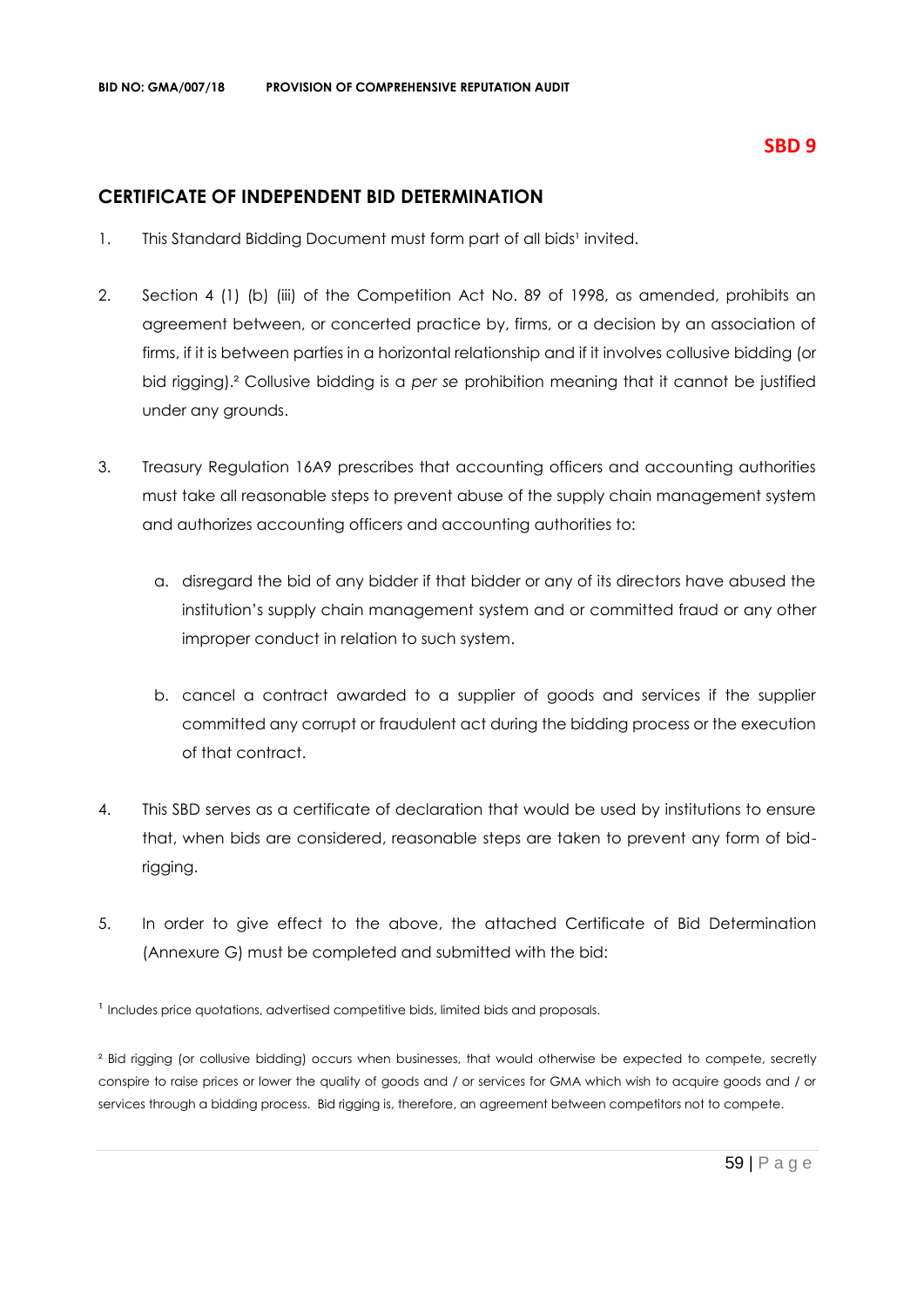## **CERTIFICATE OF INDEPENDENT BID DETERMINATION**

- 1. This Standard Bidding Document must form part of all bids<sup>1</sup> invited.
- 2. Section 4 (1) (b) (iii) of the Competition Act No. 89 of 1998, as amended, prohibits an agreement between, or concerted practice by, firms, or a decision by an association of firms, if it is between parties in a horizontal relationship and if it involves collusive bidding (or bid rigging).² Collusive bidding is a *per se* prohibition meaning that it cannot be justified under any grounds.
- 3. Treasury Regulation 16A9 prescribes that accounting officers and accounting authorities must take all reasonable steps to prevent abuse of the supply chain management system and authorizes accounting officers and accounting authorities to:
	- a. disregard the bid of any bidder if that bidder or any of its directors have abused the institution's supply chain management system and or committed fraud or any other improper conduct in relation to such system.
	- b. cancel a contract awarded to a supplier of goods and services if the supplier committed any corrupt or fraudulent act during the bidding process or the execution of that contract.
- 4. This SBD serves as a certificate of declaration that would be used by institutions to ensure that, when bids are considered, reasonable steps are taken to prevent any form of bidrigging.
- 5. In order to give effect to the above, the attached Certificate of Bid Determination (Annexure G) must be completed and submitted with the bid:

<sup>1</sup> Includes price quotations, advertised competitive bids, limited bids and proposals.

<sup>2</sup> Bid rigging (or collusive bidding) occurs when businesses, that would otherwise be expected to compete, secretly conspire to raise prices or lower the quality of goods and / or services for GMA which wish to acquire goods and / or services through a bidding process. Bid rigging is, therefore, an agreement between competitors not to compete.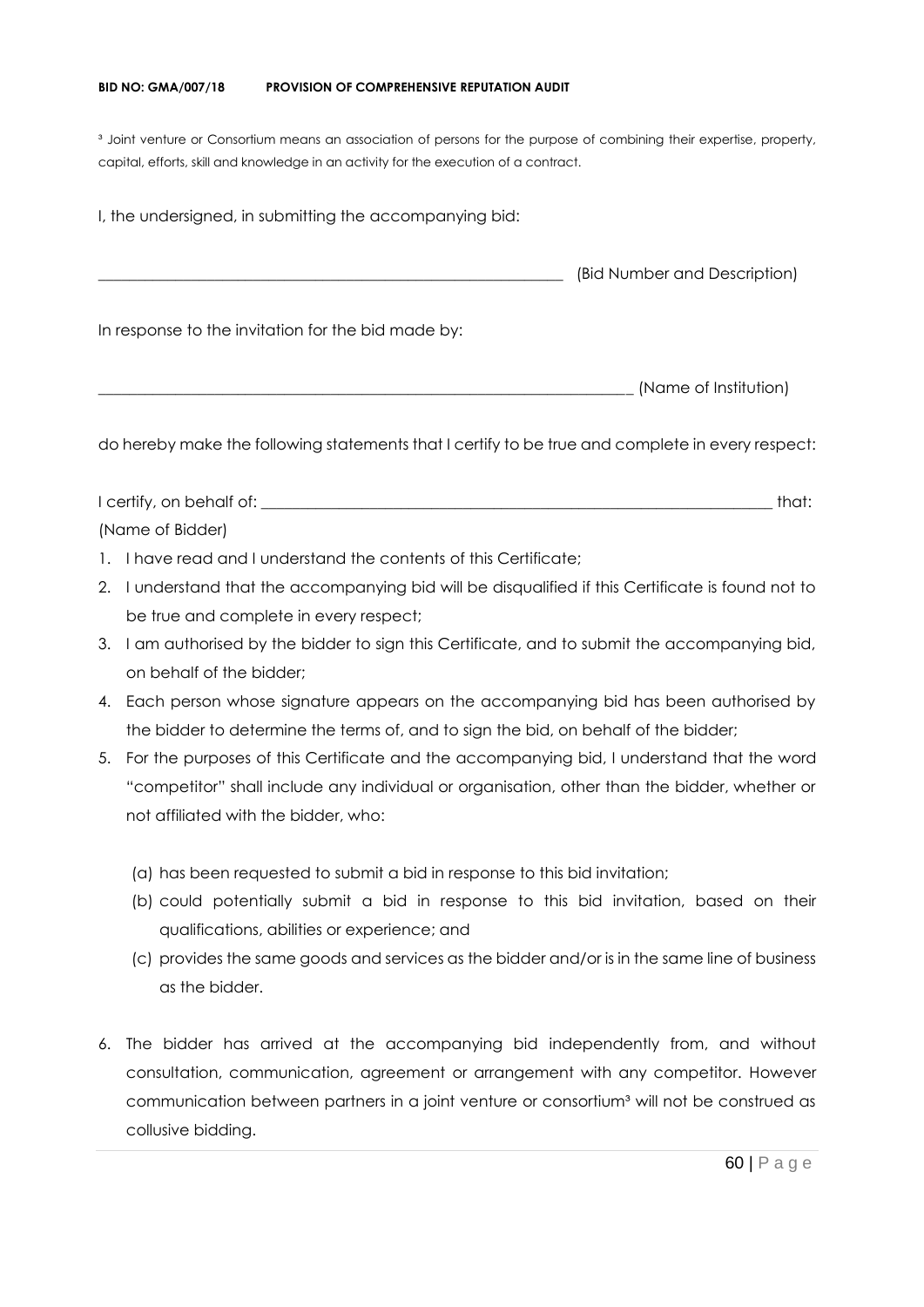#### **BID NO: GMA/007/18 PROVISION OF COMPREHENSIVE REPUTATION AUDIT**

<sup>3</sup> Joint venture or Consortium means an association of persons for the purpose of combining their expertise, property, capital, efforts, skill and knowledge in an activity for the execution of a contract.

I, the undersigned, in submitting the accompanying bid: \_\_\_\_\_\_\_\_\_\_\_\_\_\_\_\_\_\_\_\_\_\_\_\_\_\_\_\_\_\_\_\_\_\_\_\_\_\_\_\_\_\_\_\_\_\_\_\_\_\_\_\_\_\_\_\_\_\_\_\_ (Bid Number and Description) In response to the invitation for the bid made by: \_\_\_\_\_\_\_\_\_\_\_\_\_\_\_\_\_\_\_\_\_\_\_\_\_\_\_\_\_\_\_\_\_\_\_\_\_\_\_\_\_\_\_\_\_\_\_\_\_\_\_\_\_\_\_\_\_\_\_\_\_\_\_\_\_\_\_\_\_ (Name of Institution)

do hereby make the following statements that I certify to be true and complete in every respect:

I certify, on behalf of: the state of the state of the state of the state of the state of the state of the state of the state of the state of the state of the state of the state of the state of the state of the state of th (Name of Bidder)

- 1. I have read and I understand the contents of this Certificate;
- 2. I understand that the accompanying bid will be disqualified if this Certificate is found not to be true and complete in every respect;
- 3. I am authorised by the bidder to sign this Certificate, and to submit the accompanying bid, on behalf of the bidder;
- 4. Each person whose signature appears on the accompanying bid has been authorised by the bidder to determine the terms of, and to sign the bid, on behalf of the bidder;
- 5. For the purposes of this Certificate and the accompanying bid, I understand that the word "competitor" shall include any individual or organisation, other than the bidder, whether or not affiliated with the bidder, who:
	- (a) has been requested to submit a bid in response to this bid invitation;
	- (b) could potentially submit a bid in response to this bid invitation, based on their qualifications, abilities or experience; and
	- (c) provides the same goods and services as the bidder and/or is in the same line of business as the bidder.
- 6. The bidder has arrived at the accompanying bid independently from, and without consultation, communication, agreement or arrangement with any competitor. However communication between partners in a joint venture or consortium<sup>3</sup> will not be construed as collusive bidding.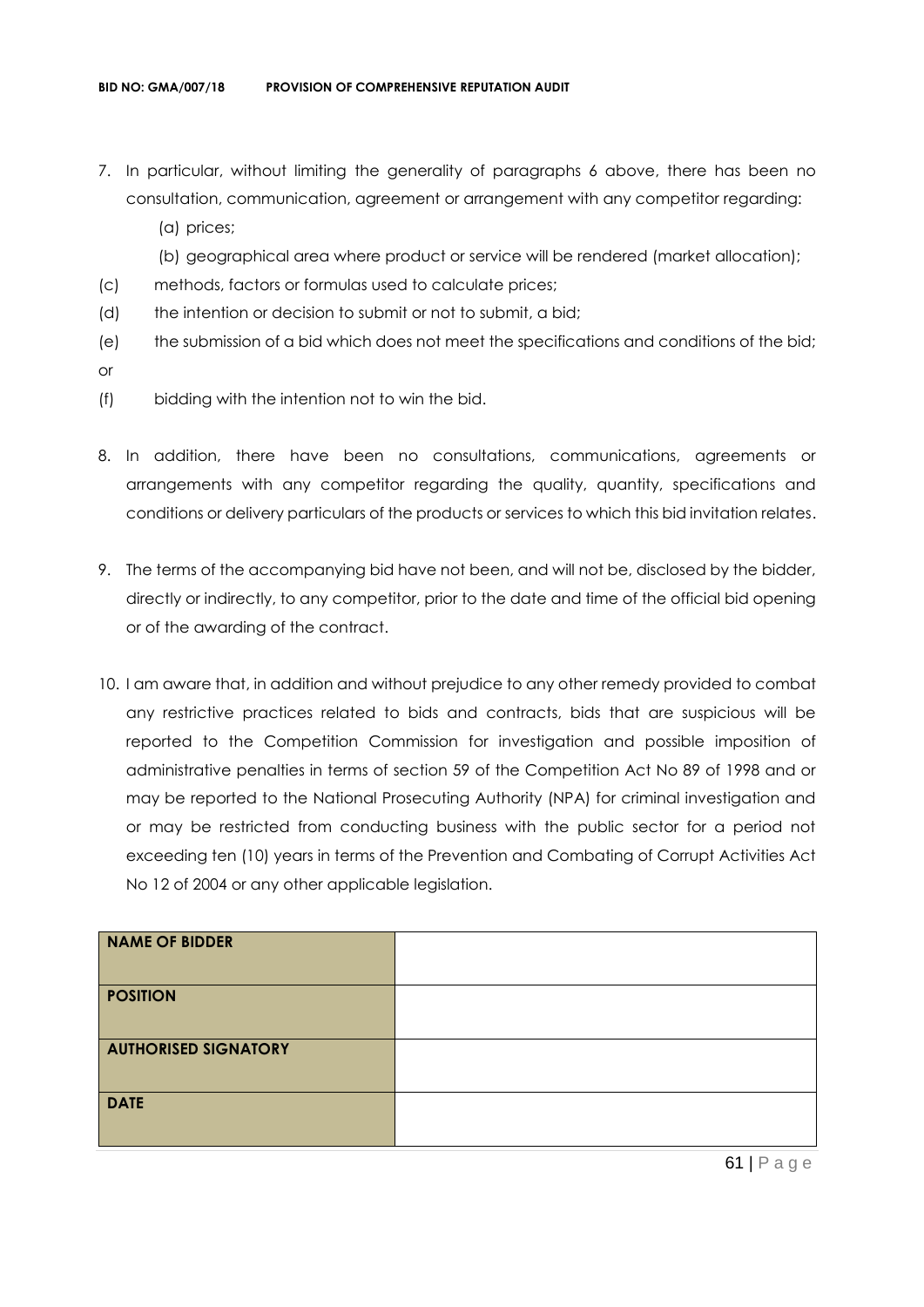- 7. In particular, without limiting the generality of paragraphs 6 above, there has been no consultation, communication, agreement or arrangement with any competitor regarding:
	- (a) prices;
	- (b) geographical area where product or service will be rendered (market allocation);
- (c) methods, factors or formulas used to calculate prices;
- (d) the intention or decision to submit or not to submit, a bid;
- (e) the submission of a bid which does not meet the specifications and conditions of the bid; or
- (f) bidding with the intention not to win the bid.
- 8. In addition, there have been no consultations, communications, agreements or arrangements with any competitor regarding the quality, quantity, specifications and conditions or delivery particulars of the products or services to which this bid invitation relates.
- 9. The terms of the accompanying bid have not been, and will not be, disclosed by the bidder, directly or indirectly, to any competitor, prior to the date and time of the official bid opening or of the awarding of the contract.
- 10. I am aware that, in addition and without prejudice to any other remedy provided to combat any restrictive practices related to bids and contracts, bids that are suspicious will be reported to the Competition Commission for investigation and possible imposition of administrative penalties in terms of section 59 of the Competition Act No 89 of 1998 and or may be reported to the National Prosecuting Authority (NPA) for criminal investigation and or may be restricted from conducting business with the public sector for a period not exceeding ten (10) years in terms of the Prevention and Combating of Corrupt Activities Act No 12 of 2004 or any other applicable legislation.

| <b>NAME OF BIDDER</b>       |  |
|-----------------------------|--|
| <b>POSITION</b>             |  |
| <b>AUTHORISED SIGNATORY</b> |  |
| <b>DATE</b>                 |  |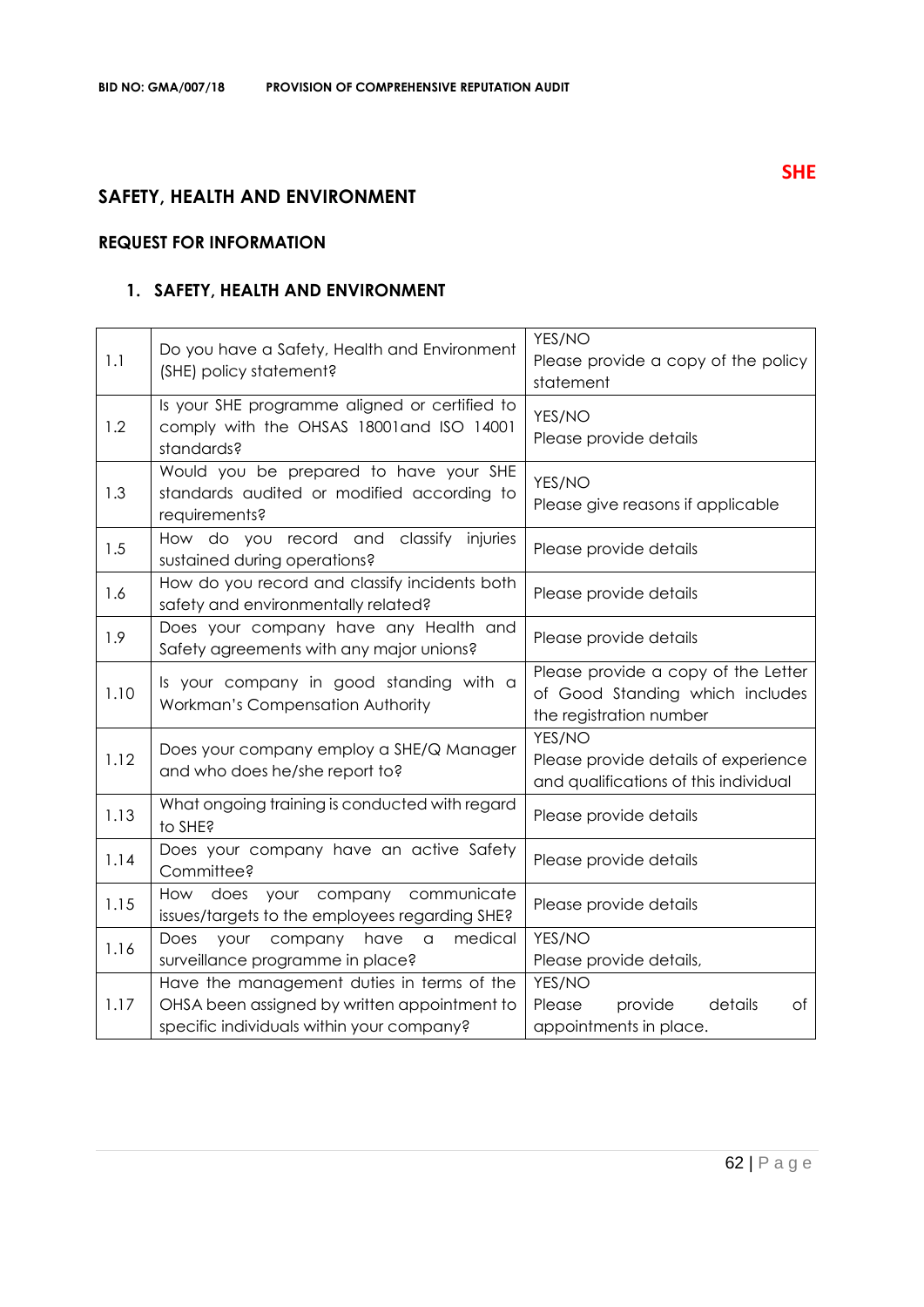## **SAFETY, HEALTH AND ENVIRONMENT**

## **REQUEST FOR INFORMATION**

## **1. SAFETY, HEALTH AND ENVIRONMENT**

| 1.1  | Do you have a Safety, Health and Environment<br>(SHE) policy statement?                                                                 | YES/NO<br>Please provide a copy of the policy<br>statement                                        |
|------|-----------------------------------------------------------------------------------------------------------------------------------------|---------------------------------------------------------------------------------------------------|
| 1.2  | Is your SHE programme aligned or certified to<br>comply with the OHSAS 18001 and ISO 14001<br>standards?                                | YES/NO<br>Please provide details                                                                  |
| 1.3  | Would you be prepared to have your SHE<br>standards audited or modified according to<br>requirements?                                   | YES/NO<br>Please give reasons if applicable                                                       |
| 1.5  | How do you record and classify injuries<br>sustained during operations?                                                                 | Please provide details                                                                            |
| 1.6  | How do you record and classify incidents both<br>safety and environmentally related?                                                    | Please provide details                                                                            |
| 1.9  | Does your company have any Health and<br>Safety agreements with any major unions?                                                       | Please provide details                                                                            |
| 1.10 | Is your company in good standing with a<br>Workman's Compensation Authority                                                             | Please provide a copy of the Letter<br>of Good Standing which includes<br>the registration number |
| 1.12 | Does your company employ a SHE/Q Manager<br>and who does he/she report to?                                                              | YES/NO<br>Please provide details of experience<br>and qualifications of this individual           |
| 1.13 | What ongoing training is conducted with regard<br>to SHE?                                                                               | Please provide details                                                                            |
| 1.14 | Does your company have an active Safety<br>Committee?                                                                                   | Please provide details                                                                            |
| 1.15 | How does your company communicate<br>issues/targets to the employees regarding SHE?                                                     | Please provide details                                                                            |
| 1.16 | medical<br>Does<br>company<br>have<br>your<br>$\hbox{\tt C}$<br>surveillance programme in place?                                        | YES/NO<br>Please provide details,                                                                 |
| 1.17 | Have the management duties in terms of the<br>OHSA been assigned by written appointment to<br>specific individuals within your company? | YES/NO<br>Please<br>details<br>provide<br>Оf<br>appointments in place.                            |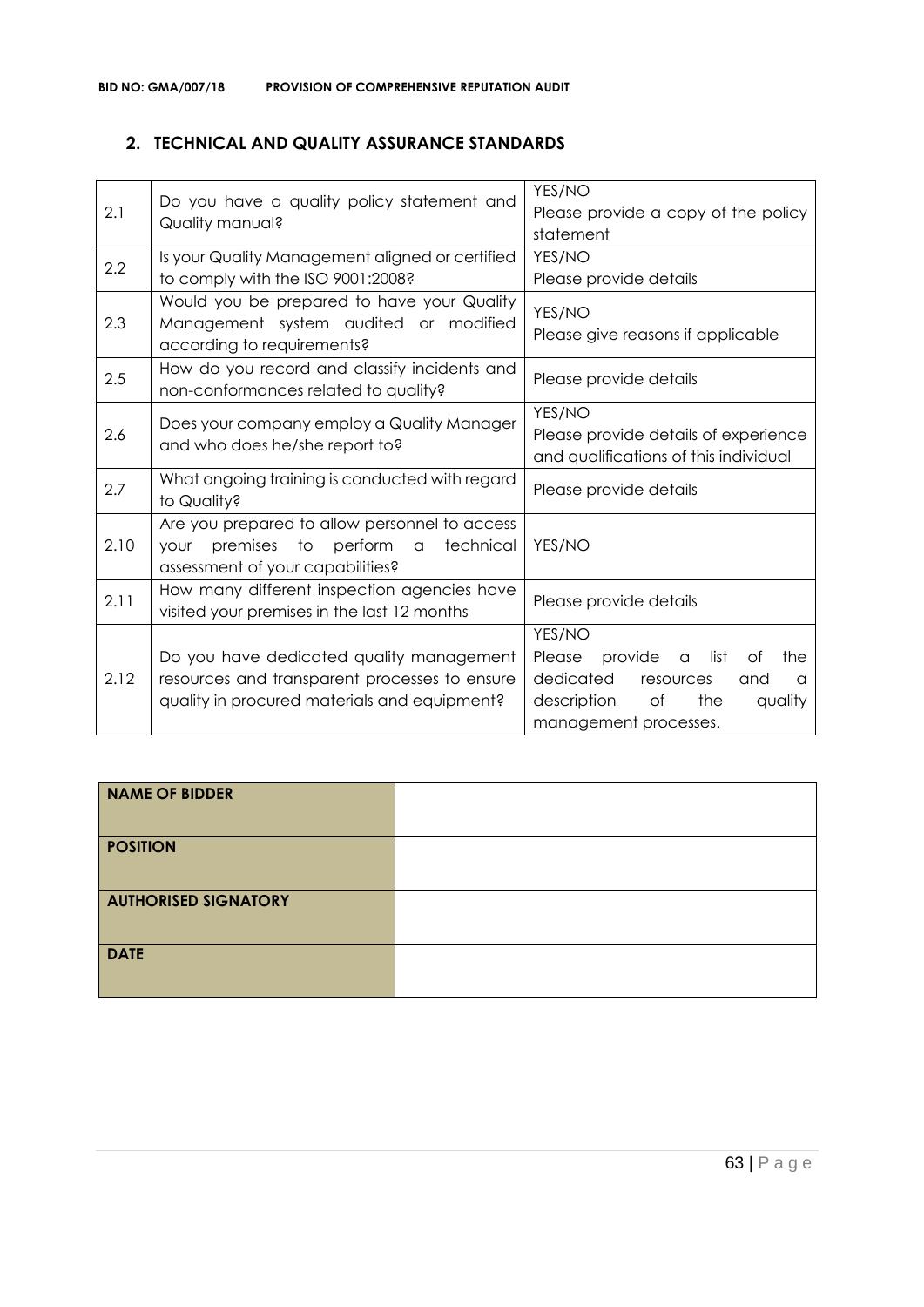## **2. TECHNICAL AND QUALITY ASSURANCE STANDARDS**

| 2.1  | Do you have a quality policy statement and<br>Quality manual?                                                                             | YES/NO<br>Please provide a copy of the policy<br>statement                                                                                                         |
|------|-------------------------------------------------------------------------------------------------------------------------------------------|--------------------------------------------------------------------------------------------------------------------------------------------------------------------|
| 2.2  | Is your Quality Management aligned or certified<br>to comply with the ISO 9001:2008?                                                      | YES/NO<br>Please provide details                                                                                                                                   |
| 2.3  | Would you be prepared to have your Quality<br>Management system audited or modified<br>according to requirements?                         | YES/NO<br>Please give reasons if applicable                                                                                                                        |
| 2.5  | How do you record and classify incidents and<br>non-conformances related to quality?                                                      | Please provide details                                                                                                                                             |
| 2.6  | Does your company employ a Quality Manager<br>and who does he/she report to?                                                              | YES/NO<br>Please provide details of experience<br>and qualifications of this individual                                                                            |
| 2.7  | What ongoing training is conducted with regard<br>to Quality?                                                                             | Please provide details                                                                                                                                             |
| 2.10 | Are you prepared to allow personnel to access<br>premises to perform a<br>technical<br><b>YOUr</b><br>assessment of your capabilities?    | YES/NO                                                                                                                                                             |
| 2.11 | How many different inspection agencies have<br>visited your premises in the last 12 months                                                | Please provide details                                                                                                                                             |
| 2.12 | Do you have dedicated quality management<br>resources and transparent processes to ensure<br>quality in procured materials and equipment? | YES/NO<br>provide<br>list<br>Please<br>Оf<br>the<br>$\alpha$<br>dedicated<br>resources<br>and<br>a<br>description<br>of<br>the<br>quality<br>management processes. |

| NAME OF BIDDER              |  |
|-----------------------------|--|
| <b>POSITION</b>             |  |
| <b>AUTHORISED SIGNATORY</b> |  |
| <b>DATE</b>                 |  |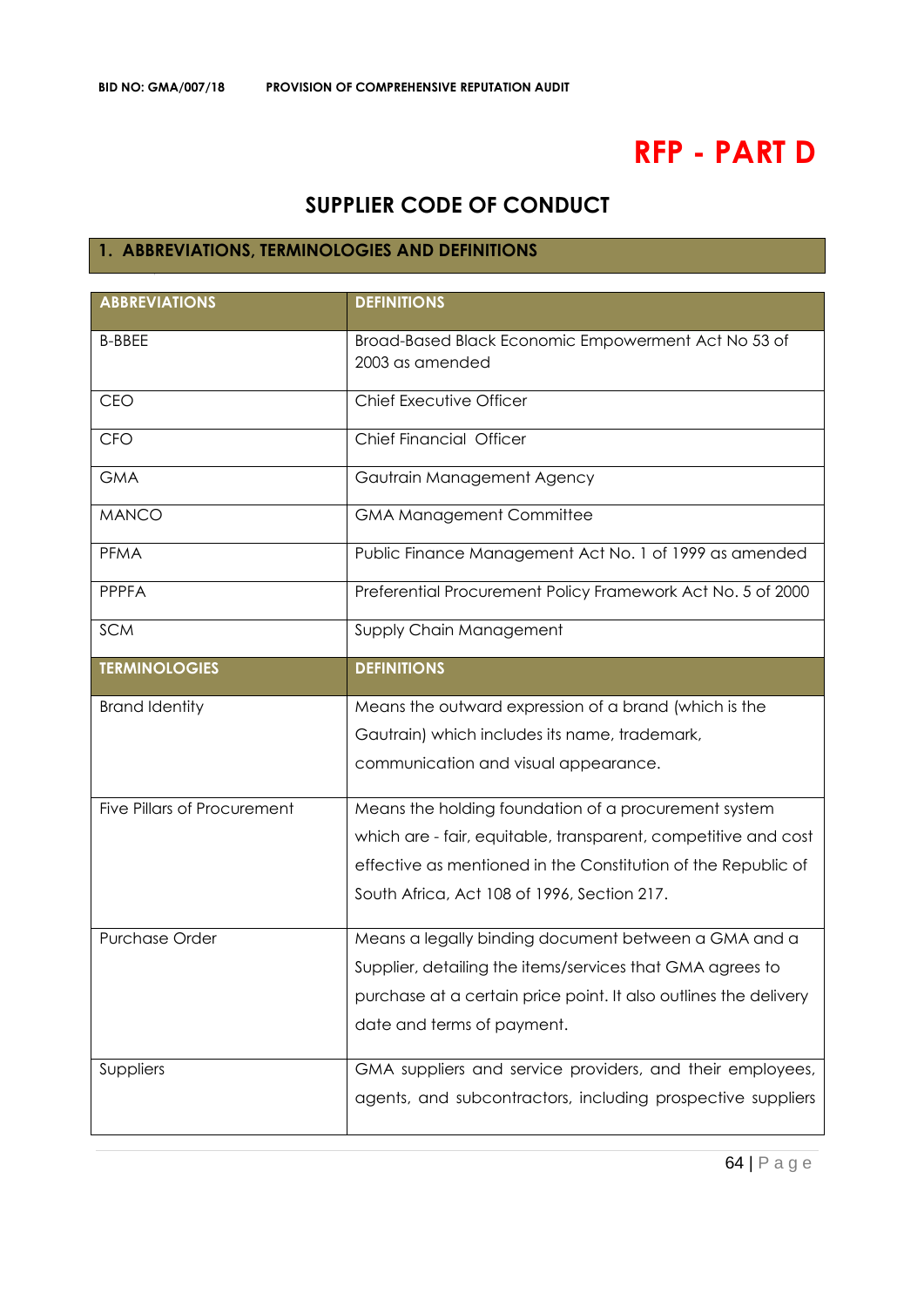# **RFP - PART D**

# **SUPPLIER CODE OF CONDUCT**

## **1. ABBREVIATIONS, TERMINOLOGIES AND DEFINITIONS**

| <b>ABBREVIATIONS</b>        | <b>DEFINITIONS</b>                                                     |
|-----------------------------|------------------------------------------------------------------------|
| <b>B-BBEE</b>               | Broad-Based Black Economic Empowerment Act No 53 of<br>2003 as amended |
| CEO                         | Chief Executive Officer                                                |
| <b>CFO</b>                  | Chief Financial Officer                                                |
| <b>GMA</b>                  | Gautrain Management Agency                                             |
| <b>MANCO</b>                | <b>GMA Management Committee</b>                                        |
| <b>PFMA</b>                 | Public Finance Management Act No. 1 of 1999 as amended                 |
| <b>PPPFA</b>                | Preferential Procurement Policy Framework Act No. 5 of 2000            |
| <b>SCM</b>                  | Supply Chain Management                                                |
| <b>TERMINOLOGIES</b>        | <b>DEFINITIONS</b>                                                     |
| <b>Brand Identity</b>       | Means the outward expression of a brand (which is the                  |
|                             | Gautrain) which includes its name, trademark,                          |
|                             | communication and visual appearance.                                   |
| Five Pillars of Procurement | Means the holding foundation of a procurement system                   |
|                             | which are - fair, equitable, transparent, competitive and cost         |
|                             | effective as mentioned in the Constitution of the Republic of          |
|                             | South Africa, Act 108 of 1996, Section 217.                            |
| <b>Purchase Order</b>       | Means a legally binding document between a GMA and a                   |
|                             | Supplier, detailing the items/services that GMA agrees to              |
|                             | purchase at a certain price point. It also outlines the delivery       |
|                             | date and terms of payment.                                             |
| Suppliers                   | GMA suppliers and service providers, and their employees,              |
|                             | agents, and subcontractors, including prospective suppliers            |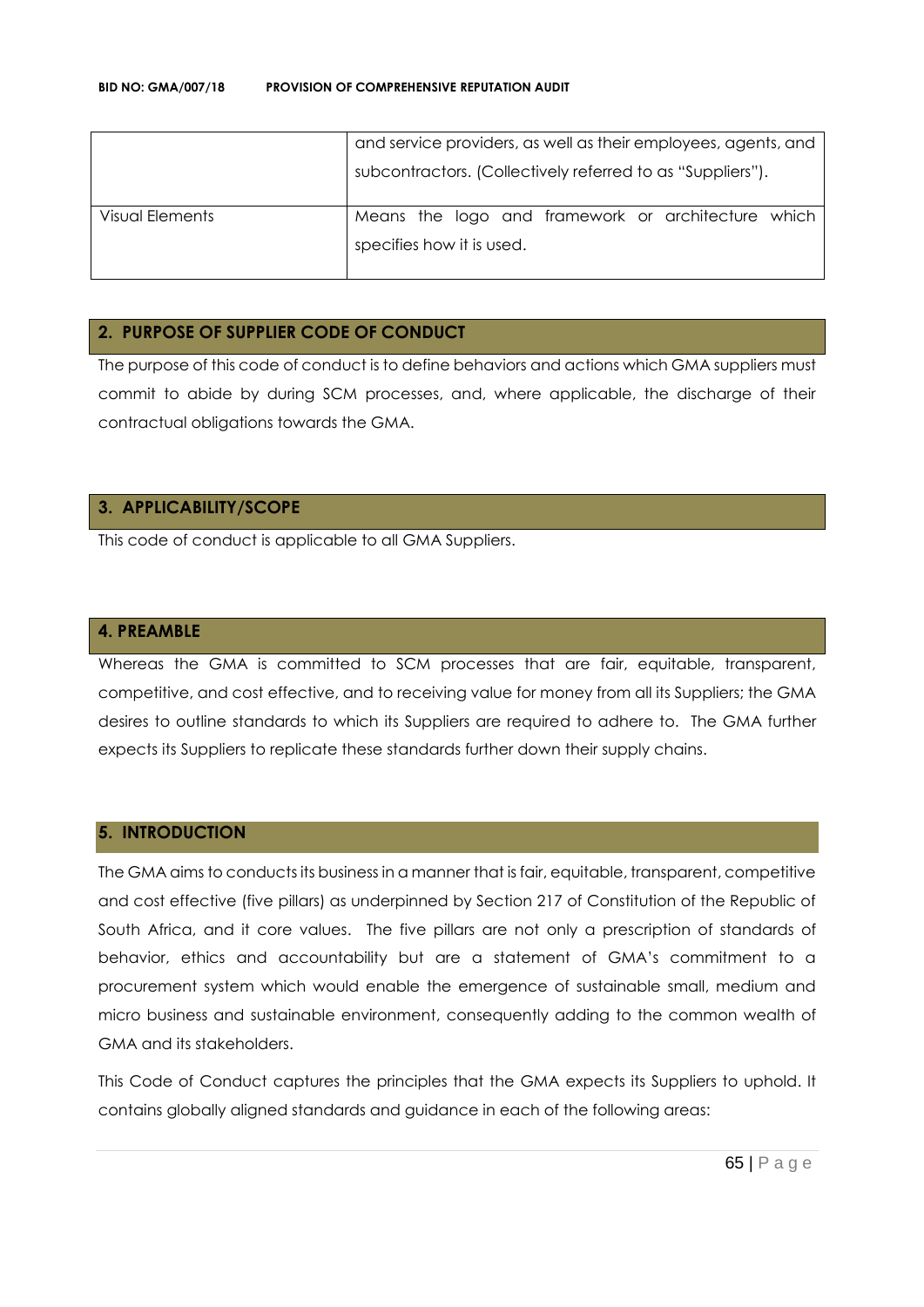|                 | and service providers, as well as their employees, agents, and |  |  |
|-----------------|----------------------------------------------------------------|--|--|
|                 | subcontractors. (Collectively referred to as "Suppliers").     |  |  |
| Visual Elements | Means the logo and framework or architecture which             |  |  |
|                 | specifies how it is used.                                      |  |  |
|                 |                                                                |  |  |

#### **2. PURPOSE OF SUPPLIER CODE OF CONDUCT**

The purpose of this code of conduct is to define behaviors and actions which GMA suppliers must commit to abide by during SCM processes, and, where applicable, the discharge of their contractual obligations towards the GMA.

## **3. APPLICABILITY/SCOPE**

This code of conduct is applicable to all GMA Suppliers.

#### **4. PREAMBLE**

Whereas the GMA is committed to SCM processes that are fair, equitable, transparent, competitive, and cost effective, and to receiving value for money from all its Suppliers; the GMA desires to outline standards to which its Suppliers are required to adhere to. The GMA further expects its Suppliers to replicate these standards further down their supply chains.

#### **5. INTRODUCTION**

The GMA aims to conducts its business in a manner that is fair, equitable, transparent, competitive and cost effective (five pillars) as underpinned by Section 217 of Constitution of the Republic of South Africa, and it core values. The five pillars are not only a prescription of standards of behavior, ethics and accountability but are a statement of GMA's commitment to a procurement system which would enable the emergence of sustainable small, medium and micro business and sustainable environment, consequently adding to the common wealth of GMA and its stakeholders.

This Code of Conduct captures the principles that the GMA expects its Suppliers to uphold. It contains globally aligned standards and guidance in each of the following areas: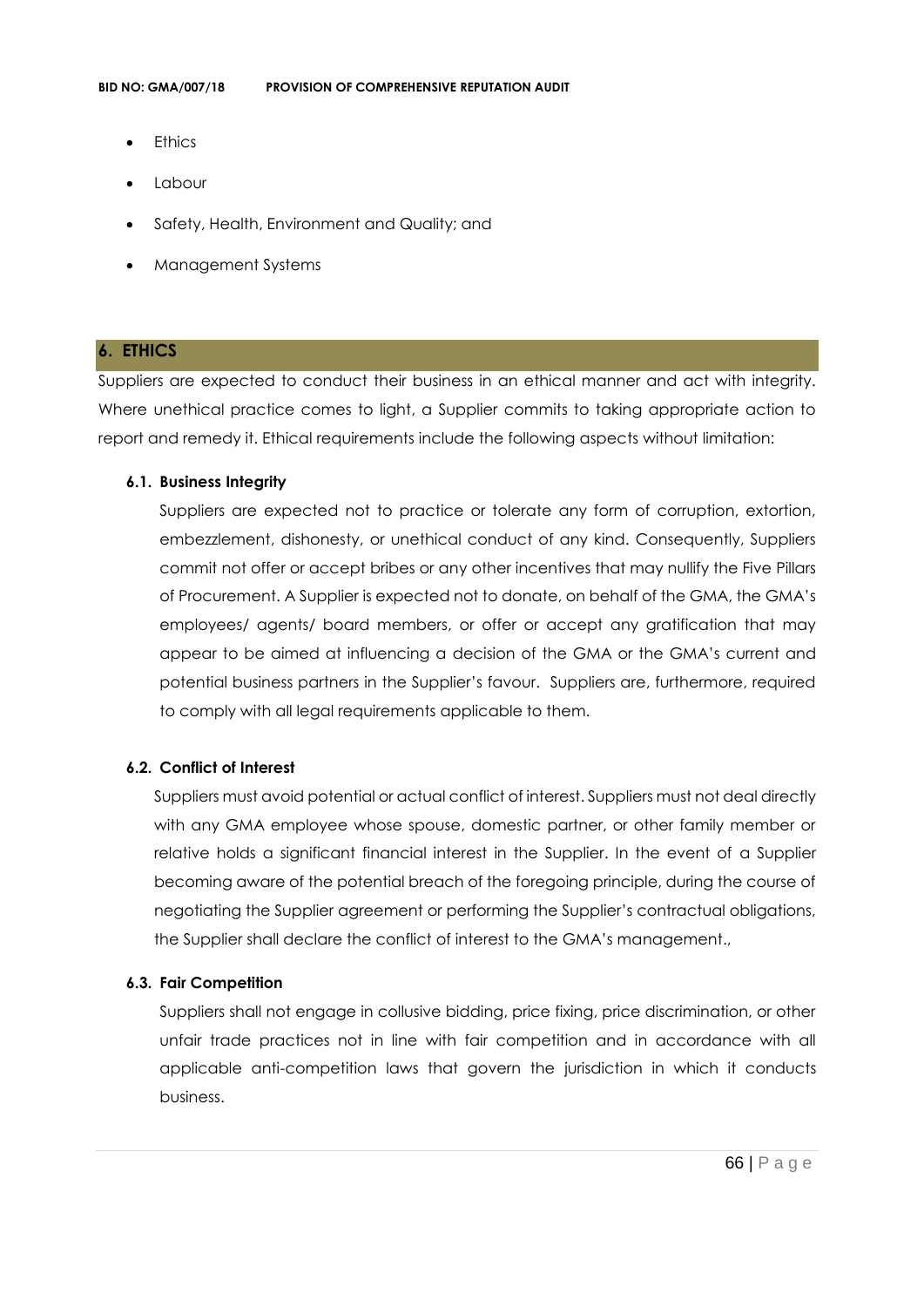- **Ethics**
- Labour
- Safety, Health, Environment and Quality; and
- Management Systems

#### **6. ETHICS**

Suppliers are expected to conduct their business in an ethical manner and act with integrity. Where unethical practice comes to light, a Supplier commits to taking appropriate action to report and remedy it. Ethical requirements include the following aspects without limitation:

#### **6.1. Business Integrity**

Suppliers are expected not to practice or tolerate any form of corruption, extortion, embezzlement, dishonesty, or unethical conduct of any kind. Consequently, Suppliers commit not offer or accept bribes or any other incentives that may nullify the Five Pillars of Procurement. A Supplier is expected not to donate, on behalf of the GMA, the GMA's employees/ agents/ board members, or offer or accept any gratification that may appear to be aimed at influencing a decision of the GMA or the GMA's current and potential business partners in the Supplier's favour. Suppliers are, furthermore, required to comply with all legal requirements applicable to them.

#### **6.2. Conflict of Interest**

Suppliers must avoid potential or actual conflict of interest. Suppliers must not deal directly with any GMA employee whose spouse, domestic partner, or other family member or relative holds a significant financial interest in the Supplier. In the event of a Supplier becoming aware of the potential breach of the foregoing principle, during the course of negotiating the Supplier agreement or performing the Supplier's contractual obligations, the Supplier shall declare the conflict of interest to the GMA's management.,

#### **6.3. Fair Competition**

Suppliers shall not engage in collusive bidding, price fixing, price discrimination, or other unfair trade practices not in line with fair competition and in accordance with all applicable anti-competition laws that govern the jurisdiction in which it conducts business.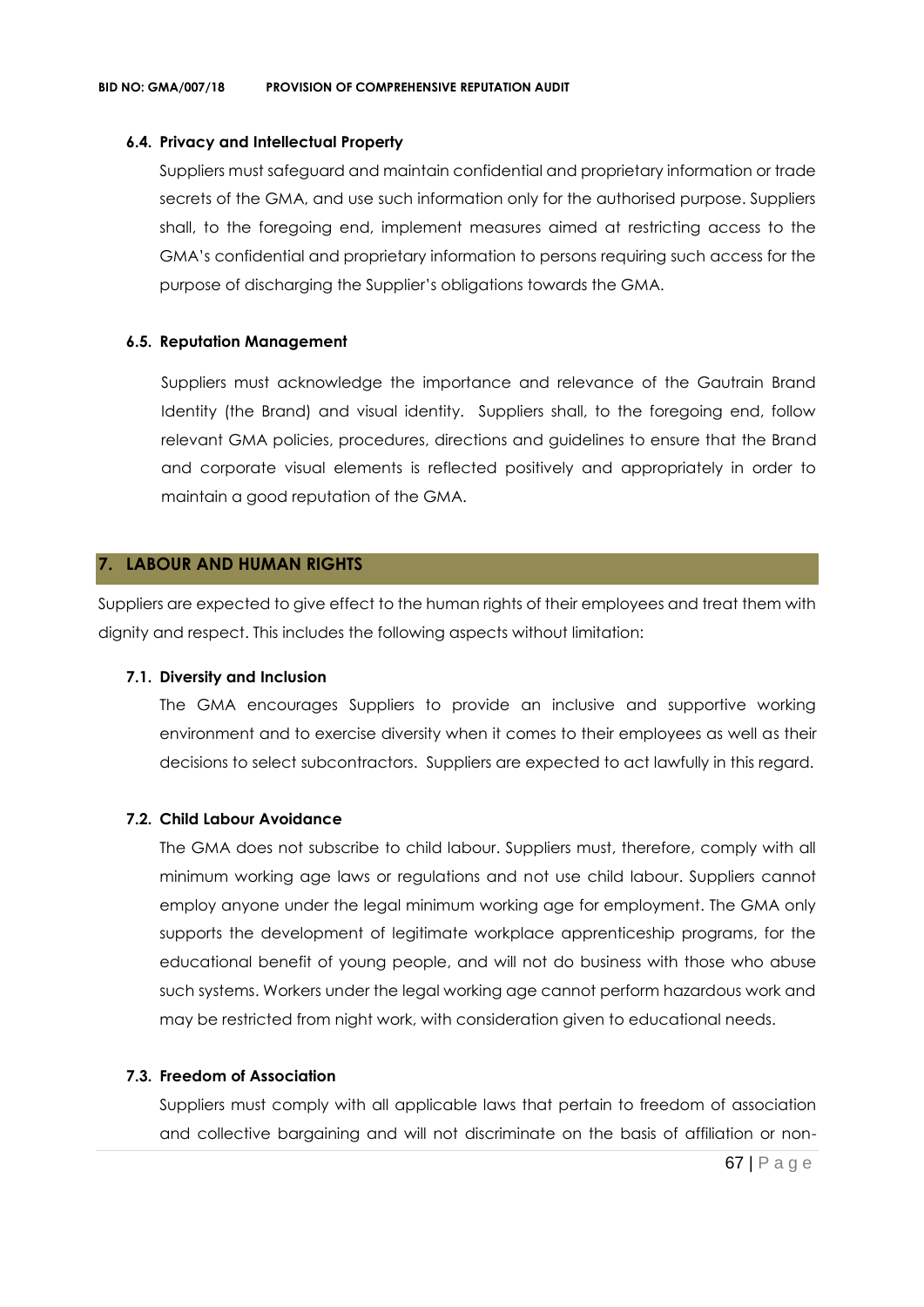#### **6.4. Privacy and Intellectual Property**

Suppliers must safeguard and maintain confidential and proprietary information or trade secrets of the GMA, and use such information only for the authorised purpose. Suppliers shall, to the foregoing end, implement measures aimed at restricting access to the GMA's confidential and proprietary information to persons requiring such access for the purpose of discharging the Supplier's obligations towards the GMA.

#### **6.5. Reputation Management**

Suppliers must acknowledge the importance and relevance of the Gautrain Brand Identity (the Brand) and visual identity. Suppliers shall, to the foregoing end, follow relevant GMA policies, procedures, directions and guidelines to ensure that the Brand and corporate visual elements is reflected positively and appropriately in order to maintain a good reputation of the GMA.

## **7. LABOUR AND HUMAN RIGHTS**

Suppliers are expected to give effect to the human rights of their employees and treat them with dignity and respect. This includes the following aspects without limitation:

#### **7.1. Diversity and Inclusion**

The GMA encourages Suppliers to provide an inclusive and supportive working environment and to exercise diversity when it comes to their employees as well as their decisions to select subcontractors. Suppliers are expected to act lawfully in this regard.

## **7.2. Child Labour Avoidance**

The GMA does not subscribe to child labour. Suppliers must, therefore, comply with all minimum working age laws or regulations and not use child labour. Suppliers cannot employ anyone under the legal minimum working age for employment. The GMA only supports the development of legitimate workplace apprenticeship programs, for the educational benefit of young people, and will not do business with those who abuse such systems. Workers under the legal working age cannot perform hazardous work and may be restricted from night work, with consideration given to educational needs.

#### **7.3. Freedom of Association**

Suppliers must comply with all applicable laws that pertain to freedom of association and collective bargaining and will not discriminate on the basis of affiliation or non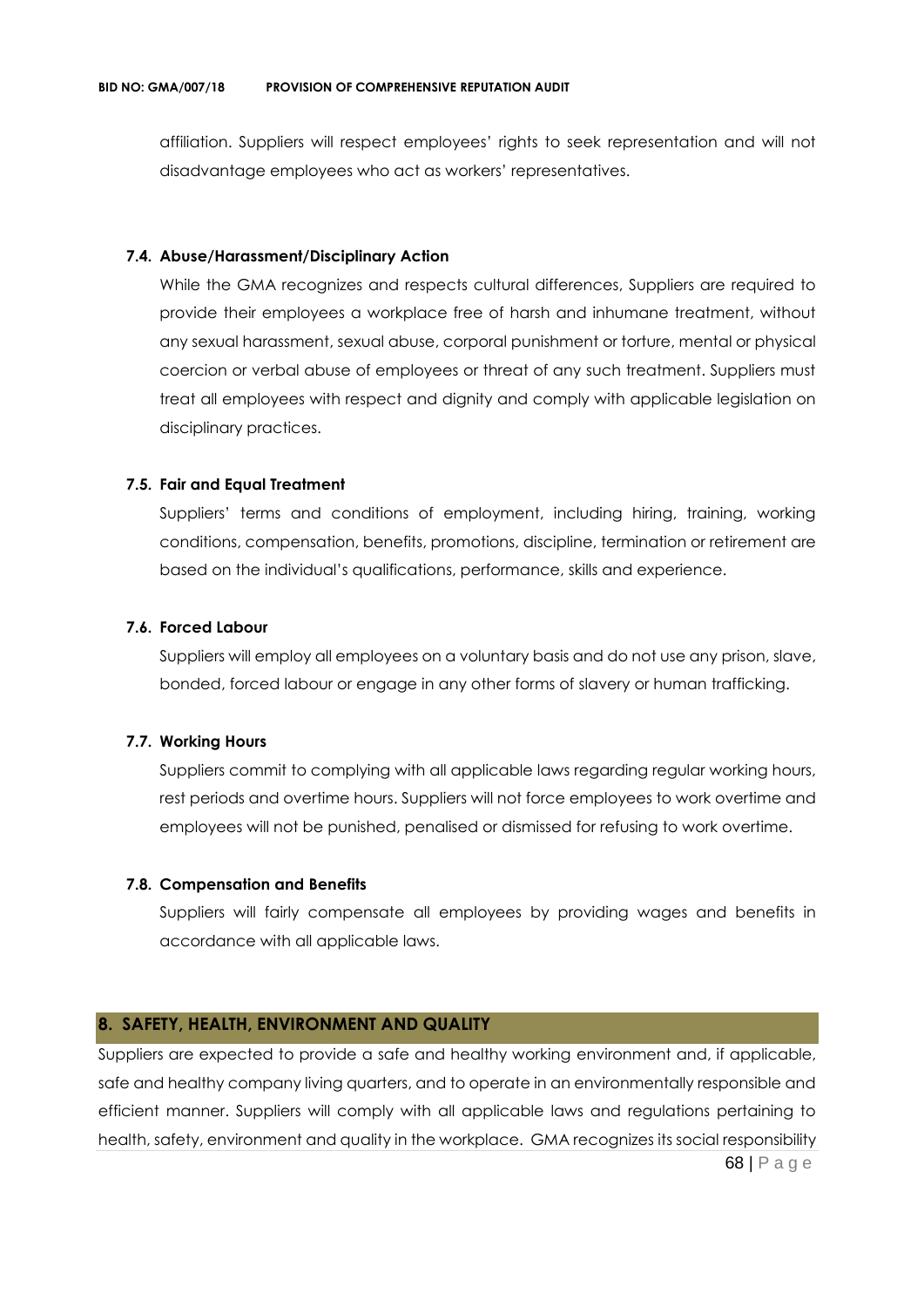affiliation. Suppliers will respect employees' rights to seek representation and will not disadvantage employees who act as workers' representatives.

#### **7.4. Abuse/Harassment/Disciplinary Action**

While the GMA recognizes and respects cultural differences, Suppliers are required to provide their employees a workplace free of harsh and inhumane treatment, without any sexual harassment, sexual abuse, corporal punishment or torture, mental or physical coercion or verbal abuse of employees or threat of any such treatment. Suppliers must treat all employees with respect and dignity and comply with applicable legislation on disciplinary practices.

#### **7.5. Fair and Equal Treatment**

Suppliers' terms and conditions of employment, including hiring, training, working conditions, compensation, benefits, promotions, discipline, termination or retirement are based on the individual's qualifications, performance, skills and experience.

#### **7.6. Forced Labour**

Suppliers will employ all employees on a voluntary basis and do not use any prison, slave, bonded, forced labour or engage in any other forms of slavery or human trafficking.

#### **7.7. Working Hours**

Suppliers commit to complying with all applicable laws regarding regular working hours, rest periods and overtime hours. Suppliers will not force employees to work overtime and employees will not be punished, penalised or dismissed for refusing to work overtime.

#### **7.8. Compensation and Benefits**

Suppliers will fairly compensate all employees by providing wages and benefits in accordance with all applicable laws.

#### **8. SAFETY, HEALTH, ENVIRONMENT AND QUALITY**

68 | P a g e Suppliers are expected to provide a safe and healthy working environment and, if applicable, safe and healthy company living quarters, and to operate in an environmentally responsible and efficient manner. Suppliers will comply with all applicable laws and regulations pertaining to health, safety, environment and quality in the workplace. GMA recognizes its social responsibility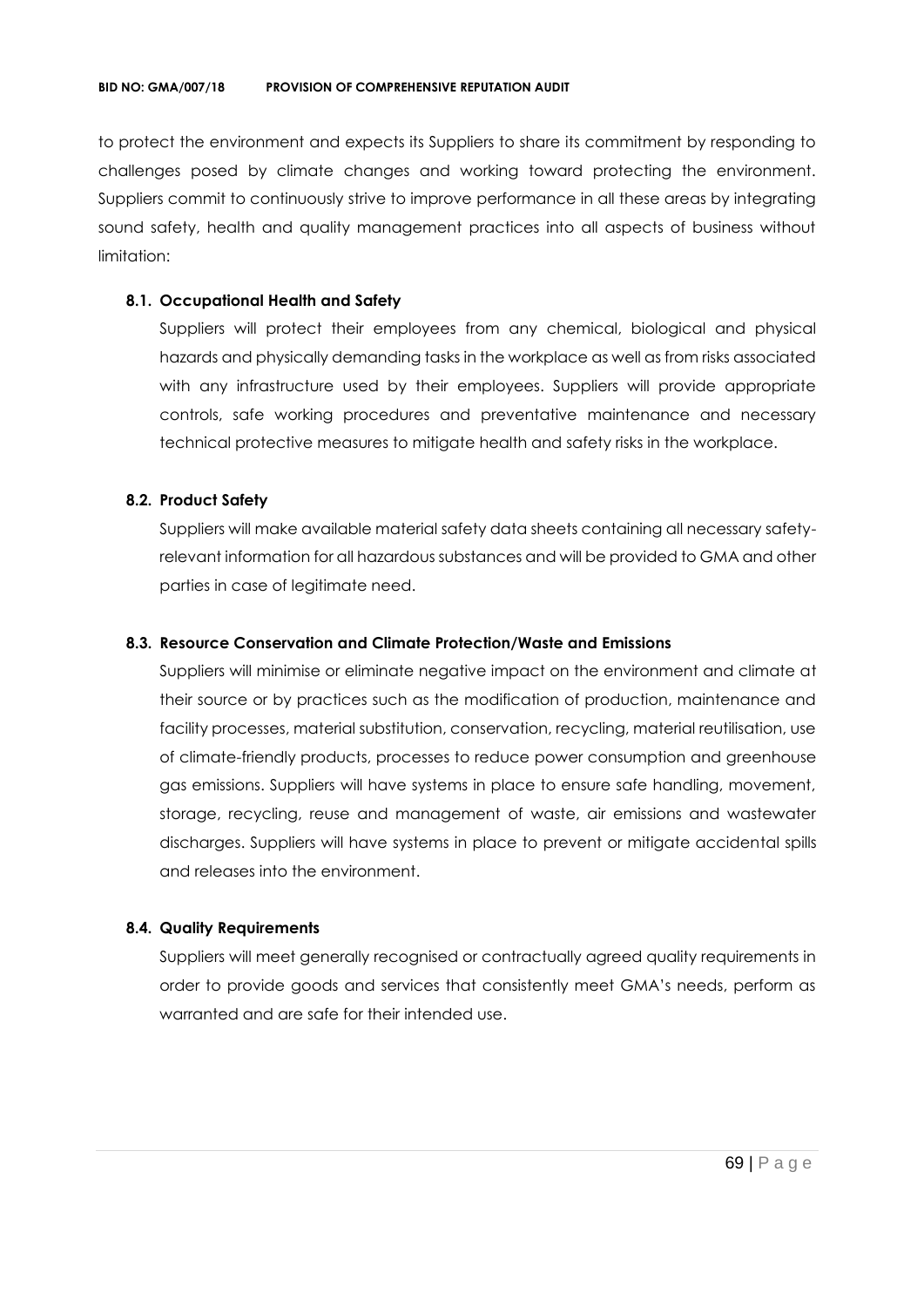to protect the environment and expects its Suppliers to share its commitment by responding to challenges posed by climate changes and working toward protecting the environment. Suppliers commit to continuously strive to improve performance in all these areas by integrating sound safety, health and quality management practices into all aspects of business without limitation:

#### **8.1. Occupational Health and Safety**

Suppliers will protect their employees from any chemical, biological and physical hazards and physically demanding tasks in the workplace as well as from risks associated with any infrastructure used by their employees. Suppliers will provide appropriate controls, safe working procedures and preventative maintenance and necessary technical protective measures to mitigate health and safety risks in the workplace.

## **8.2. Product Safety**

Suppliers will make available material safety data sheets containing all necessary safetyrelevant information for all hazardous substances and will be provided to GMA and other parties in case of legitimate need.

#### **8.3. Resource Conservation and Climate Protection/Waste and Emissions**

Suppliers will minimise or eliminate negative impact on the environment and climate at their source or by practices such as the modification of production, maintenance and facility processes, material substitution, conservation, recycling, material reutilisation, use of climate-friendly products, processes to reduce power consumption and greenhouse gas emissions. Suppliers will have systems in place to ensure safe handling, movement, storage, recycling, reuse and management of waste, air emissions and wastewater discharges. Suppliers will have systems in place to prevent or mitigate accidental spills and releases into the environment.

#### **8.4. Quality Requirements**

Suppliers will meet generally recognised or contractually agreed quality requirements in order to provide goods and services that consistently meet GMA's needs, perform as warranted and are safe for their intended use.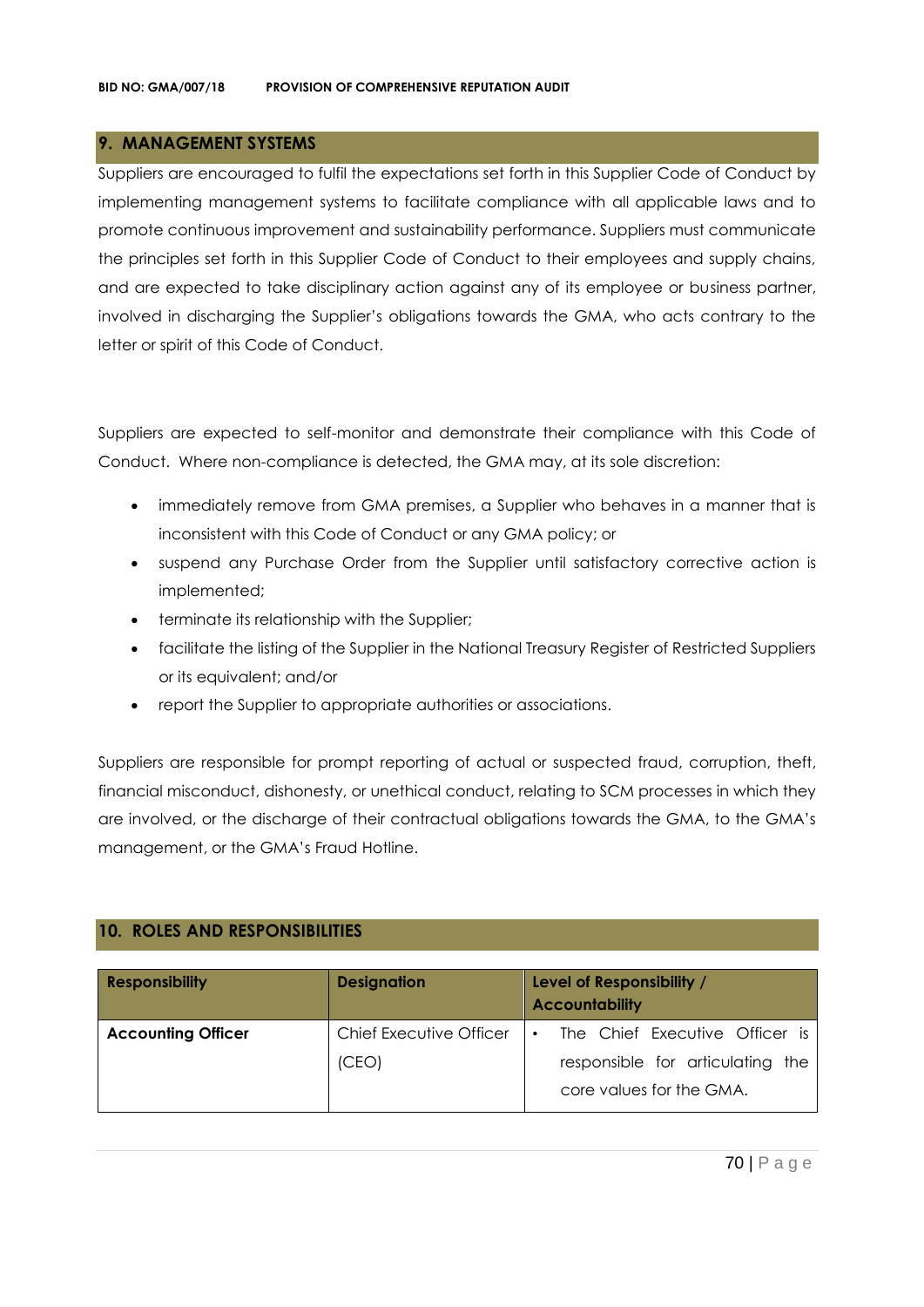## **9. MANAGEMENT SYSTEMS**

Suppliers are encouraged to fulfil the expectations set forth in this Supplier Code of Conduct by implementing management systems to facilitate compliance with all applicable laws and to promote continuous improvement and sustainability performance. Suppliers must communicate the principles set forth in this Supplier Code of Conduct to their employees and supply chains, and are expected to take disciplinary action against any of its employee or business partner, involved in discharging the Supplier's obligations towards the GMA, who acts contrary to the letter or spirit of this Code of Conduct.

Suppliers are expected to self-monitor and demonstrate their compliance with this Code of Conduct. Where non-compliance is detected, the GMA may, at its sole discretion:

- immediately remove from GMA premises, a Supplier who behaves in a manner that is inconsistent with this Code of Conduct or any GMA policy; or
- suspend any Purchase Order from the Supplier until satisfactory corrective action is implemented;
- terminate its relationship with the Supplier;
- facilitate the listing of the Supplier in the National Treasury Register of Restricted Suppliers or its equivalent; and/or
- report the Supplier to appropriate authorities or associations.

Suppliers are responsible for prompt reporting of actual or suspected fraud, corruption, theft, financial misconduct, dishonesty, or unethical conduct, relating to SCM processes in which they are involved, or the discharge of their contractual obligations towards the GMA, to the GMA's management, or the GMA's Fraud Hotline.

## **10. ROLES AND RESPONSIBILITIES**

| <b>Responsibility</b>     | <b>Designation</b>             | Level of Responsibility /<br><b>Accountability</b>           |
|---------------------------|--------------------------------|--------------------------------------------------------------|
| <b>Accounting Officer</b> | <b>Chief Executive Officer</b> | The Chief Executive Officer is<br>$\bullet$                  |
|                           | (CEO)                          | responsible for articulating the<br>core values for the GMA. |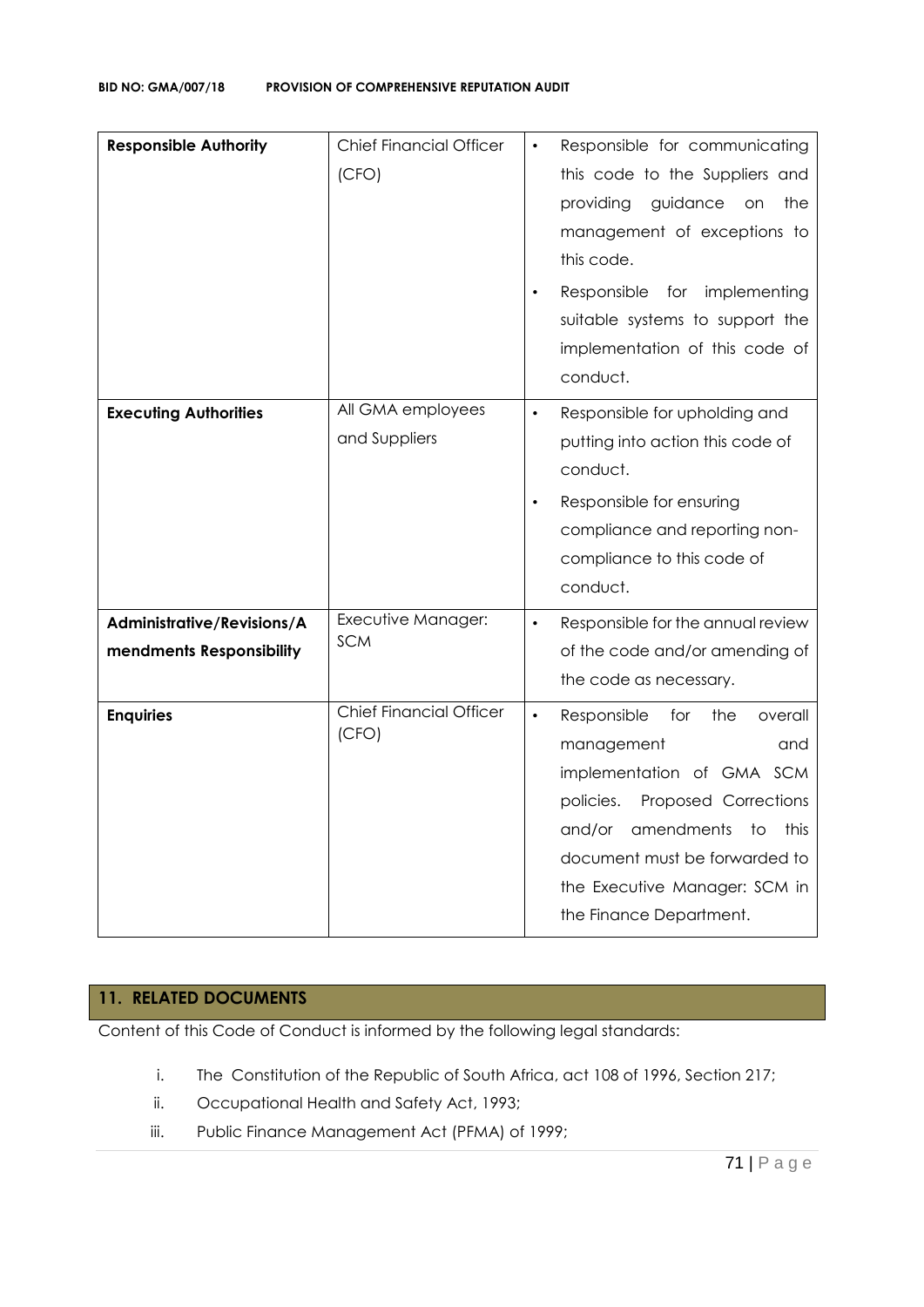| <b>Responsible Authority</b>                           | <b>Chief Financial Officer</b><br>(CFO) | Responsible for communicating<br>$\bullet$<br>this code to the Suppliers and<br>guidance<br>providing<br>the<br><b>on</b><br>management of exceptions to<br>this code.<br>Responsible for implementing<br>suitable systems to support the<br>implementation of this code of<br>conduct. |
|--------------------------------------------------------|-----------------------------------------|-----------------------------------------------------------------------------------------------------------------------------------------------------------------------------------------------------------------------------------------------------------------------------------------|
| <b>Executing Authorities</b>                           | All GMA employees<br>and Suppliers      | Responsible for upholding and<br>$\bullet$<br>putting into action this code of<br>conduct.<br>Responsible for ensuring<br>$\bullet$<br>compliance and reporting non-<br>compliance to this code of<br>conduct.                                                                          |
| Administrative/Revisions/A<br>mendments Responsibility | Executive Manager:<br><b>SCM</b>        | Responsible for the annual review<br>$\bullet$<br>of the code and/or amending of<br>the code as necessary.                                                                                                                                                                              |
| <b>Enquiries</b>                                       | <b>Chief Financial Officer</b><br>(CFO) | $\bullet$<br>Responsible<br>for<br>the<br>overall<br>management<br>and<br>implementation of GMA SCM<br>Proposed Corrections<br>policies.<br>amendments<br>and/or<br>to<br>this<br>document must be forwarded to<br>the Executive Manager: SCM in<br>the Finance Department.             |

#### **11. RELATED DOCUMENTS**

Content of this Code of Conduct is informed by the following legal standards:

- i. The Constitution of the Republic of South Africa, act 108 of 1996, Section 217;
- ii. Occupational Health and Safety Act, 1993;
- iii. Public Finance Management Act (PFMA) of 1999;